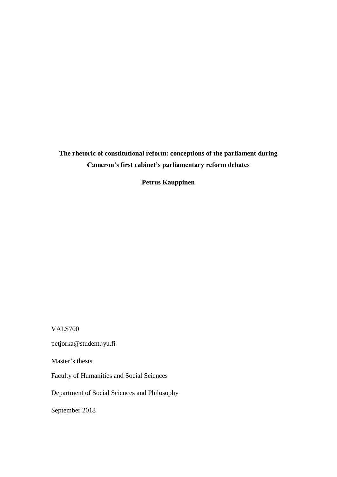# **The rhetoric of constitutional reform: conceptions of the parliament during Cameron's first cabinet's parliamentary reform debates**

**Petrus Kauppinen**

VALS700

petjorka@student.jyu.fi

Master's thesis

Faculty of Humanities and Social Sciences

Department of Social Sciences and Philosophy

September 2018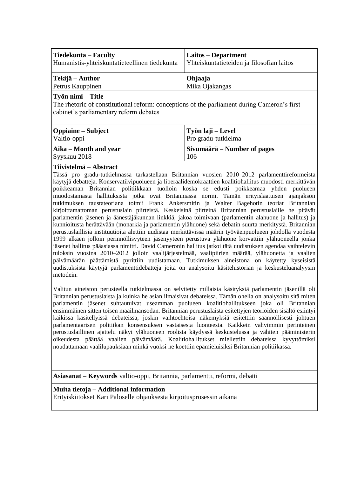| Tiedekunta – Faculty                          | Laitos – Department                       |
|-----------------------------------------------|-------------------------------------------|
| Humanistis-yhteiskuntatieteellinen tiedekunta | Yhteiskuntatieteiden ja filosofian laitos |
| ∥Tekijä – Author                              | Ohjaaja                                   |

Petrus Kauppinen Mika Ojakangas

# **Työn nimi – Title**

The rhetoric of constitutional reform: conceptions of the parliament during Cameron's first cabinet's parliamentary reform debates

| Oppiaine – Subject<br>Valtio-oppi        | Työn laji – Level<br>Pro gradu-tutkielma |
|------------------------------------------|------------------------------------------|
|                                          |                                          |
| Aika – Month and year<br>$S$ yyskuu 2018 | Sivumäärä – Number of pages<br>106       |
|                                          |                                          |

# **Tiivistelmä – Abstract**

Tässä pro gradu-tutkielmassa tarkastellaan Britannian vuosien 2010–2012 parlamenttireformeista käytyjä debatteja. Konservatiivipuolueen ja liberaalidemokraattien koalitiohallitus muodosti merkittävän poikkeaman Britannian politiikkaan tuolloin koska se edusti poikkeamaa yhden puolueen muodostamasta hallituksista jotka ovat Britanniassa normi. Tämän erityislaatuisen ajanjakson tutkimuksen taustateoriana toimii Frank Ankersmitin ja Walter Bagehotin teoriat Britannian kirjoittamattoman perustuslain piirteistä. Keskeisinä piirteinä Britannian perustuslaille he pitävät parlamentin jäsenen ja äänestäjäkunnan linkkiä, jakoa toimivaan (parlamentin alahuone ja hallitus) ja kunnioitusta herättävään (monarkia ja parlamentin ylähuone) sekä debatin suurta merkitystä. Britannian perustuslaillisia instituutioita alettiin uudistaa merkittävissä määrin työväenpuolueen johdolla vuodesta 1999 alkaen jolloin perinnöllisyyteen jäsenyyteen perustuva ylähuone korvattiin ylähuoneella jonka jäsenet hallitus pääasiassa nimitti. David Cameronin hallitus jatkoi tätä uudistuksen agendaa vaihtelevin tuloksin vuosina 2010–2012 jolloin vaalijärjestelmää, vaalipiirien määrää, ylähuonetta ja vaalien päivämäärän päättämistä pyrittiin uudistamaan. Tutkimuksen aineistona on käytetty kyseisistä uudistuksista käytyjä parlamenttidebatteja joita on analysoitu käsitehistorian ja keskusteluanalyysin metodein.

Valitun aineiston perusteella tutkielmassa on selvitetty millaisia käsityksiä parlamentin jäsenillä oli Britannian perustuslaista ja kuinka he asian ilmaisivat debateissa. Tämän ohella on analysoitu sitä miten parlamentin jäsenet suhtautuivat useamman puolueen koalitiohallitukseen joka oli Britannian ensimmäinen sitten toisen maailmansodan. Britannian perustuslaista esitettyjen teorioiden sisältö esiintyi kaikissa käsitellyissä debateissa, joskin vaihtoehtoisa näkemyksiä esitettiin säännöllisesti johtuen parlamentaarisen politiikan konsensuksen vastaisesta luonteesta. Kaikkein vahvimmin perinteinen perustuslaillinen ajattelu näkyi ylähuoneen roolista käydyssä keskustelussa ja vähiten pääministerin oikeudesta päättää vaalien päivämäärä. Koalitiohallitukset miellettiin debateissa kyvyttömiksi noudattamaan vaalilupauksiaan minkä vuoksi ne koettiin epämieluisiksi Britannian politiikassa.

**Asiasanat – Keywords** valtio-oppi, Britannia, parlamentti, reformi, debatti

# **Muita tietoja – Additional information**

Erityiskiitokset Kari Paloselle ohjauksesta kirjoitusprosessin aikana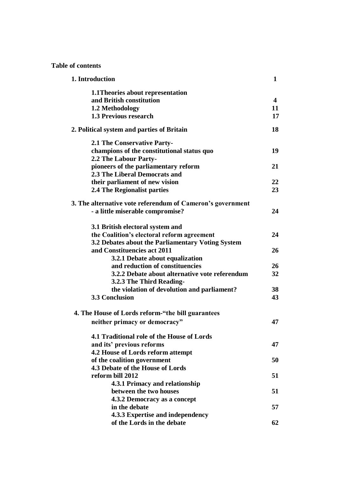**Table of contents**

| 1. Introduction                                            |                         |
|------------------------------------------------------------|-------------------------|
| 1.1 Theories about representation                          |                         |
| and British constitution                                   | $\overline{\mathbf{4}}$ |
| 1.2 Methodology                                            | 11                      |
| <b>1.3 Previous research</b>                               | 17                      |
| 2. Political system and parties of Britain                 | 18                      |
| <b>2.1 The Conservative Party-</b>                         |                         |
| champions of the constitutional status quo                 | 19                      |
| 2.2 The Labour Party-                                      |                         |
| pioneers of the parliamentary reform                       | 21                      |
| 2.3 The Liberal Democrats and                              |                         |
| their parliament of new vision                             | 22                      |
| 2.4 The Regionalist parties                                | 23                      |
| 3. The alternative vote referendum of Cameron's government |                         |
| - a little miserable compromise?                           | 24                      |
| 3.1 British electoral system and                           |                         |
| the Coalition's electoral reform agreement                 | 24                      |
| 3.2 Debates about the Parliamentary Voting System          |                         |
| and Constituencies act 2011                                | 26                      |
| 3.2.1 Debate about equalization                            |                         |
| and reduction of constituencies                            | 26                      |
| 3.2.2 Debate about alternative vote referendum             | 32                      |
| 3.2.3 The Third Reading-                                   |                         |
| the violation of devolution and parliament?                | 38                      |
| <b>3.3 Conclusion</b>                                      | 43                      |
| 4. The House of Lords reform-"the bill guarantees          |                         |
| neither primacy or democracy"                              | 47                      |
| 4.1 Traditional role of the House of Lords                 |                         |
| and its' previous reforms                                  | 47                      |
| 4.2 House of Lords reform attempt                          |                         |
| of the coalition government                                | 50                      |
| 4.3 Debate of the House of Lords                           |                         |
| reform bill 2012                                           | 51                      |
| 4.3.1 Primacy and relationship                             |                         |
| between the two houses                                     | 51                      |
| 4.3.2 Democracy as a concept                               |                         |
| in the debate                                              | 57                      |
| 4.3.3 Expertise and independency                           |                         |
| of the Lords in the debate                                 | 62                      |
|                                                            |                         |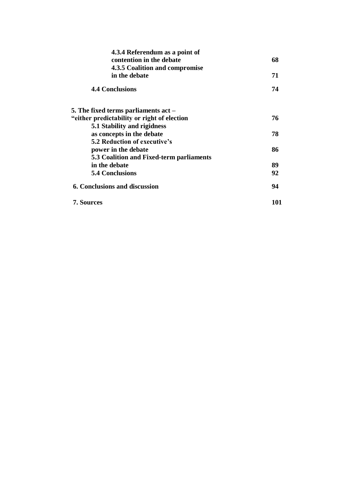| 4.3.4 Referendum as a point of              |     |
|---------------------------------------------|-----|
| contention in the debate                    | 68  |
| 4.3.5 Coalition and compromise              |     |
| in the debate                               | 71  |
| <b>4.4 Conclusions</b>                      | 74  |
| 5. The fixed terms parliaments act $-$      |     |
| "either predictability or right of election | 76  |
| 5.1 Stability and rigidness                 |     |
| as concepts in the debate                   | 78  |
| <b>5.2 Reduction of executive's</b>         |     |
| power in the debate                         | 86  |
| 5.3 Coalition and Fixed-term parliaments    |     |
| in the debate                               | 89  |
| <b>5.4 Conclusions</b>                      | 92  |
| 6. Conclusions and discussion               | 94  |
| <b>7. Sources</b>                           | 101 |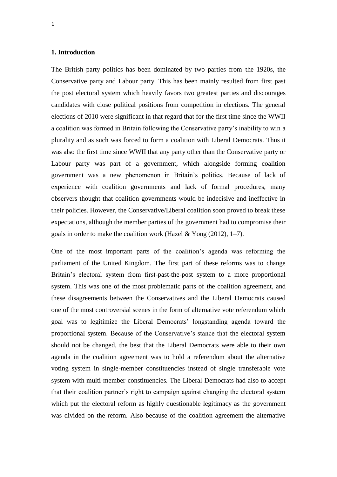# **1. Introduction**

The British party politics has been dominated by two parties from the 1920s, the Conservative party and Labour party. This has been mainly resulted from first past the post electoral system which heavily favors two greatest parties and discourages candidates with close political positions from competition in elections. The general elections of 2010 were significant in that regard that for the first time since the WWII a coalition was formed in Britain following the Conservative party's inability to win a plurality and as such was forced to form a coalition with Liberal Democrats. Thus it was also the first time since WWII that any party other than the Conservative party or Labour party was part of a government, which alongside forming coalition government was a new phenomenon in Britain's politics. Because of lack of experience with coalition governments and lack of formal procedures, many observers thought that coalition governments would be indecisive and ineffective in their policies. However, the Conservative/Liberal coalition soon proved to break these expectations, although the member parties of the government had to compromise their goals in order to make the coalition work (Hazel & Yong  $(2012)$ , 1–7).

One of the most important parts of the coalition's agenda was reforming the parliament of the United Kingdom. The first part of these reforms was to change Britain's electoral system from first-past-the-post system to a more proportional system. This was one of the most problematic parts of the coalition agreement, and these disagreements between the Conservatives and the Liberal Democrats caused one of the most controversial scenes in the form of alternative vote referendum which goal was to legitimize the Liberal Democrats' longstanding agenda toward the proportional system. Because of the Conservative's stance that the electoral system should not be changed, the best that the Liberal Democrats were able to their own agenda in the coalition agreement was to hold a referendum about the alternative voting system in single-member constituencies instead of single transferable vote system with multi-member constituencies. The Liberal Democrats had also to accept that their coalition partner's right to campaign against changing the electoral system which put the electoral reform as highly questionable legitimacy as the government was divided on the reform. Also because of the coalition agreement the alternative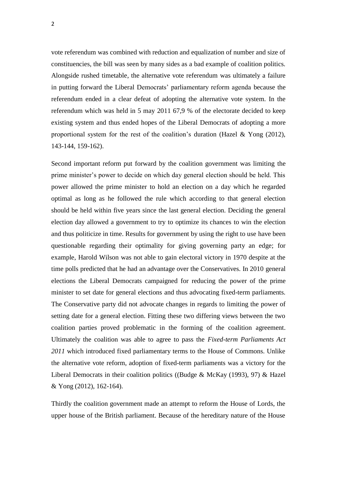vote referendum was combined with reduction and equalization of number and size of constituencies, the bill was seen by many sides as a bad example of coalition politics. Alongside rushed timetable, the alternative vote referendum was ultimately a failure in putting forward the Liberal Democrats' parliamentary reform agenda because the referendum ended in a clear defeat of adopting the alternative vote system. In the referendum which was held in 5 may 2011 67,9 % of the electorate decided to keep existing system and thus ended hopes of the Liberal Democrats of adopting a more proportional system for the rest of the coalition's duration (Hazel & Yong (2012), 143-144, 159-162).

Second important reform put forward by the coalition government was limiting the prime minister's power to decide on which day general election should be held. This power allowed the prime minister to hold an election on a day which he regarded optimal as long as he followed the rule which according to that general election should be held within five years since the last general election. Deciding the general election day allowed a government to try to optimize its chances to win the election and thus politicize in time. Results for government by using the right to use have been questionable regarding their optimality for giving governing party an edge; for example, Harold Wilson was not able to gain electoral victory in 1970 despite at the time polls predicted that he had an advantage over the Conservatives. In 2010 general elections the Liberal Democrats campaigned for reducing the power of the prime minister to set date for general elections and thus advocating fixed-term parliaments. The Conservative party did not advocate changes in regards to limiting the power of setting date for a general election. Fitting these two differing views between the two coalition parties proved problematic in the forming of the coalition agreement. Ultimately the coalition was able to agree to pass the *Fixed-term Parliaments Act 2011* which introduced fixed parliamentary terms to the House of Commons. Unlike the alternative vote reform, adoption of fixed-term parliaments was a victory for the Liberal Democrats in their coalition politics ((Budge & McKay (1993), 97) & Hazel & Yong (2012), 162-164).

Thirdly the coalition government made an attempt to reform the House of Lords, the upper house of the British parliament. Because of the hereditary nature of the House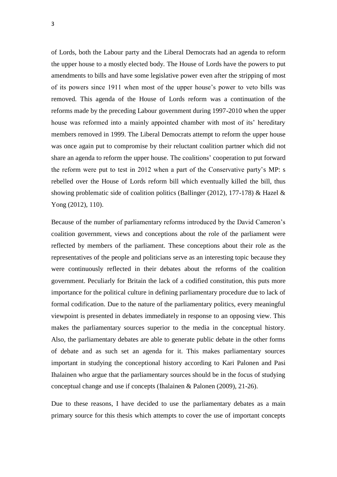of Lords, both the Labour party and the Liberal Democrats had an agenda to reform the upper house to a mostly elected body. The House of Lords have the powers to put amendments to bills and have some legislative power even after the stripping of most of its powers since 1911 when most of the upper house's power to veto bills was removed. This agenda of the House of Lords reform was a continuation of the reforms made by the preceding Labour government during 1997-2010 when the upper house was reformed into a mainly appointed chamber with most of its' hereditary members removed in 1999. The Liberal Democrats attempt to reform the upper house was once again put to compromise by their reluctant coalition partner which did not share an agenda to reform the upper house. The coalitions' cooperation to put forward the reform were put to test in 2012 when a part of the Conservative party's MP: s rebelled over the House of Lords reform bill which eventually killed the bill, thus showing problematic side of coalition politics (Ballinger (2012), 177-178) & Hazel & Yong (2012), 110).

Because of the number of parliamentary reforms introduced by the David Cameron's coalition government, views and conceptions about the role of the parliament were reflected by members of the parliament. These conceptions about their role as the representatives of the people and politicians serve as an interesting topic because they were continuously reflected in their debates about the reforms of the coalition government. Peculiarly for Britain the lack of a codified constitution, this puts more importance for the political culture in defining parliamentary procedure due to lack of formal codification. Due to the nature of the parliamentary politics, every meaningful viewpoint is presented in debates immediately in response to an opposing view. This makes the parliamentary sources superior to the media in the conceptual history. Also, the parliamentary debates are able to generate public debate in the other forms of debate and as such set an agenda for it. This makes parliamentary sources important in studying the conceptional history according to Kari Palonen and Pasi Ihalainen who argue that the parliamentary sources should be in the focus of studying conceptual change and use if concepts (Ihalainen & Palonen (2009), 21-26).

Due to these reasons, I have decided to use the parliamentary debates as a main primary source for this thesis which attempts to cover the use of important concepts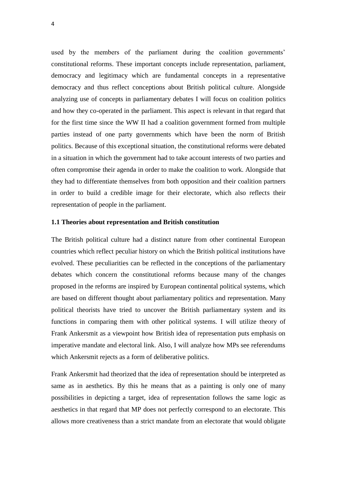used by the members of the parliament during the coalition governments' constitutional reforms. These important concepts include representation, parliament, democracy and legitimacy which are fundamental concepts in a representative democracy and thus reflect conceptions about British political culture. Alongside analyzing use of concepts in parliamentary debates I will focus on coalition politics and how they co-operated in the parliament. This aspect is relevant in that regard that for the first time since the WW II had a coalition government formed from multiple parties instead of one party governments which have been the norm of British politics. Because of this exceptional situation, the constitutional reforms were debated in a situation in which the government had to take account interests of two parties and often compromise their agenda in order to make the coalition to work. Alongside that they had to differentiate themselves from both opposition and their coalition partners in order to build a credible image for their electorate, which also reflects their representation of people in the parliament.

#### **1.1 Theories about representation and British constitution**

The British political culture had a distinct nature from other continental European countries which reflect peculiar history on which the British political institutions have evolved. These peculiarities can be reflected in the conceptions of the parliamentary debates which concern the constitutional reforms because many of the changes proposed in the reforms are inspired by European continental political systems, which are based on different thought about parliamentary politics and representation. Many political theorists have tried to uncover the British parliamentary system and its functions in comparing them with other political systems. I will utilize theory of Frank Ankersmit as a viewpoint how British idea of representation puts emphasis on imperative mandate and electoral link. Also, I will analyze how MPs see referendums which Ankersmit rejects as a form of deliberative politics.

Frank Ankersmit had theorized that the idea of representation should be interpreted as same as in aesthetics. By this he means that as a painting is only one of many possibilities in depicting a target, idea of representation follows the same logic as aesthetics in that regard that MP does not perfectly correspond to an electorate. This allows more creativeness than a strict mandate from an electorate that would obligate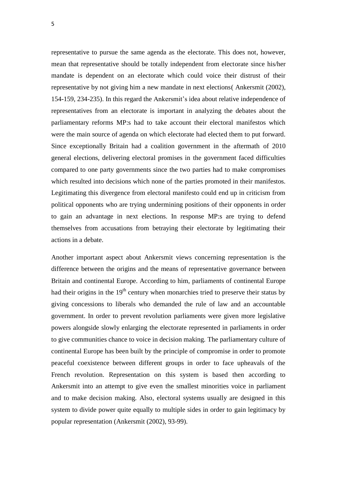representative to pursue the same agenda as the electorate. This does not, however, mean that representative should be totally independent from electorate since his/her mandate is dependent on an electorate which could voice their distrust of their representative by not giving him a new mandate in next elections( Ankersmit (2002), 154-159, 234-235). In this regard the Ankersmit's idea about relative independence of representatives from an electorate is important in analyzing the debates about the parliamentary reforms MP:s had to take account their electoral manifestos which were the main source of agenda on which electorate had elected them to put forward. Since exceptionally Britain had a coalition government in the aftermath of 2010 general elections, delivering electoral promises in the government faced difficulties compared to one party governments since the two parties had to make compromises which resulted into decisions which none of the parties promoted in their manifestos. Legitimating this divergence from electoral manifesto could end up in criticism from political opponents who are trying undermining positions of their opponents in order to gain an advantage in next elections. In response MP:s are trying to defend themselves from accusations from betraying their electorate by legitimating their actions in a debate.

Another important aspect about Ankersmit views concerning representation is the difference between the origins and the means of representative governance between Britain and continental Europe. According to him, parliaments of continental Europe had their origins in the  $19<sup>th</sup>$  century when monarchies tried to preserve their status by giving concessions to liberals who demanded the rule of law and an accountable government. In order to prevent revolution parliaments were given more legislative powers alongside slowly enlarging the electorate represented in parliaments in order to give communities chance to voice in decision making. The parliamentary culture of continental Europe has been built by the principle of compromise in order to promote peaceful coexistence between different groups in order to face upheavals of the French revolution. Representation on this system is based then according to Ankersmit into an attempt to give even the smallest minorities voice in parliament and to make decision making. Also, electoral systems usually are designed in this system to divide power quite equally to multiple sides in order to gain legitimacy by popular representation (Ankersmit (2002), 93-99).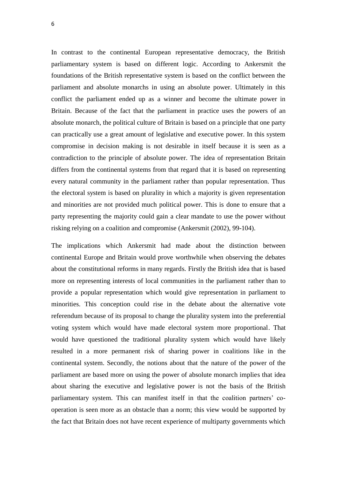In contrast to the continental European representative democracy, the British parliamentary system is based on different logic. According to Ankersmit the foundations of the British representative system is based on the conflict between the parliament and absolute monarchs in using an absolute power. Ultimately in this conflict the parliament ended up as a winner and become the ultimate power in Britain. Because of the fact that the parliament in practice uses the powers of an absolute monarch, the political culture of Britain is based on a principle that one party can practically use a great amount of legislative and executive power. In this system compromise in decision making is not desirable in itself because it is seen as a contradiction to the principle of absolute power. The idea of representation Britain differs from the continental systems from that regard that it is based on representing every natural community in the parliament rather than popular representation. Thus the electoral system is based on plurality in which a majority is given representation and minorities are not provided much political power. This is done to ensure that a party representing the majority could gain a clear mandate to use the power without risking relying on a coalition and compromise (Ankersmit (2002), 99-104).

The implications which Ankersmit had made about the distinction between continental Europe and Britain would prove worthwhile when observing the debates about the constitutional reforms in many regards. Firstly the British idea that is based more on representing interests of local communities in the parliament rather than to provide a popular representation which would give representation in parliament to minorities. This conception could rise in the debate about the alternative vote referendum because of its proposal to change the plurality system into the preferential voting system which would have made electoral system more proportional. That would have questioned the traditional plurality system which would have likely resulted in a more permanent risk of sharing power in coalitions like in the continental system. Secondly, the notions about that the nature of the power of the parliament are based more on using the power of absolute monarch implies that idea about sharing the executive and legislative power is not the basis of the British parliamentary system. This can manifest itself in that the coalition partners' cooperation is seen more as an obstacle than a norm; this view would be supported by the fact that Britain does not have recent experience of multiparty governments which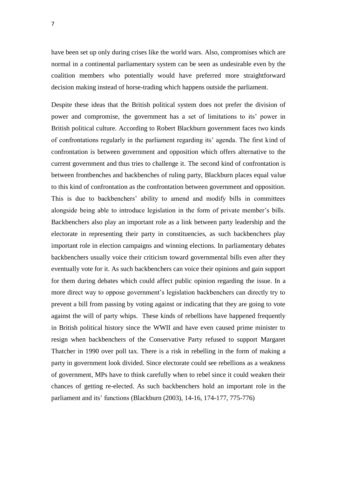have been set up only during crises like the world wars. Also, compromises which are normal in a continental parliamentary system can be seen as undesirable even by the coalition members who potentially would have preferred more straightforward decision making instead of horse-trading which happens outside the parliament.

Despite these ideas that the British political system does not prefer the division of power and compromise, the government has a set of limitations to its' power in British political culture. According to Robert Blackburn government faces two kinds of confrontations regularly in the parliament regarding its' agenda. The first kind of confrontation is between government and opposition which offers alternative to the current government and thus tries to challenge it. The second kind of confrontation is between frontbenches and backbenches of ruling party, Blackburn places equal value to this kind of confrontation as the confrontation between government and opposition. This is due to backbenchers' ability to amend and modify bills in committees alongside being able to introduce legislation in the form of private member's bills. Backbenchers also play an important role as a link between party leadership and the electorate in representing their party in constituencies, as such backbenchers play important role in election campaigns and winning elections. In parliamentary debates backbenchers usually voice their criticism toward governmental bills even after they eventually vote for it. As such backbenchers can voice their opinions and gain support for them during debates which could affect public opinion regarding the issue. In a more direct way to oppose government's legislation backbenchers can directly try to prevent a bill from passing by voting against or indicating that they are going to vote against the will of party whips. These kinds of rebellions have happened frequently in British political history since the WWII and have even caused prime minister to resign when backbenchers of the Conservative Party refused to support Margaret Thatcher in 1990 over poll tax. There is a risk in rebelling in the form of making a party in government look divided. Since electorate could see rebellions as a weakness of government, MPs have to think carefully when to rebel since it could weaken their chances of getting re-elected. As such backbenchers hold an important role in the parliament and its' functions (Blackburn (2003), 14-16, 174-177, 775-776)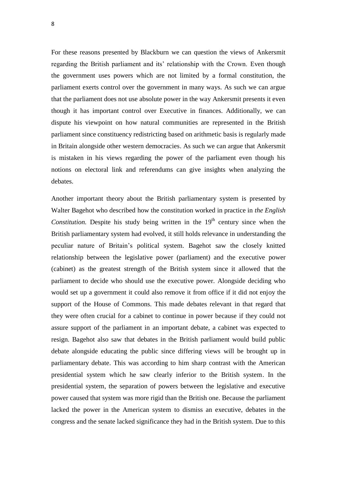For these reasons presented by Blackburn we can question the views of Ankersmit regarding the British parliament and its' relationship with the Crown. Even though the government uses powers which are not limited by a formal constitution, the parliament exerts control over the government in many ways. As such we can argue that the parliament does not use absolute power in the way Ankersmit presents it even though it has important control over Executive in finances. Additionally, we can dispute his viewpoint on how natural communities are represented in the British parliament since constituency redistricting based on arithmetic basis is regularly made in Britain alongside other western democracies. As such we can argue that Ankersmit is mistaken in his views regarding the power of the parliament even though his notions on electoral link and referendums can give insights when analyzing the debates.

Another important theory about the British parliamentary system is presented by Walter Bagehot who described how the constitution worked in practice in *the English Constitution.* Despite his study being written in the  $19<sup>th</sup>$  century since when the British parliamentary system had evolved, it still holds relevance in understanding the peculiar nature of Britain's political system. Bagehot saw the closely knitted relationship between the legislative power (parliament) and the executive power (cabinet) as the greatest strength of the British system since it allowed that the parliament to decide who should use the executive power. Alongside deciding who would set up a government it could also remove it from office if it did not enjoy the support of the House of Commons. This made debates relevant in that regard that they were often crucial for a cabinet to continue in power because if they could not assure support of the parliament in an important debate, a cabinet was expected to resign. Bagehot also saw that debates in the British parliament would build public debate alongside educating the public since differing views will be brought up in parliamentary debate. This was according to him sharp contrast with the American presidential system which he saw clearly inferior to the British system. In the presidential system, the separation of powers between the legislative and executive power caused that system was more rigid than the British one. Because the parliament lacked the power in the American system to dismiss an executive, debates in the congress and the senate lacked significance they had in the British system. Due to this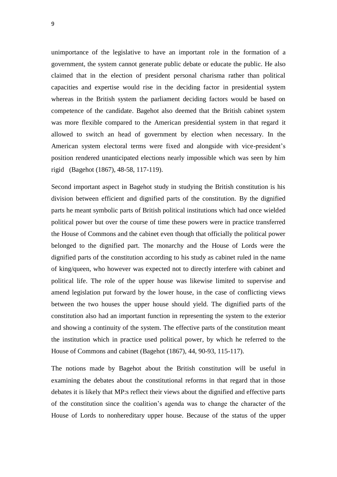unimportance of the legislative to have an important role in the formation of a government, the system cannot generate public debate or educate the public. He also claimed that in the election of president personal charisma rather than political capacities and expertise would rise in the deciding factor in presidential system whereas in the British system the parliament deciding factors would be based on competence of the candidate. Bagehot also deemed that the British cabinet system was more flexible compared to the American presidential system in that regard it allowed to switch an head of government by election when necessary. In the American system electoral terms were fixed and alongside with vice-president's position rendered unanticipated elections nearly impossible which was seen by him rigid (Bagehot (1867), 48-58, 117-119).

Second important aspect in Bagehot study in studying the British constitution is his division between efficient and dignified parts of the constitution. By the dignified parts he meant symbolic parts of British political institutions which had once wielded political power but over the course of time these powers were in practice transferred the House of Commons and the cabinet even though that officially the political power belonged to the dignified part. The monarchy and the House of Lords were the dignified parts of the constitution according to his study as cabinet ruled in the name of king/queen, who however was expected not to directly interfere with cabinet and political life. The role of the upper house was likewise limited to supervise and amend legislation put forward by the lower house, in the case of conflicting views between the two houses the upper house should yield. The dignified parts of the constitution also had an important function in representing the system to the exterior and showing a continuity of the system. The effective parts of the constitution meant the institution which in practice used political power, by which he referred to the House of Commons and cabinet (Bagehot (1867), 44, 90-93, 115-117).

The notions made by Bagehot about the British constitution will be useful in examining the debates about the constitutional reforms in that regard that in those debates it is likely that MP:s reflect their views about the dignified and effective parts of the constitution since the coalition's agenda was to change the character of the House of Lords to nonhereditary upper house. Because of the status of the upper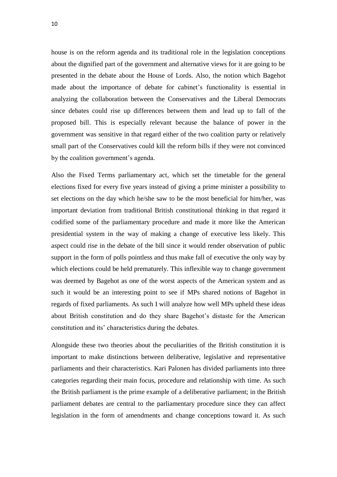house is on the reform agenda and its traditional role in the legislation conceptions about the dignified part of the government and alternative views for it are going to be presented in the debate about the House of Lords. Also, the notion which Bagehot made about the importance of debate for cabinet's functionality is essential in analyzing the collaboration between the Conservatives and the Liberal Democrats since debates could rise up differences between them and lead up to fall of the proposed bill. This is especially relevant because the balance of power in the government was sensitive in that regard either of the two coalition party or relatively small part of the Conservatives could kill the reform bills if they were not convinced by the coalition government's agenda.

Also the Fixed Terms parliamentary act, which set the timetable for the general elections fixed for every five years instead of giving a prime minister a possibility to set elections on the day which he/she saw to be the most beneficial for him/her, was important deviation from traditional British constitutional thinking in that regard it codified some of the parliamentary procedure and made it more like the American presidential system in the way of making a change of executive less likely. This aspect could rise in the debate of the bill since it would render observation of public support in the form of polls pointless and thus make fall of executive the only way by which elections could be held prematurely. This inflexible way to change government was deemed by Bagehot as one of the worst aspects of the American system and as such it would be an interesting point to see if MPs shared notions of Bagehot in regards of fixed parliaments. As such I will analyze how well MPs upheld these ideas about British constitution and do they share Bagehot's distaste for the American constitution and its' characteristics during the debates.

Alongside these two theories about the peculiarities of the British constitution it is important to make distinctions between deliberative, legislative and representative parliaments and their characteristics. Kari Palonen has divided parliaments into three categories regarding their main focus, procedure and relationship with time. As such the British parliament is the prime example of a deliberative parliament; in the British parliament debates are central to the parliamentary procedure since they can affect legislation in the form of amendments and change conceptions toward it. As such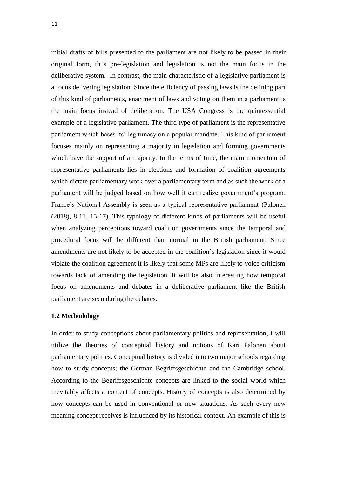initial drafts of bills presented to the parliament are not likely to be passed in their original form, thus pre-legislation and legislation is not the main focus in the deliberative system. In contrast, the main characteristic of a legislative parliament is a focus delivering legislation. Since the efficiency of passing laws is the defining part of this kind of parliaments, enactment of laws and voting on them in a parliament is the main focus instead of deliberation. The USA Congress is the quintessential example of a legislative parliament. The third type of parliament is the representative parliament which bases its' legitimacy on a popular mandate. This kind of parliament focuses mainly on representing a majority in legislation and forming governments which have the support of a majority. In the terms of time, the main momentum of representative parliaments lies in elections and formation of coalition agreements which dictate parliamentary work over a parliamentary term and as such the work of a parliament will be judged based on how well it can realize government's program. France's National Assembly is seen as a typical representative parliament (Palonen (2018), 8-11, 15-17). This typology of different kinds of parliaments will be useful when analyzing perceptions toward coalition governments since the temporal and procedural focus will be different than normal in the British parliament. Since amendments are not likely to be accepted in the coalition's legislation since it would violate the coalition agreement it is likely that some MPs are likely to voice criticism towards lack of amending the legislation. It will be also interesting how temporal focus on amendments and debates in a deliberative parliament like the British parliament are seen during the debates.

# **1.2 Methodology**

In order to study conceptions about parliamentary politics and representation, I will utilize the theories of conceptual history and notions of Kari Palonen about parliamentary politics. Conceptual history is divided into two major schools regarding how to study concepts; the German Begriffsgeschichte and the Cambridge school. According to the Begriffsgeschichte concepts are linked to the social world which inevitably affects a content of concepts. History of concepts is also determined by how concepts can be used in conventional or new situations. As such every new meaning concept receives is influenced by its historical context. An example of this is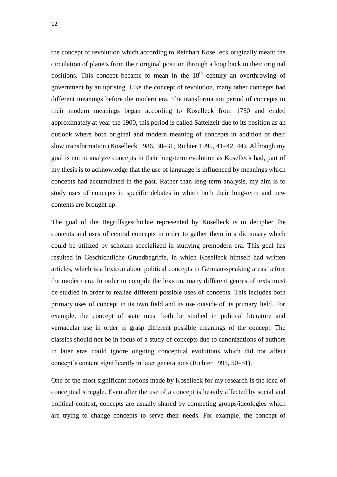the concept of revolution which according to Reinhart Koselleck originally meant the circulation of planets from their original position through a loop back to their original positions. This concept became to mean in the  $18<sup>th</sup>$  century an overthrowing of government by an uprising. Like the concept of revolution, many other concepts had different meanings before the modern era. The transformation period of concepts to their modern meanings began according to Koselleck from 1750 and ended approximately at year the 1900, this period is called Sattelzeit due to its position as an outlook where both original and modern meaning of concepts in addition of their slow transformation (Koselleck 1986, 30–31, Richter 1995, 41–42, 44). Although my goal is not to analyze concepts in their long-term evolution as Koselleck had, part of my thesis is to acknowledge that the use of language is influenced by meanings which concepts had accumulated in the past. Rather than long-term analysis, my aim is to study uses of concepts in specific debates in which both their long-term and new contents are brought up.

The goal of the Begriffsgeschichte represented by Koselleck is to decipher the contents and uses of central concepts in order to gather them in a dictionary which could be utilized by scholars specialized in studying premodern era. This goal has resulted in Geschichtliche Grundbegriffe, in which Koselleck himself had written articles, which is a lexicon about political concepts in German-speaking areas before the modern era. In order to compile the lexicon, many different genres of texts must be studied in order to realize different possible uses of concepts. This includes both primary uses of concept in its own field and its use outside of its primary field. For example, the concept of state must both be studied in political literature and vernacular use in order to grasp different possible meanings of the concept. The classics should not be in focus of a study of concepts due to canonizations of authors in later eras could ignore ongoing conceptual evolutions which did not affect concept's content significantly in later generations (Richter 1995, 50–51).

One of the most significant notions made by Koselleck for my research is the idea of conceptual struggle. Even after the use of a concept is heavily affected by social and political context, concepts are usually shared by competing groups/ideologies which are trying to change concepts to serve their needs. For example, the concept of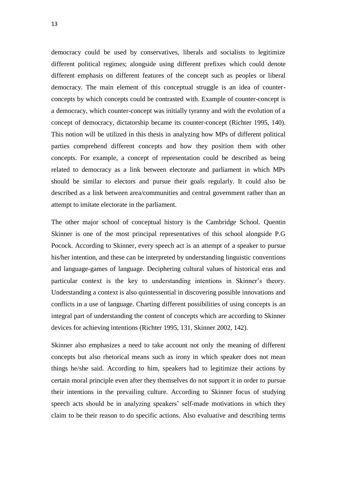democracy could be used by conservatives, liberals and socialists to legitimize different political regimes; alongside using different prefixes which could denote different emphasis on different features of the concept such as peoples or liberal democracy. The main element of this conceptual struggle is an idea of counterconcepts by which concepts could be contrasted with. Example of counter-concept is a democracy, which counter-concept was initially tyranny and with the evolution of a concept of democracy, dictatorship became its counter-concept (Richter 1995, 140). This notion will be utilized in this thesis in analyzing how MPs of different political parties comprehend different concepts and how they position them with other concepts. For example, a concept of representation could be described as being related to democracy as a link between electorate and parliament in which MPs should be similar to electors and pursue their goals regularly. It could also be described as a link between area/communities and central government rather than an attempt to imitate electorate in the parliament.

The other major school of conceptual history is the Cambridge School. Quentin Skinner is one of the most principal representatives of this school alongside P.G Pocock. According to Skinner, every speech act is an attempt of a speaker to pursue his/her intention, and these can be interpreted by understanding linguistic conventions and language-games of language. Deciphering cultural values of historical eras and particular context is the key to understanding intentions in Skinner's theory. Understanding a context is also quintessential in discovering possible innovations and conflicts in a use of language. Charting different possibilities of using concepts is an integral part of understanding the content of concepts which are according to Skinner devices for achieving intentions (Richter 1995, 131, Skinner 2002, 142).

Skinner also emphasizes a need to take account not only the meaning of different concepts but also rhetorical means such as irony in which speaker does not mean things he/she said. According to him, speakers had to legitimize their actions by certain moral principle even after they themselves do not support it in order to pursue their intentions in the prevailing culture. According to Skinner focus of studying speech acts should be in analyzing speakers' self-made motivations in which they claim to be their reason to do specific actions. Also evaluative and describing terms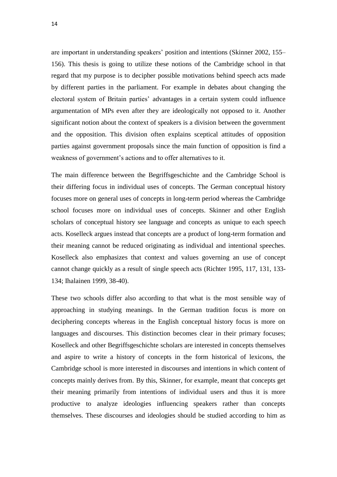are important in understanding speakers' position and intentions (Skinner 2002, 155– 156). This thesis is going to utilize these notions of the Cambridge school in that regard that my purpose is to decipher possible motivations behind speech acts made by different parties in the parliament. For example in debates about changing the electoral system of Britain parties' advantages in a certain system could influence argumentation of MPs even after they are ideologically not opposed to it. Another significant notion about the context of speakers is a division between the government and the opposition. This division often explains sceptical attitudes of opposition parties against government proposals since the main function of opposition is find a weakness of government's actions and to offer alternatives to it.

The main difference between the Begriffsgeschichte and the Cambridge School is their differing focus in individual uses of concepts. The German conceptual history focuses more on general uses of concepts in long-term period whereas the Cambridge school focuses more on individual uses of concepts. Skinner and other English scholars of conceptual history see language and concepts as unique to each speech acts. Koselleck argues instead that concepts are a product of long-term formation and their meaning cannot be reduced originating as individual and intentional speeches. Koselleck also emphasizes that context and values governing an use of concept cannot change quickly as a result of single speech acts (Richter 1995, 117, 131, 133- 134; Ihalainen 1999, 38-40).

These two schools differ also according to that what is the most sensible way of approaching in studying meanings. In the German tradition focus is more on deciphering concepts whereas in the English conceptual history focus is more on languages and discourses. This distinction becomes clear in their primary focuses; Koselleck and other Begriffsgeschichte scholars are interested in concepts themselves and aspire to write a history of concepts in the form historical of lexicons, the Cambridge school is more interested in discourses and intentions in which content of concepts mainly derives from. By this, Skinner, for example, meant that concepts get their meaning primarily from intentions of individual users and thus it is more productive to analyze ideologies influencing speakers rather than concepts themselves. These discourses and ideologies should be studied according to him as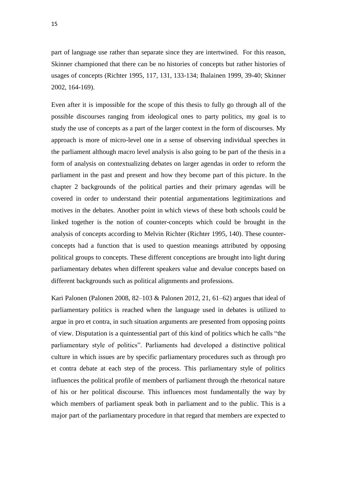part of language use rather than separate since they are intertwined. For this reason, Skinner championed that there can be no histories of concepts but rather histories of usages of concepts (Richter 1995, 117, 131, 133-134; Ihalainen 1999, 39-40; Skinner 2002, 164-169).

Even after it is impossible for the scope of this thesis to fully go through all of the possible discourses ranging from ideological ones to party politics, my goal is to study the use of concepts as a part of the larger context in the form of discourses. My approach is more of micro-level one in a sense of observing individual speeches in the parliament although macro level analysis is also going to be part of the thesis in a form of analysis on contextualizing debates on larger agendas in order to reform the parliament in the past and present and how they become part of this picture. In the chapter 2 backgrounds of the political parties and their primary agendas will be covered in order to understand their potential argumentations legitimizations and motives in the debates. Another point in which views of these both schools could be linked together is the notion of counter-concepts which could be brought in the analysis of concepts according to Melvin Richter (Richter 1995, 140). These counterconcepts had a function that is used to question meanings attributed by opposing political groups to concepts. These different conceptions are brought into light during parliamentary debates when different speakers value and devalue concepts based on different backgrounds such as political alignments and professions.

Kari Palonen (Palonen 2008, 82–103 & Palonen 2012, 21, 61–62) argues that ideal of parliamentary politics is reached when the language used in debates is utilized to argue in pro et contra, in such situation arguments are presented from opposing points of view. Disputation is a quintessential part of this kind of politics which he calls "the parliamentary style of politics". Parliaments had developed a distinctive political culture in which issues are by specific parliamentary procedures such as through pro et contra debate at each step of the process. This parliamentary style of politics influences the political profile of members of parliament through the rhetorical nature of his or her political discourse. This influences most fundamentally the way by which members of parliament speak both in parliament and to the public. This is a major part of the parliamentary procedure in that regard that members are expected to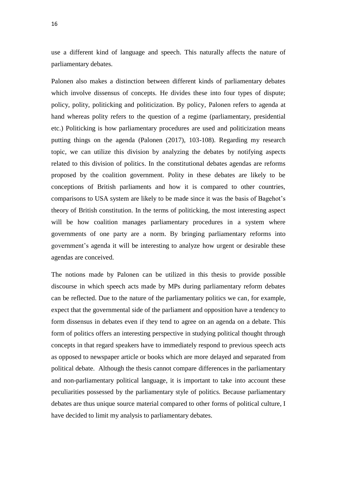use a different kind of language and speech. This naturally affects the nature of parliamentary debates.

Palonen also makes a distinction between different kinds of parliamentary debates which involve dissensus of concepts. He divides these into four types of dispute; policy, polity, politicking and politicization. By policy, Palonen refers to agenda at hand whereas polity refers to the question of a regime (parliamentary, presidential etc.) Politicking is how parliamentary procedures are used and politicization means putting things on the agenda (Palonen (2017), 103-108). Regarding my research topic, we can utilize this division by analyzing the debates by notifying aspects related to this division of politics. In the constitutional debates agendas are reforms proposed by the coalition government. Polity in these debates are likely to be conceptions of British parliaments and how it is compared to other countries, comparisons to USA system are likely to be made since it was the basis of Bagehot's theory of British constitution. In the terms of politicking, the most interesting aspect will be how coalition manages parliamentary procedures in a system where governments of one party are a norm. By bringing parliamentary reforms into government's agenda it will be interesting to analyze how urgent or desirable these agendas are conceived.

The notions made by Palonen can be utilized in this thesis to provide possible discourse in which speech acts made by MPs during parliamentary reform debates can be reflected. Due to the nature of the parliamentary politics we can, for example, expect that the governmental side of the parliament and opposition have a tendency to form dissensus in debates even if they tend to agree on an agenda on a debate. This form of politics offers an interesting perspective in studying political thought through concepts in that regard speakers have to immediately respond to previous speech acts as opposed to newspaper article or books which are more delayed and separated from political debate. Although the thesis cannot compare differences in the parliamentary and non-parliamentary political language, it is important to take into account these peculiarities possessed by the parliamentary style of politics. Because parliamentary debates are thus unique source material compared to other forms of political culture, I have decided to limit my analysis to parliamentary debates.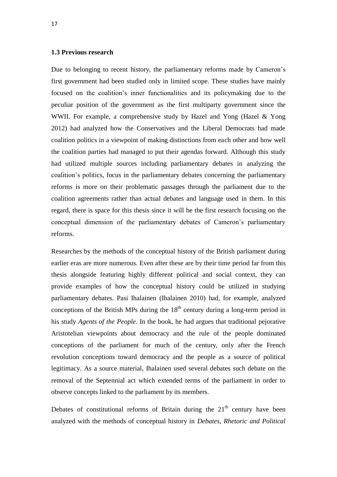# **1.3 Previous research**

Due to belonging to recent history, the parliamentary reforms made by Cameron's first government had been studied only in limited scope. These studies have mainly focused on the coalition's inner functionalities and its policymaking due to the peculiar position of the government as the first multiparty government since the WWII. For example, a comprehensive study by Hazel and Yong (Hazel & Yong 2012) had analyzed how the Conservatives and the Liberal Democrats had made coalition politics in a viewpoint of making distinctions from each other and how well the coalition parties had managed to put their agendas forward. Although this study had utilized multiple sources including parliamentary debates in analyzing the coalition's politics, focus in the parliamentary debates concerning the parliamentary reforms is more on their problematic passages through the parliament due to the coalition agreements rather than actual debates and language used in them. In this regard, there is space for this thesis since it will be the first research focusing on the conceptual dimension of the parliamentary debates of Cameron's parliamentary reforms.

Researches by the methods of the conceptual history of the British parliament during earlier eras are more numerous. Even after these are by their time period far from this thesis alongside featuring highly different political and social context, they can provide examples of how the conceptual history could be utilized in studying parliamentary debates. Pasi Ihalainen (Ihalainen 2010) had, for example, analyzed conceptions of the British MPs during the  $18<sup>th</sup>$  century during a long-term period in his study *Agents of the People*. In the book, he had argues that traditional pejorative Aristotelian viewpoints about democracy and the rule of the people dominated conceptions of the parliament for much of the century, only after the French revolution conceptions toward democracy and the people as a source of political legitimacy. As a source material, Ihalainen used several debates such debate on the removal of the Septennial act which extended terms of the parliament in order to observe concepts linked to the parliament by its members.

Debates of constitutional reforms of Britain during the  $21<sup>th</sup>$  century have been analyzed with the methods of conceptual history in *Debates, Rhetoric and Political*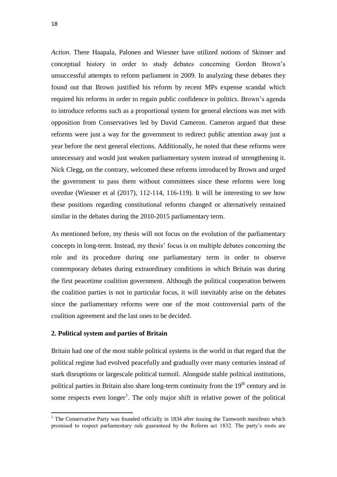*Action*. There Haapala, Palonen and Wiesner have utilized notions of Skinner and conceptual history in order to study debates concerning Gordon Brown's unsuccessful attempts to reform parliament in 2009. In analyzing these debates they found out that Brown justified his reform by recent MPs expense scandal which required his reforms in order to regain public confidence in politics. Brown's agenda to introduce reforms such as a proportional system for general elections was met with opposition from Conservatives led by David Cameron. Cameron argued that these reforms were just a way for the government to redirect public attention away just a year before the next general elections. Additionally, he noted that these reforms were unnecessary and would just weaken parliamentary system instead of strengthening it. Nick Clegg, on the contrary, welcomed these reforms introduced by Brown and urged the government to pass them without committees since these reforms were long overdue (Wiesner et al (2017), 112-114, 116-119). It will be interesting to see how these positions regarding constitutional reforms changed or alternatively remained similar in the debates during the 2010-2015 parliamentary term.

As mentioned before, my thesis will not focus on the evolution of the parliamentary concepts in long-term. Instead, my thesis' focus is on multiple debates concerning the role and its procedure during one parliamentary term in order to observe contemporary debates during extraordinary conditions in which Britain was during the first peacetime coalition government. Although the political cooperation between the coalition parties is not in particular focus, it will inevitably arise on the debates since the parliamentary reforms were one of the most controversial parts of the coalition agreement and the last ones to be decided.

#### **2. Political system and parties of Britain**

1

Britain had one of the most stable political systems in the world in that regard that the political regime had evolved peacefully and gradually over many centuries instead of stark disruptions or largescale political turmoil. Alongside stable political institutions, political parties in Britain also share long-term continuity from the  $19<sup>th</sup>$  century and in some respects even  $\text{longer}^1$ . The only major shift in relative power of the political

<sup>&</sup>lt;sup>1</sup> The Conservative Party was founded officially in 1834 after issuing the Tamworth manifesto which promised to respect parliamentary rule guaranteed by the Reform act 1832. The party's roots are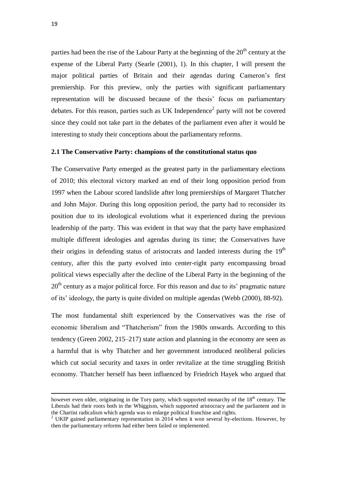parties had been the rise of the Labour Party at the beginning of the  $20<sup>th</sup>$  century at the expense of the Liberal Party (Searle (2001), 1). In this chapter, I will present the major political parties of Britain and their agendas during Cameron's first premiership. For this preview, only the parties with significant parliamentary representation will be discussed because of the thesis' focus on parliamentary debates. For this reason, parties such as UK Independence<sup>2</sup> party will not be covered since they could not take part in the debates of the parliament even after it would be interesting to study their conceptions about the parliamentary reforms.

# **2.1 The Conservative Party: champions of the constitutional status quo**

The Conservative Party emerged as the greatest party in the parliamentary elections of 2010; this electoral victory marked an end of their long opposition period from 1997 when the Labour scored landslide after long premierships of Margaret Thatcher and John Major. During this long opposition period, the party had to reconsider its position due to its ideological evolutions what it experienced during the previous leadership of the party. This was evident in that way that the party have emphasized multiple different ideologies and agendas during its time; the Conservatives have their origins in defending status of aristocrats and landed interests during the  $19<sup>th</sup>$ century, after this the party evolved into center-right party encompassing broad political views especially after the decline of the Liberal Party in the beginning of the  $20<sup>th</sup>$  century as a major political force. For this reason and due to its' pragmatic nature of its' ideology, the party is quite divided on multiple agendas (Webb (2000), 88-92).

The most fundamental shift experienced by the Conservatives was the rise of economic liberalism and "Thatcherism" from the 1980s onwards. According to this tendency (Green 2002, 215–217) state action and planning in the economy are seen as a harmful that is why Thatcher and her government introduced neoliberal policies which cut social security and taxes in order revitalize at the time struggling British economy. Thatcher herself has been influenced by Friedrich Hayek who argued that

 $\overline{a}$ 

however even older, originating in the Tory party, which supported monarchy of the 18<sup>th</sup> century. The Liberals had their roots both in the Whiggism, which supported aristocracy and the parliament and in the Chartist radicalism which agenda was to enlarge political franchise and rights.

<sup>&</sup>lt;sup>2</sup> UKIP gained parliamentary representation in  $2014$  when it won several by-elections. However, by then the parliamentary reforms had either been failed or implemented.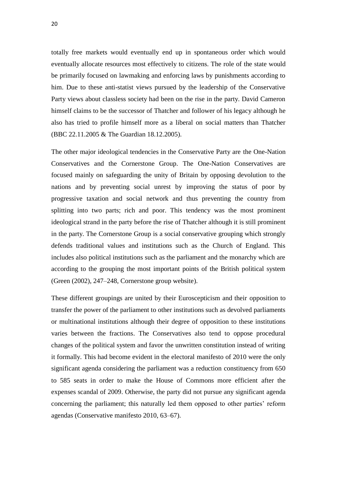totally free markets would eventually end up in spontaneous order which would eventually allocate resources most effectively to citizens. The role of the state would be primarily focused on lawmaking and enforcing laws by punishments according to him. Due to these anti-statist views pursued by the leadership of the Conservative Party views about classless society had been on the rise in the party. David Cameron himself claims to be the successor of Thatcher and follower of his legacy although he also has tried to profile himself more as a liberal on social matters than Thatcher (BBC 22.11.2005 & The Guardian 18.12.2005).

The other major ideological tendencies in the Conservative Party are the One-Nation Conservatives and the Cornerstone Group. The One-Nation Conservatives are focused mainly on safeguarding the unity of Britain by opposing devolution to the nations and by preventing social unrest by improving the status of poor by progressive taxation and social network and thus preventing the country from splitting into two parts; rich and poor. This tendency was the most prominent ideological strand in the party before the rise of Thatcher although it is still prominent in the party. The Cornerstone Group is a social conservative grouping which strongly defends traditional values and institutions such as the Church of England. This includes also political institutions such as the parliament and the monarchy which are according to the grouping the most important points of the British political system (Green (2002), 247–248, Cornerstone group website).

These different groupings are united by their Euroscepticism and their opposition to transfer the power of the parliament to other institutions such as devolved parliaments or multinational institutions although their degree of opposition to these institutions varies between the fractions. The Conservatives also tend to oppose procedural changes of the political system and favor the unwritten constitution instead of writing it formally. This had become evident in the electoral manifesto of 2010 were the only significant agenda considering the parliament was a reduction constituency from 650 to 585 seats in order to make the House of Commons more efficient after the expenses scandal of 2009. Otherwise, the party did not pursue any significant agenda concerning the parliament; this naturally led them opposed to other parties' reform agendas (Conservative manifesto 2010, 63–67).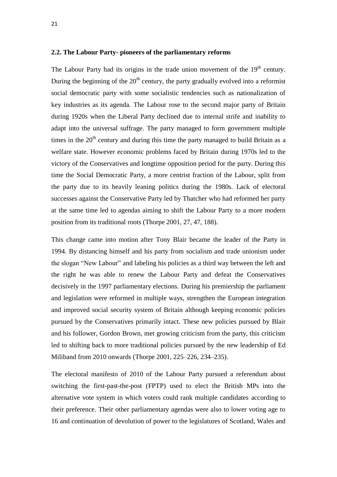#### **2.2. The Labour Party- pioneers of the parliamentary reforms**

The Labour Party had its origins in the trade union movement of the  $19<sup>th</sup>$  century. During the beginning of the  $20<sup>th</sup>$  century, the party gradually evolved into a reformist social democratic party with some socialistic tendencies such as nationalization of key industries as its agenda. The Labour rose to the second major party of Britain during 1920s when the Liberal Party declined due to internal strife and inability to adapt into the universal suffrage. The party managed to form government multiple times in the  $20<sup>th</sup>$  century and during this time the party managed to build Britain as a welfare state. However economic problems faced by Britain during 1970s led to the victory of the Conservatives and longtime opposition period for the party. During this time the Social Democratic Party, a more centrist fraction of the Labour, split from the party due to its heavily leaning politics during the 1980s. Lack of electoral successes against the Conservative Party led by Thatcher who had reformed her party at the same time led to agendas aiming to shift the Labour Party to a more modern position from its traditional roots (Thorpe 2001, 27, 47, 188).

This change came into motion after Tony Blair became the leader of the Party in 1994. By distancing himself and his party from socialism and trade unionism under the slogan "New Labour" and labeling his policies as a third way between the left and the right he was able to renew the Labour Party and defeat the Conservatives decisively in the 1997 parliamentary elections. During his premiership the parliament and legislation were reformed in multiple ways, strengthen the European integration and improved social security system of Britain although keeping economic policies pursued by the Conservatives primarily intact. These new policies pursued by Blair and his follower, Gordon Brown, met growing criticism from the party, this criticism led to shifting back to more traditional policies pursued by the new leadership of Ed Miliband from 2010 onwards (Thorpe 2001, 225–226, 234–235).

The electoral manifesto of 2010 of the Labour Party pursued a referendum about switching the first-past-the-post (FPTP) used to elect the British MPs into the alternative vote system in which voters could rank multiple candidates according to their preference. Their other parliamentary agendas were also to lower voting age to 16 and continuation of devolution of power to the legislatures of Scotland, Wales and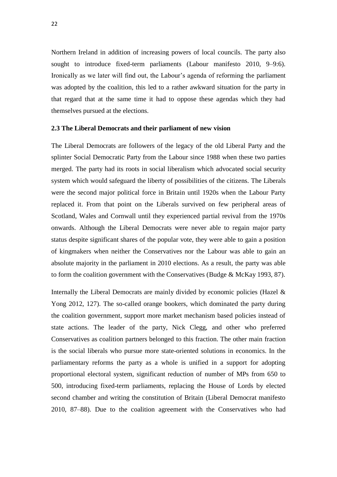Northern Ireland in addition of increasing powers of local councils. The party also sought to introduce fixed-term parliaments (Labour manifesto 2010, 9–9:6). Ironically as we later will find out, the Labour's agenda of reforming the parliament was adopted by the coalition, this led to a rather awkward situation for the party in that regard that at the same time it had to oppose these agendas which they had themselves pursued at the elections.

#### **2.3 The Liberal Democrats and their parliament of new vision**

The Liberal Democrats are followers of the legacy of the old Liberal Party and the splinter Social Democratic Party from the Labour since 1988 when these two parties merged. The party had its roots in social liberalism which advocated social security system which would safeguard the liberty of possibilities of the citizens. The Liberals were the second major political force in Britain until 1920s when the Labour Party replaced it. From that point on the Liberals survived on few peripheral areas of Scotland, Wales and Cornwall until they experienced partial revival from the 1970s onwards. Although the Liberal Democrats were never able to regain major party status despite significant shares of the popular vote, they were able to gain a position of kingmakers when neither the Conservatives nor the Labour was able to gain an absolute majority in the parliament in 2010 elections. As a result, the party was able to form the coalition government with the Conservatives (Budge & McKay 1993, 87).

Internally the Liberal Democrats are mainly divided by economic policies (Hazel  $\&$ Yong 2012, 127). The so-called orange bookers, which dominated the party during the coalition government, support more market mechanism based policies instead of state actions. The leader of the party, Nick Clegg, and other who preferred Conservatives as coalition partners belonged to this fraction. The other main fraction is the social liberals who pursue more state-oriented solutions in economics. In the parliamentary reforms the party as a whole is unified in a support for adopting proportional electoral system, significant reduction of number of MPs from 650 to 500, introducing fixed-term parliaments, replacing the House of Lords by elected second chamber and writing the constitution of Britain (Liberal Democrat manifesto 2010, 87–88). Due to the coalition agreement with the Conservatives who had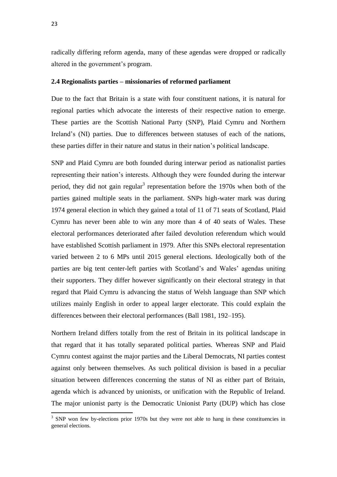radically differing reform agenda, many of these agendas were dropped or radically altered in the government's program.

#### **2.4 Regionalists parties – missionaries of reformed parliament**

Due to the fact that Britain is a state with four constituent nations, it is natural for regional parties which advocate the interests of their respective nation to emerge. These parties are the Scottish National Party (SNP), Plaid Cymru and Northern Ireland's (NI) parties. Due to differences between statuses of each of the nations, these parties differ in their nature and status in their nation's political landscape.

SNP and Plaid Cymru are both founded during interwar period as nationalist parties representing their nation's interests. Although they were founded during the interwar period, they did not gain regular<sup>3</sup> representation before the 1970s when both of the parties gained multiple seats in the parliament. SNPs high-water mark was during 1974 general election in which they gained a total of 11 of 71 seats of Scotland, Plaid Cymru has never been able to win any more than 4 of 40 seats of Wales. These electoral performances deteriorated after failed devolution referendum which would have established Scottish parliament in 1979. After this SNPs electoral representation varied between 2 to 6 MPs until 2015 general elections. Ideologically both of the parties are big tent center-left parties with Scotland's and Wales' agendas uniting their supporters. They differ however significantly on their electoral strategy in that regard that Plaid Cymru is advancing the status of Welsh language than SNP which utilizes mainly English in order to appeal larger electorate. This could explain the differences between their electoral performances (Ball 1981, 192–195).

Northern Ireland differs totally from the rest of Britain in its political landscape in that regard that it has totally separated political parties. Whereas SNP and Plaid Cymru contest against the major parties and the Liberal Democrats, NI parties contest against only between themselves. As such political division is based in a peculiar situation between differences concerning the status of NI as either part of Britain, agenda which is advanced by unionists, or unification with the Republic of Ireland. The major unionist party is the Democratic Unionist Party (DUP) which has close

<sup>&</sup>lt;sup>3</sup> SNP won few by-elections prior 1970s but they were not able to hang in these constituencies in general elections.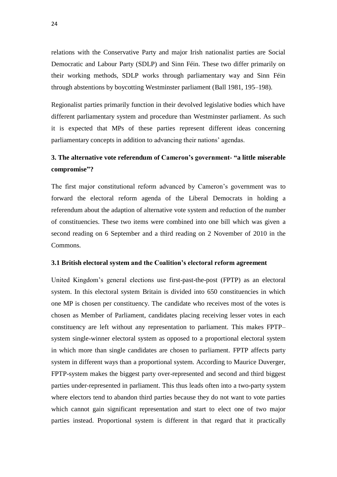relations with the Conservative Party and major Irish nationalist parties are Social Democratic and Labour Party (SDLP) and Sinn Féin. These two differ primarily on their working methods, SDLP works through parliamentary way and Sinn Féin through abstentions by boycotting Westminster parliament (Ball 1981, 195–198).

Regionalist parties primarily function in their devolved legislative bodies which have different parliamentary system and procedure than Westminster parliament. As such it is expected that MPs of these parties represent different ideas concerning parliamentary concepts in addition to advancing their nations' agendas.

# **3. The alternative vote referendum of Cameron's government- "a little miserable compromise"?**

The first major constitutional reform advanced by Cameron's government was to forward the electoral reform agenda of the Liberal Democrats in holding a referendum about the adaption of alternative vote system and reduction of the number of constituencies. These two items were combined into one bill which was given a second reading on 6 September and a third reading on 2 November of 2010 in the Commons.

## **3.1 British electoral system and the Coalition's electoral reform agreement**

United Kingdom's general elections use first-past-the-post (FPTP) as an electoral system. In this electoral system Britain is divided into 650 constituencies in which one MP is chosen per constituency. The candidate who receives most of the votes is chosen as Member of Parliament, candidates placing receiving lesser votes in each constituency are left without any representation to parliament. This makes FPTP– system single-winner electoral system as opposed to a proportional electoral system in which more than single candidates are chosen to parliament. FPTP affects party system in different ways than a proportional system. According to Maurice Duverger, FPTP-system makes the biggest party over-represented and second and third biggest parties under-represented in parliament. This thus leads often into a two-party system where electors tend to abandon third parties because they do not want to vote parties which cannot gain significant representation and start to elect one of two major parties instead. Proportional system is different in that regard that it practically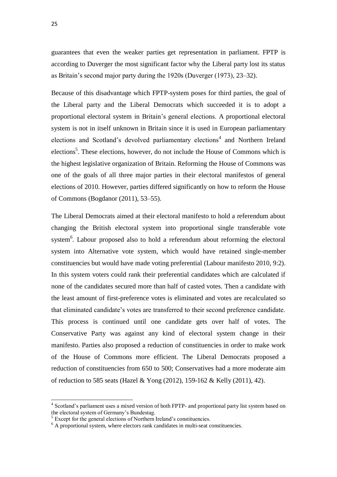guarantees that even the weaker parties get representation in parliament. FPTP is according to Duverger the most significant factor why the Liberal party lost its status as Britain's second major party during the 1920s (Duverger (1973), 23–32).

Because of this disadvantage which FPTP-system poses for third parties, the goal of the Liberal party and the Liberal Democrats which succeeded it is to adopt a proportional electoral system in Britain's general elections. A proportional electoral system is not in itself unknown in Britain since it is used in European parliamentary elections and Scotland's devolved parliamentary elections<sup>4</sup> and Northern Ireland elections<sup>5</sup>. These elections, however, do not include the House of Commons which is the highest legislative organization of Britain. Reforming the House of Commons was one of the goals of all three major parties in their electoral manifestos of general elections of 2010. However, parties differed significantly on how to reform the House of Commons (Bogdanor (2011), 53–55).

The Liberal Democrats aimed at their electoral manifesto to hold a referendum about changing the British electoral system into proportional single transferable vote system<sup>6</sup>. Labour proposed also to hold a referendum about reforming the electoral system into Alternative vote system, which would have retained single-member constituencies but would have made voting preferential (Labour manifesto 2010, 9:2). In this system voters could rank their preferential candidates which are calculated if none of the candidates secured more than half of casted votes. Then a candidate with the least amount of first-preference votes is eliminated and votes are recalculated so that eliminated candidate's votes are transferred to their second preference candidate. This process is continued until one candidate gets over half of votes. The Conservative Party was against any kind of electoral system change in their manifesto. Parties also proposed a reduction of constituencies in order to make work of the House of Commons more efficient. The Liberal Democrats proposed a reduction of constituencies from 650 to 500; Conservatives had a more moderate aim of reduction to 585 seats (Hazel & Yong (2012), 159-162 & Kelly (2011), 42).

1

<sup>&</sup>lt;sup>4</sup> Scotland's parliament uses a mixed version of both FPTP- and proportional party list system based on the electoral system of Germany's Bundestag.

<sup>&</sup>lt;sup>5</sup> Except for the general elections of Northern Ireland's constituencies.

<sup>&</sup>lt;sup>6</sup> A proportional system, where electors rank candidates in multi-seat constituencies.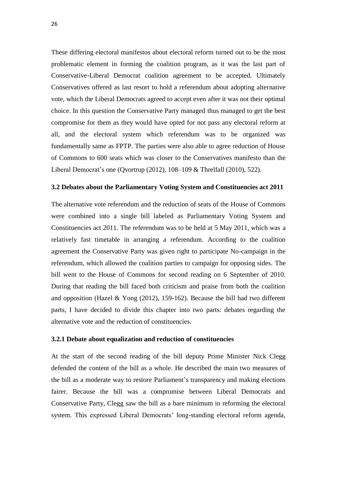These differing electoral manifestos about electoral reform turned out to be the most problematic element in forming the coalition program, as it was the last part of Conservative-Liberal Democrat coalition agreement to be accepted. Ultimately Conservatives offered as last resort to hold a referendum about adopting alternative vote, which the Liberal Democrats agreed to accept even after it was not their optimal choice. In this question the Conservative Party managed thus managed to get the best compromise for them as they would have opted for not pass any electoral reform at all, and the electoral system which referendum was to be organized was fundamentally same as FPTP. The parties were also able to agree reduction of House of Commons to 600 seats which was closer to the Conservatives manifesto than the Liberal Democrat's one (Qvortrup (2012), 108–109 & Threlfall (2010), 522).

#### **3.2 Debates about the Parliamentary Voting System and Constituencies act 2011**

The alternative vote referendum and the reduction of seats of the House of Commons were combined into a single bill labeled as Parliamentary Voting System and Constituencies act 2011. The referendum was to be held at 5 May 2011, which was a relatively fast timetable in arranging a referendum. According to the coalition agreement the Conservative Party was given right to participate No-campaign in the referendum, which allowed the coalition parties to campaign for opposing sides. The bill went to the House of Commons for second reading on 6 September of 2010. During that reading the bill faced both criticism and praise from both the coalition and opposition (Hazel & Yong (2012), 159-162). Because the bill had two different parts, I have decided to divide this chapter into two parts: debates regarding the alternative vote and the reduction of constituencies.

#### **3.2.1 Debate about equalization and reduction of constituencies**

At the start of the second reading of the bill deputy Prime Minister Nick Clegg defended the content of the bill as a whole. He described the main two measures of the bill as a moderate way to restore Parliament's transparency and making elections fairer. Because the bill was a compromise between Liberal Democrats and Conservative Party, Clegg saw the bill as a bare minimum in reforming the electoral system. This expressed Liberal Democrats' long-standing electoral reform agenda,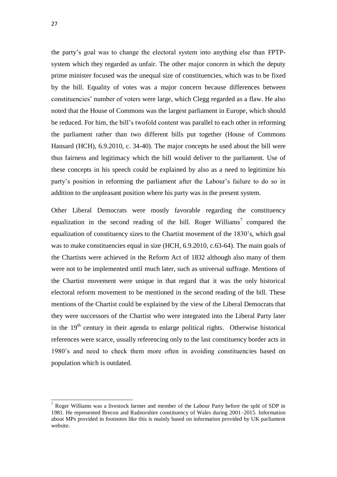the party's goal was to change the electoral system into anything else than FPTPsystem which they regarded as unfair. The other major concern in which the deputy prime minister focused was the unequal size of constituencies, which was to be fixed by the bill. Equality of votes was a major concern because differences between constituencies' number of voters were large, which Clegg regarded as a flaw. He also noted that the House of Commons was the largest parliament in Europe, which should be reduced. For him, the bill's twofold content was parallel to each other in reforming the parliament rather than two different bills put together (House of Commons Hansard (HCH), 6.9.2010, c. 34-40). The major concepts he used about the bill were thus fairness and legitimacy which the bill would deliver to the parliament. Use of these concepts in his speech could be explained by also as a need to legitimize his party's position in reforming the parliament after the Labour's failure to do so in addition to the unpleasant position where his party was in the present system.

Other Liberal Democrats were mostly favorable regarding the constituency equalization in the second reading of the bill. Roger Williams<sup>7</sup> compared the equalization of constituency sizes to the Chartist movement of the 1830's, which goal was to make constituencies equal in size (HCH, 6.9.2010, c.63-64). The main goals of the Chartists were achieved in the Reform Act of 1832 although also many of them were not to be implemented until much later, such as universal suffrage. Mentions of the Chartist movement were unique in that regard that it was the only historical electoral reform movement to be mentioned in the second reading of the bill. These mentions of the Chartist could be explained by the view of the Liberal Democrats that they were successors of the Chartist who were integrated into the Liberal Party later in the  $19<sup>th</sup>$  century in their agenda to enlarge political rights. Otherwise historical references were scarce, usually referencing only to the last constituency border acts in 1980's and need to check them more often in avoiding constituencies based on population which is outdated.

1

 $<sup>7</sup>$  Roger Williams was a livestock farmer and member of the Labour Party before the split of SDP in</sup> 1981. He represented Brecon and Radnorshire constituency of Wales during 2001–2015. Information about MPs provided in footnotes like this is mainly based on information provided by UK parliament website.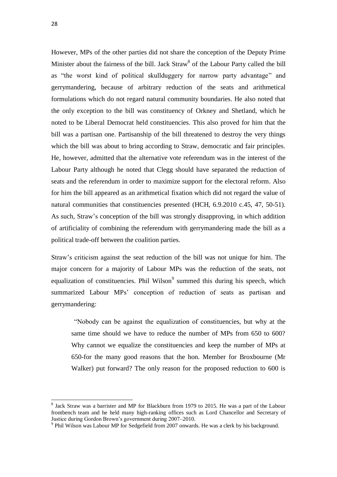28

1

However, MPs of the other parties did not share the conception of the Deputy Prime Minister about the fairness of the bill. Jack Straw<sup>8</sup> of the Labour Party called the bill as "the worst kind of political skullduggery for narrow party advantage" and gerrymandering, because of arbitrary reduction of the seats and arithmetical formulations which do not regard natural community boundaries. He also noted that the only exception to the bill was constituency of Orkney and Shetland, which he noted to be Liberal Democrat held constituencies. This also proved for him that the bill was a partisan one. Partisanship of the bill threatened to destroy the very things which the bill was about to bring according to Straw, democratic and fair principles. He, however, admitted that the alternative vote referendum was in the interest of the Labour Party although he noted that Clegg should have separated the reduction of seats and the referendum in order to maximize support for the electoral reform. Also for him the bill appeared as an arithmetical fixation which did not regard the value of natural communities that constituencies presented (HCH, 6.9.2010 c.45, 47, 50-51). As such, Straw's conception of the bill was strongly disapproving, in which addition of artificiality of combining the referendum with gerrymandering made the bill as a political trade-off between the coalition parties.

Straw's criticism against the seat reduction of the bill was not unique for him. The major concern for a majority of Labour MPs was the reduction of the seats, not equalization of constituencies. Phil Wilson<sup>9</sup> summed this during his speech, which summarized Labour MPs' conception of reduction of seats as partisan and gerrymandering:

"Nobody can be against the equalization of constituencies, but why at the same time should we have to reduce the number of MPs from 650 to 600? Why cannot we equalize the constituencies and keep the number of MPs at 650-for the many good reasons that the hon. Member for Broxbourne (Mr Walker) put forward? The only reason for the proposed reduction to 600 is

<sup>&</sup>lt;sup>8</sup> Jack Straw was a barrister and MP for Blackburn from 1979 to 2015. He was a part of the Labour frontbench team and he held many high-ranking offices such as Lord Chancellor and Secretary of Justice during Gordon Brown's government during 2007–2010.

<sup>&</sup>lt;sup>9</sup> Phil Wilson was Labour MP for Sedgefield from 2007 onwards. He was a clerk by his background.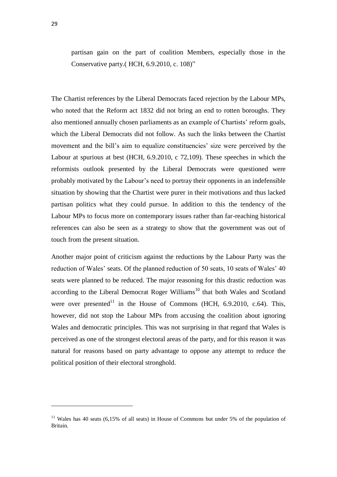partisan gain on the part of coalition Members, especially those in the Conservative party.( HCH, 6.9.2010, c. 108)"

The Chartist references by the Liberal Democrats faced rejection by the Labour MPs, who noted that the Reform act 1832 did not bring an end to rotten boroughs. They also mentioned annually chosen parliaments as an example of Chartists' reform goals, which the Liberal Democrats did not follow. As such the links between the Chartist movement and the bill's aim to equalize constituencies' size were perceived by the Labour at spurious at best (HCH, 6.9.2010, c 72,109). These speeches in which the reformists outlook presented by the Liberal Democrats were questioned were probably motivated by the Labour's need to portray their opponents in an indefensible situation by showing that the Chartist were purer in their motivations and thus lacked partisan politics what they could pursue. In addition to this the tendency of the Labour MPs to focus more on contemporary issues rather than far-reaching historical references can also be seen as a strategy to show that the government was out of touch from the present situation.

Another major point of criticism against the reductions by the Labour Party was the reduction of Wales' seats. Of the planned reduction of 50 seats, 10 seats of Wales' 40 seats were planned to be reduced. The major reasoning for this drastic reduction was according to the Liberal Democrat Roger Williams<sup>10</sup> that both Wales and Scotland were over presented<sup>11</sup> in the House of Commons (HCH,  $6.9.2010$ ,  $c.64$ ). This, however, did not stop the Labour MPs from accusing the coalition about ignoring Wales and democratic principles. This was not surprising in that regard that Wales is perceived as one of the strongest electoral areas of the party, and for this reason it was natural for reasons based on party advantage to oppose any attempt to reduce the political position of their electoral stronghold.

 $\overline{a}$ 

<sup>&</sup>lt;sup>11</sup> Wales has 40 seats (6,15% of all seats) in House of Commons but under 5% of the population of Britain.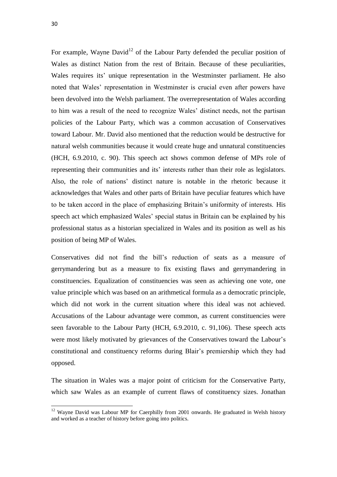$\overline{a}$ 

For example, Wayne David<sup>12</sup> of the Labour Party defended the peculiar position of Wales as distinct Nation from the rest of Britain. Because of these peculiarities, Wales requires its' unique representation in the Westminster parliament. He also noted that Wales' representation in Westminster is crucial even after powers have been devolved into the Welsh parliament. The overrepresentation of Wales according to him was a result of the need to recognize Wales' distinct needs, not the partisan policies of the Labour Party, which was a common accusation of Conservatives toward Labour. Mr. David also mentioned that the reduction would be destructive for natural welsh communities because it would create huge and unnatural constituencies (HCH, 6.9.2010, c. 90). This speech act shows common defense of MPs role of representing their communities and its' interests rather than their role as legislators. Also, the role of nations' distinct nature is notable in the rhetoric because it acknowledges that Wales and other parts of Britain have peculiar features which have to be taken accord in the place of emphasizing Britain's uniformity of interests. His speech act which emphasized Wales' special status in Britain can be explained by his professional status as a historian specialized in Wales and its position as well as his position of being MP of Wales.

Conservatives did not find the bill's reduction of seats as a measure of gerrymandering but as a measure to fix existing flaws and gerrymandering in constituencies. Equalization of constituencies was seen as achieving one vote, one value principle which was based on an arithmetical formula as a democratic principle, which did not work in the current situation where this ideal was not achieved. Accusations of the Labour advantage were common, as current constituencies were seen favorable to the Labour Party (HCH, 6.9.2010, c. 91,106). These speech acts were most likely motivated by grievances of the Conservatives toward the Labour's constitutional and constituency reforms during Blair's premiership which they had opposed.

The situation in Wales was a major point of criticism for the Conservative Party, which saw Wales as an example of current flaws of constituency sizes. Jonathan

 $12$  Wayne David was Labour MP for Caerphilly from 2001 onwards. He graduated in Welsh history and worked as a teacher of history before going into politics.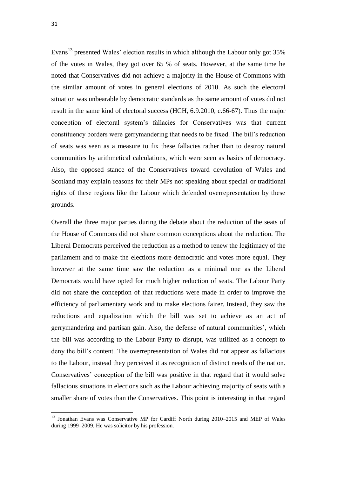Evans<sup>13</sup> presented Wales' election results in which although the Labour only got 35% of the votes in Wales, they got over 65 % of seats. However, at the same time he noted that Conservatives did not achieve a majority in the House of Commons with the similar amount of votes in general elections of 2010. As such the electoral situation was unbearable by democratic standards as the same amount of votes did not result in the same kind of electoral success (HCH, 6.9.2010, c.66-67). Thus the major conception of electoral system's fallacies for Conservatives was that current constituency borders were gerrymandering that needs to be fixed. The bill's reduction of seats was seen as a measure to fix these fallacies rather than to destroy natural communities by arithmetical calculations, which were seen as basics of democracy. Also, the opposed stance of the Conservatives toward devolution of Wales and Scotland may explain reasons for their MPs not speaking about special or traditional rights of these regions like the Labour which defended overrepresentation by these grounds.

Overall the three major parties during the debate about the reduction of the seats of the House of Commons did not share common conceptions about the reduction. The Liberal Democrats perceived the reduction as a method to renew the legitimacy of the parliament and to make the elections more democratic and votes more equal. They however at the same time saw the reduction as a minimal one as the Liberal Democrats would have opted for much higher reduction of seats. The Labour Party did not share the conception of that reductions were made in order to improve the efficiency of parliamentary work and to make elections fairer. Instead, they saw the reductions and equalization which the bill was set to achieve as an act of gerrymandering and partisan gain. Also, the defense of natural communities', which the bill was according to the Labour Party to disrupt, was utilized as a concept to deny the bill's content. The overrepresentation of Wales did not appear as fallacious to the Labour, instead they perceived it as recognition of distinct needs of the nation. Conservatives' conception of the bill was positive in that regard that it would solve fallacious situations in elections such as the Labour achieving majority of seats with a smaller share of votes than the Conservatives. This point is interesting in that regard

1

<sup>&</sup>lt;sup>13</sup> Jonathan Evans was Conservative MP for Cardiff North during 2010–2015 and MEP of Wales during 1999–2009. He was solicitor by his profession.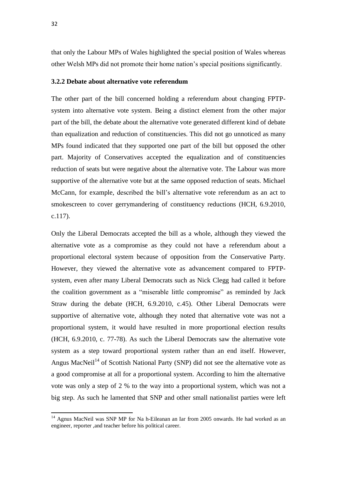that only the Labour MPs of Wales highlighted the special position of Wales whereas other Welsh MPs did not promote their home nation's special positions significantly.

#### **3.2.2 Debate about alternative vote referendum**

The other part of the bill concerned holding a referendum about changing FPTPsystem into alternative vote system. Being a distinct element from the other major part of the bill, the debate about the alternative vote generated different kind of debate than equalization and reduction of constituencies. This did not go unnoticed as many MPs found indicated that they supported one part of the bill but opposed the other part. Majority of Conservatives accepted the equalization and of constituencies reduction of seats but were negative about the alternative vote. The Labour was more supportive of the alternative vote but at the same opposed reduction of seats. Michael McCann, for example, described the bill's alternative vote referendum as an act to smokescreen to cover gerrymandering of constituency reductions (HCH, 6.9.2010, c.117).

Only the Liberal Democrats accepted the bill as a whole, although they viewed the alternative vote as a compromise as they could not have a referendum about a proportional electoral system because of opposition from the Conservative Party. However, they viewed the alternative vote as advancement compared to FPTPsystem, even after many Liberal Democrats such as Nick Clegg had called it before the coalition government as a "miserable little compromise" as reminded by Jack Straw during the debate (HCH, 6.9.2010, c.45). Other Liberal Democrats were supportive of alternative vote, although they noted that alternative vote was not a proportional system, it would have resulted in more proportional election results (HCH, 6.9.2010, c. 77-78). As such the Liberal Democrats saw the alternative vote system as a step toward proportional system rather than an end itself. However, Angus MacNeil<sup>14</sup> of Scottish National Party (SNP) did not see the alternative vote as a good compromise at all for a proportional system. According to him the alternative vote was only a step of 2 % to the way into a proportional system, which was not a big step. As such he lamented that SNP and other small nationalist parties were left

1

<sup>&</sup>lt;sup>14</sup> Agnus MacNeil was SNP MP for Na h-Eileanan an Iar from 2005 onwards. He had worked as an engineer, reporter ,and teacher before his political career.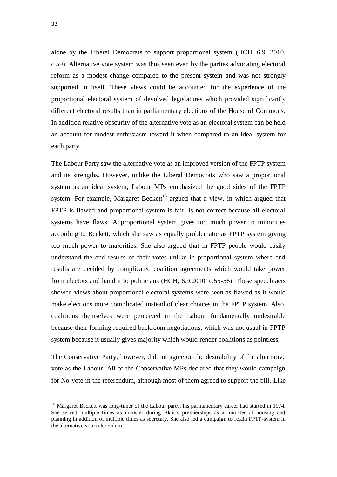alone by the Liberal Democrats to support proportional system (HCH, 6.9. 2010, c.59). Alternative vote system was thus seen even by the parties advocating electoral reform as a modest change compared to the present system and was not strongly supported in itself. These views could be accounted for the experience of the proportional electoral system of devolved legislatures which provided significantly different electoral results than in parliamentary elections of the House of Commons. In addition relative obscurity of the alternative vote as an electoral system can be held an account for modest enthusiasm toward it when compared to an ideal system for each party.

The Labour Party saw the alternative vote as an improved version of the FPTP system and its strengths. However, unlike the Liberal Democrats who saw a proportional system as an ideal system, Labour MPs emphasized the good sides of the FPTP system. For example, Margaret Beckett<sup>15</sup> argued that a view, in which argued that FPTP is flawed and proportional system is fair, is not correct because all electoral systems have flaws. A proportional system gives too much power to minorities according to Beckett, which she saw as equally problematic as FPTP system giving too much power to majorities. She also argued that in FPTP people would easily understand the end results of their votes unlike in proportional system where end results are decided by complicated coalition agreements which would take power from electors and hand it to politicians (HCH, 6.9.2010, c.55-56). These speech acts showed views about proportional electoral systems were seen as flawed as it would make elections more complicated instead of clear choices in the FPTP system. Also, coalitions themselves were perceived in the Labour fundamentally undesirable because their forming required backroom negotiations, which was not usual in FPTP system because it usually gives majority which would render coalitions as pointless.

The Conservative Party, however, did not agree on the desirability of the alternative vote as the Labour. All of the Conservative MPs declared that they would campaign for No-vote in the referendum, although most of them agreed to support the bill. Like

<sup>&</sup>lt;sup>15</sup> Margaret Beckett was long-timer of the Labour party; his parliamentary career had started in 1974. She served multiple times as minister during Blair's premierships as a minister of housing and planning in addition of multiple times as secretary. She also led a campaign to retain FPTP-system in the alternative vote referendum.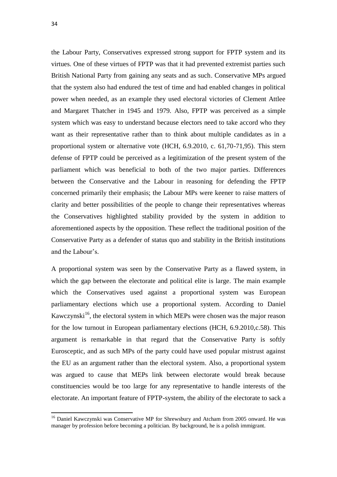1

the Labour Party, Conservatives expressed strong support for FPTP system and its virtues. One of these virtues of FPTP was that it had prevented extremist parties such British National Party from gaining any seats and as such. Conservative MPs argued that the system also had endured the test of time and had enabled changes in political power when needed, as an example they used electoral victories of Clement Attlee and Margaret Thatcher in 1945 and 1979. Also, FPTP was perceived as a simple system which was easy to understand because electors need to take accord who they want as their representative rather than to think about multiple candidates as in a proportional system or alternative vote (HCH, 6.9.2010, c. 61,70-71,95). This stern defense of FPTP could be perceived as a legitimization of the present system of the parliament which was beneficial to both of the two major parties. Differences between the Conservative and the Labour in reasoning for defending the FPTP concerned primarily their emphasis; the Labour MPs were keener to raise matters of clarity and better possibilities of the people to change their representatives whereas the Conservatives highlighted stability provided by the system in addition to aforementioned aspects by the opposition. These reflect the traditional position of the Conservative Party as a defender of status quo and stability in the British institutions and the Labour's.

A proportional system was seen by the Conservative Party as a flawed system, in which the gap between the electorate and political elite is large. The main example which the Conservatives used against a proportional system was European parliamentary elections which use a proportional system. According to Daniel Kawczynski<sup>16</sup>, the electoral system in which MEPs were chosen was the major reason for the low turnout in European parliamentary elections (HCH, 6.9.2010,c.58). This argument is remarkable in that regard that the Conservative Party is softly Eurosceptic, and as such MPs of the party could have used popular mistrust against the EU as an argument rather than the electoral system. Also, a proportional system was argued to cause that MEPs link between electorate would break because constituencies would be too large for any representative to handle interests of the electorate. An important feature of FPTP-system, the ability of the electorate to sack a

<sup>&</sup>lt;sup>16</sup> Daniel Kawczynski was Conservative MP for Shrewsbury and Atcham from 2005 onward. He was manager by profession before becoming a politician. By background, he is a polish immigrant.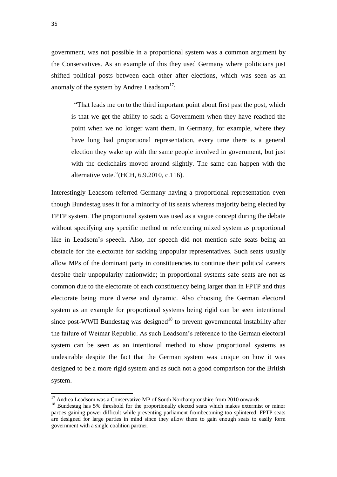government, was not possible in a proportional system was a common argument by the Conservatives. As an example of this they used Germany where politicians just shifted political posts between each other after elections, which was seen as an anomaly of the system by Andrea Leadsom $^{17}$ :

"That leads me on to the third important point about first past the post, which is that we get the ability to sack a Government when they have reached the point when we no longer want them. In Germany, for example, where they have long had proportional representation, every time there is a general election they wake up with the same people involved in government, but just with the deckchairs moved around slightly. The same can happen with the alternative vote."(HCH, 6.9.2010, c.116).

Interestingly Leadsom referred Germany having a proportional representation even though Bundestag uses it for a minority of its seats whereas majority being elected by FPTP system. The proportional system was used as a vague concept during the debate without specifying any specific method or referencing mixed system as proportional like in Leadsom's speech. Also, her speech did not mention safe seats being an obstacle for the electorate for sacking unpopular representatives. Such seats usually allow MPs of the dominant party in constituencies to continue their political careers despite their unpopularity nationwide; in proportional systems safe seats are not as common due to the electorate of each constituency being larger than in FPTP and thus electorate being more diverse and dynamic. Also choosing the German electoral system as an example for proportional systems being rigid can be seen intentional since post-WWII Bundestag was designed<sup>18</sup> to prevent governmental instability after the failure of Weimar Republic. As such Leadsom's reference to the German electoral system can be seen as an intentional method to show proportional systems as undesirable despite the fact that the German system was unique on how it was designed to be a more rigid system and as such not a good comparison for the British system.

 $\overline{a}$ 

 $17$  Andrea Leadsom was a Conservative MP of South Northamptonshire from 2010 onwards.

<sup>&</sup>lt;sup>18</sup> Bundestag has 5% threshold for the proportionally elected seats which makes extermist or minor parties gaining power difficult while preventing parliament frombecoming too splintered. FPTP seats are designed for large parties in mind since they allow them to gain enough seats to easily form government with a single coalition partner.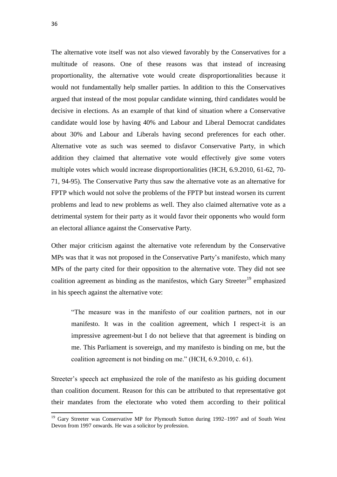36

1

The alternative vote itself was not also viewed favorably by the Conservatives for a multitude of reasons. One of these reasons was that instead of increasing proportionality, the alternative vote would create disproportionalities because it would not fundamentally help smaller parties. In addition to this the Conservatives argued that instead of the most popular candidate winning, third candidates would be decisive in elections. As an example of that kind of situation where a Conservative candidate would lose by having 40% and Labour and Liberal Democrat candidates about 30% and Labour and Liberals having second preferences for each other. Alternative vote as such was seemed to disfavor Conservative Party, in which addition they claimed that alternative vote would effectively give some voters multiple votes which would increase disproportionalities (HCH, 6.9.2010, 61-62, 70- 71, 94-95). The Conservative Party thus saw the alternative vote as an alternative for FPTP which would not solve the problems of the FPTP but instead worsen its current problems and lead to new problems as well. They also claimed alternative vote as a detrimental system for their party as it would favor their opponents who would form an electoral alliance against the Conservative Party.

Other major criticism against the alternative vote referendum by the Conservative MPs was that it was not proposed in the Conservative Party's manifesto, which many MPs of the party cited for their opposition to the alternative vote. They did not see coalition agreement as binding as the manifestos, which Gary Streeter<sup>19</sup> emphasized in his speech against the alternative vote:

"The measure was in the manifesto of our coalition partners, not in our manifesto. It was in the coalition agreement, which I respect-it is an impressive agreement-but I do not believe that that agreement is binding on me. This Parliament is sovereign, and my manifesto is binding on me, but the coalition agreement is not binding on me." (HCH, 6.9.2010, c. 61).

Streeter's speech act emphasized the role of the manifesto as his guiding document than coalition document. Reason for this can be attributed to that representative got their mandates from the electorate who voted them according to their political

<sup>&</sup>lt;sup>19</sup> Gary Streeter was Conservative MP for Plymouth Sutton during 1992–1997 and of South West Devon from 1997 onwards. He was a solicitor by profession.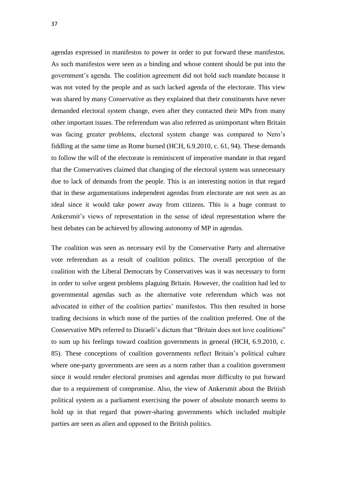agendas expressed in manifestos to power in order to put forward these manifestos. As such manifestos were seen as a binding and whose content should be put into the government's agenda. The coalition agreement did not hold such mandate because it was not voted by the people and as such lacked agenda of the electorate. This view was shared by many Conservative as they explained that their constituents have never demanded electoral system change, even after they contacted their MPs from many other important issues. The referendum was also referred as unimportant when Britain was facing greater problems, electoral system change was compared to Nero's fiddling at the same time as Rome burned (HCH, 6.9.2010, c. 61, 94). These demands to follow the will of the electorate is reminiscent of imperative mandate in that regard that the Conservatives claimed that changing of the electoral system was unnecessary due to lack of demands from the people. This is an interesting notion in that regard that in these argumentations independent agendas from electorate are not seen as an ideal since it would take power away from citizens. This is a huge contrast to Ankersmit's views of representation in the sense of ideal representation where the best debates can be achieved by allowing autonomy of MP in agendas.

The coalition was seen as necessary evil by the Conservative Party and alternative vote referendum as a result of coalition politics. The overall perception of the coalition with the Liberal Democrats by Conservatives was it was necessary to form in order to solve urgent problems plaguing Britain. However, the coalition had led to governmental agendas such as the alternative vote referendum which was not advocated in either of the coalition parties' manifestos. This then resulted in horse trading decisions in which none of the parties of the coalition preferred. One of the Conservative MPs referred to Disraeli's dictum that "Britain does not love coalitions" to sum up his feelings toward coalition governments in general (HCH, 6.9.2010, c. 85). These conceptions of coalition governments reflect Britain's political culture where one-party governments are seen as a norm rather than a coalition government since it would render electoral promises and agendas more difficulty to put forward due to a requirement of compromise. Also, the view of Ankersmit about the British political system as a parliament exercising the power of absolute monarch seems to hold up in that regard that power-sharing governments which included multiple parties are seen as alien and opposed to the British politics.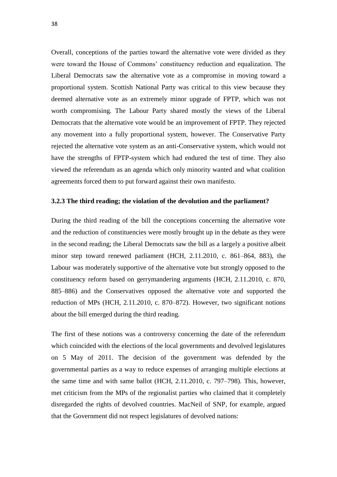Overall, conceptions of the parties toward the alternative vote were divided as they were toward the House of Commons' constituency reduction and equalization. The Liberal Democrats saw the alternative vote as a compromise in moving toward a proportional system. Scottish National Party was critical to this view because they deemed alternative vote as an extremely minor upgrade of FPTP, which was not worth compromising. The Labour Party shared mostly the views of the Liberal Democrats that the alternative vote would be an improvement of FPTP. They rejected any movement into a fully proportional system, however. The Conservative Party rejected the alternative vote system as an anti-Conservative system, which would not have the strengths of FPTP-system which had endured the test of time. They also viewed the referendum as an agenda which only minority wanted and what coalition agreements forced them to put forward against their own manifesto.

## **3.2.3 The third reading; the violation of the devolution and the parliament?**

During the third reading of the bill the conceptions concerning the alternative vote and the reduction of constituencies were mostly brought up in the debate as they were in the second reading; the Liberal Democrats saw the bill as a largely a positive albeit minor step toward renewed parliament (HCH, 2.11.2010, c. 861–864, 883), the Labour was moderately supportive of the alternative vote but strongly opposed to the constituency reform based on gerrymandering arguments (HCH, 2.11.2010, c. 870, 885–886) and the Conservatives opposed the alternative vote and supported the reduction of MPs (HCH, 2.11.2010, c. 870–872). However, two significant notions about the bill emerged during the third reading.

The first of these notions was a controversy concerning the date of the referendum which coincided with the elections of the local governments and devolved legislatures on 5 May of 2011. The decision of the government was defended by the governmental parties as a way to reduce expenses of arranging multiple elections at the same time and with same ballot (HCH, 2.11.2010, c. 797–798). This, however, met criticism from the MPs of the regionalist parties who claimed that it completely disregarded the rights of devolved countries. MacNeil of SNP, for example, argued that the Government did not respect legislatures of devolved nations: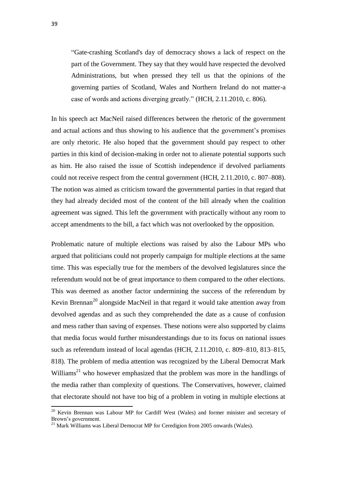"Gate-crashing Scotland's day of democracy shows a lack of respect on the part of the Government. They say that they would have respected the devolved Administrations, but when pressed they tell us that the opinions of the governing parties of Scotland, Wales and Northern Ireland do not matter-a case of words and actions diverging greatly." (HCH, 2.11.2010, c. 806).

In his speech act MacNeil raised differences between the rhetoric of the government and actual actions and thus showing to his audience that the government's promises are only rhetoric. He also hoped that the government should pay respect to other parties in this kind of decision-making in order not to alienate potential supports such as him. He also raised the issue of Scottish independence if devolved parliaments could not receive respect from the central government (HCH, 2.11.2010, c. 807–808). The notion was aimed as criticism toward the governmental parties in that regard that they had already decided most of the content of the bill already when the coalition agreement was signed. This left the government with practically without any room to accept amendments to the bill, a fact which was not overlooked by the opposition.

Problematic nature of multiple elections was raised by also the Labour MPs who argued that politicians could not properly campaign for multiple elections at the same time. This was especially true for the members of the devolved legislatures since the referendum would not be of great importance to them compared to the other elections. This was deemed as another factor undermining the success of the referendum by Kevin Brennan<sup>20</sup> alongside MacNeil in that regard it would take attention away from devolved agendas and as such they comprehended the date as a cause of confusion and mess rather than saving of expenses. These notions were also supported by claims that media focus would further misunderstandings due to its focus on national issues such as referendum instead of local agendas (HCH, 2.11.2010, c. 809–810, 813–815, 818). The problem of media attention was recognized by the Liberal Democrat Mark Williams<sup>21</sup> who however emphasized that the problem was more in the handlings of the media rather than complexity of questions. The Conservatives, however, claimed that electorate should not have too big of a problem in voting in multiple elections at

<sup>&</sup>lt;sup>20</sup> Kevin Brennan was Labour MP for Cardiff West (Wales) and former minister and secretary of Brown's government.

 $21$  Mark Williams was Liberal Democrat MP for Ceredigion from 2005 onwards (Wales).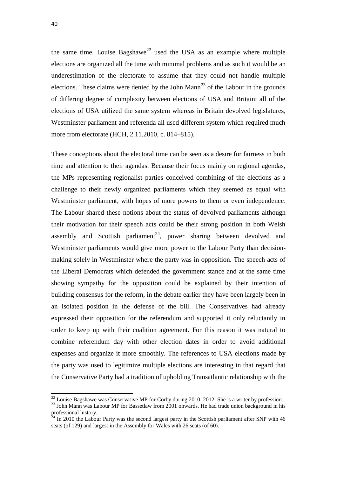the same time. Louise Bagshawe<sup>22</sup> used the USA as an example where multiple elections are organized all the time with minimal problems and as such it would be an underestimation of the electorate to assume that they could not handle multiple elections. These claims were denied by the John Mann<sup>23</sup> of the Labour in the grounds of differing degree of complexity between elections of USA and Britain; all of the elections of USA utilized the same system whereas in Britain devolved legislatures, Westminster parliament and referenda all used different system which required much more from electorate (HCH, 2.11.2010, c. 814–815).

These conceptions about the electoral time can be seen as a desire for fairness in both time and attention to their agendas. Because their focus mainly on regional agendas, the MPs representing regionalist parties conceived combining of the elections as a challenge to their newly organized parliaments which they seemed as equal with Westminster parliament, with hopes of more powers to them or even independence. The Labour shared these notions about the status of devolved parliaments although their motivation for their speech acts could be their strong position in both Welsh assembly and Scottish parliament<sup>24</sup>, power sharing between devolved and Westminster parliaments would give more power to the Labour Party than decisionmaking solely in Westminster where the party was in opposition. The speech acts of the Liberal Democrats which defended the government stance and at the same time showing sympathy for the opposition could be explained by their intention of building consensus for the reform, in the debate earlier they have been largely been in an isolated position in the defense of the bill. The Conservatives had already expressed their opposition for the referendum and supported it only reluctantly in order to keep up with their coalition agreement. For this reason it was natural to combine referendum day with other election dates in order to avoid additional expenses and organize it more smoothly. The references to USA elections made by the party was used to legitimize multiple elections are interesting in that regard that the Conservative Party had a tradition of upholding Transatlantic relationship with the

 $\overline{a}$ 

 $^{22}$  Louise Bagshawe was Conservative MP for Corby during 2010–2012. She is a writer by profession.

<sup>&</sup>lt;sup>23</sup> John Mann was Labour MP for Bassetlaw from 2001 onwards. He had trade union background in his professional history.

 $24$  In 2010 the Labour Party was the second largest party in the Scottish parliament after SNP with 46 seats (of 129) and largest in the Assembly for Wales with 26 seats (of 60).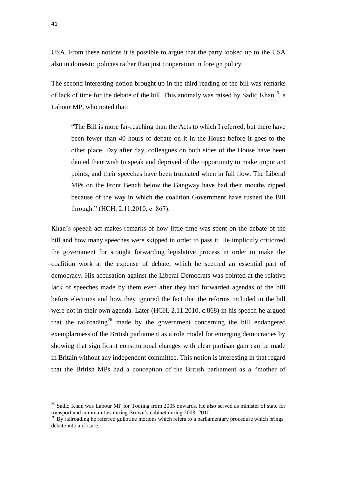USA. From these notions it is possible to argue that the party looked up to the USA also in domestic policies rather than just cooperation in foreign policy.

The second interesting notion brought up in the third reading of the bill was remarks of lack of time for the debate of the bill. This anomaly was raised by Sadiq Khan<sup>25</sup>, a Labour MP, who noted that:

"The Bill is more far-reaching than the Acts to which I referred, but there have been fewer than 40 hours of debate on it in the House before it goes to the other place. Day after day, colleagues on both sides of the House have been denied their wish to speak and deprived of the opportunity to make important points, and their speeches have been truncated when in full flow. The Liberal MPs on the Front Bench below the Gangway have had their mouths zipped because of the way in which the coalition Government have rushed the Bill through." (HCH, 2.11.2010, c. 867).

Khan's speech act makes remarks of how little time was spent on the debate of the bill and how many speeches were skipped in order to pass it. He implicitly criticized the government for straight forwarding legislative process in order to make the coalition work at the expense of debate, which he seemed an essential part of democracy. His accusation against the Liberal Democrats was pointed at the relative lack of speeches made by them even after they had forwarded agendas of the bill before elections and how they ignored the fact that the reforms included in the bill were not in their own agenda. Later (HCH, 2.11.2010, c.868) in his speech he argued that the railroading<sup>26</sup> made by the government concerning the bill endangered exemplariness of the British parliament as a role model for emerging democracies by showing that significant constitutional changes with clear partisan gain can be made in Britain without any independent committee. This notion is interesting in that regard that the British MPs had a conception of the British parliament as a "mother of

<sup>&</sup>lt;sup>25</sup> Sadiq Khan was Labour MP for Tooting from 2005 onwards. He also served as minister of state for transport and communities during Brown's cabinet during 2008–2010.

<sup>&</sup>lt;sup>26</sup> By railroading he referred guilotine motions which refers to a parliamentary procedure which brings debate into a closure.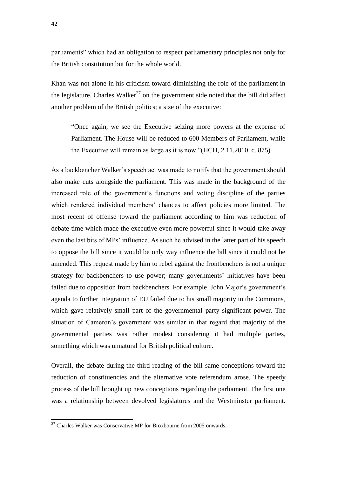parliaments" which had an obligation to respect parliamentary principles not only for the British constitution but for the whole world.

Khan was not alone in his criticism toward diminishing the role of the parliament in the legislature. Charles Walker<sup>27</sup> on the government side noted that the bill did affect another problem of the British politics; a size of the executive:

"Once again, we see the Executive seizing more powers at the expense of Parliament. The House will be reduced to 600 Members of Parliament, while the Executive will remain as large as it is now."(HCH, 2.11.2010, c. 875).

As a backbencher Walker's speech act was made to notify that the government should also make cuts alongside the parliament. This was made in the background of the increased role of the government's functions and voting discipline of the parties which rendered individual members' chances to affect policies more limited. The most recent of offense toward the parliament according to him was reduction of debate time which made the executive even more powerful since it would take away even the last bits of MPs' influence. As such he advised in the latter part of his speech to oppose the bill since it would be only way influence the bill since it could not be amended. This request made by him to rebel against the frontbenchers is not a unique strategy for backbenchers to use power; many governments' initiatives have been failed due to opposition from backbenchers. For example, John Major's government's agenda to further integration of EU failed due to his small majority in the Commons, which gave relatively small part of the governmental party significant power. The situation of Cameron's government was similar in that regard that majority of the governmental parties was rather modest considering it had multiple parties, something which was unnatural for British political culture.

Overall, the debate during the third reading of the bill same conceptions toward the reduction of constituencies and the alternative vote referendum arose. The speedy process of the bill brought up new conceptions regarding the parliament. The first one was a relationship between devolved legislatures and the Westminster parliament.

 $27$  Charles Walker was Conservative MP for Broxbourne from 2005 onwards.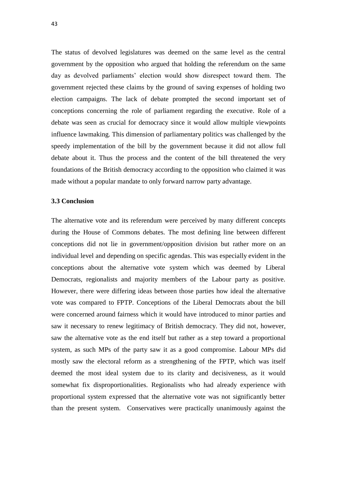The status of devolved legislatures was deemed on the same level as the central government by the opposition who argued that holding the referendum on the same day as devolved parliaments' election would show disrespect toward them. The government rejected these claims by the ground of saving expenses of holding two election campaigns. The lack of debate prompted the second important set of conceptions concerning the role of parliament regarding the executive. Role of a debate was seen as crucial for democracy since it would allow multiple viewpoints influence lawmaking. This dimension of parliamentary politics was challenged by the speedy implementation of the bill by the government because it did not allow full debate about it. Thus the process and the content of the bill threatened the very foundations of the British democracy according to the opposition who claimed it was made without a popular mandate to only forward narrow party advantage.

#### **3.3 Conclusion**

The alternative vote and its referendum were perceived by many different concepts during the House of Commons debates. The most defining line between different conceptions did not lie in government/opposition division but rather more on an individual level and depending on specific agendas. This was especially evident in the conceptions about the alternative vote system which was deemed by Liberal Democrats, regionalists and majority members of the Labour party as positive. However, there were differing ideas between those parties how ideal the alternative vote was compared to FPTP. Conceptions of the Liberal Democrats about the bill were concerned around fairness which it would have introduced to minor parties and saw it necessary to renew legitimacy of British democracy. They did not, however, saw the alternative vote as the end itself but rather as a step toward a proportional system, as such MPs of the party saw it as a good compromise. Labour MPs did mostly saw the electoral reform as a strengthening of the FPTP, which was itself deemed the most ideal system due to its clarity and decisiveness, as it would somewhat fix disproportionalities. Regionalists who had already experience with proportional system expressed that the alternative vote was not significantly better than the present system. Conservatives were practically unanimously against the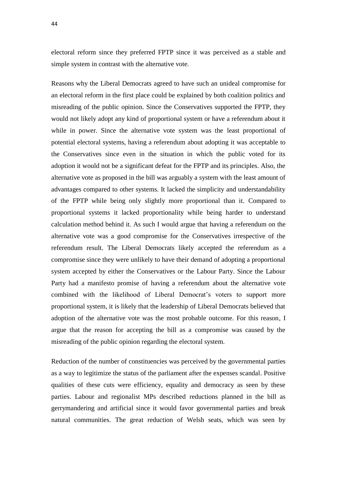electoral reform since they preferred FPTP since it was perceived as a stable and simple system in contrast with the alternative vote.

Reasons why the Liberal Democrats agreed to have such an unideal compromise for an electoral reform in the first place could be explained by both coalition politics and misreading of the public opinion. Since the Conservatives supported the FPTP, they would not likely adopt any kind of proportional system or have a referendum about it while in power. Since the alternative vote system was the least proportional of potential electoral systems, having a referendum about adopting it was acceptable to the Conservatives since even in the situation in which the public voted for its adoption it would not be a significant defeat for the FPTP and its principles. Also, the alternative vote as proposed in the bill was arguably a system with the least amount of advantages compared to other systems. It lacked the simplicity and understandability of the FPTP while being only slightly more proportional than it. Compared to proportional systems it lacked proportionality while being harder to understand calculation method behind it. As such I would argue that having a referendum on the alternative vote was a good compromise for the Conservatives irrespective of the referendum result. The Liberal Democrats likely accepted the referendum as a compromise since they were unlikely to have their demand of adopting a proportional system accepted by either the Conservatives or the Labour Party. Since the Labour Party had a manifesto promise of having a referendum about the alternative vote combined with the likelihood of Liberal Democrat's voters to support more proportional system, it is likely that the leadership of Liberal Democrats believed that adoption of the alternative vote was the most probable outcome. For this reason, I argue that the reason for accepting the bill as a compromise was caused by the misreading of the public opinion regarding the electoral system.

Reduction of the number of constituencies was perceived by the governmental parties as a way to legitimize the status of the parliament after the expenses scandal. Positive qualities of these cuts were efficiency, equality and democracy as seen by these parties. Labour and regionalist MPs described reductions planned in the bill as gerrymandering and artificial since it would favor governmental parties and break natural communities. The great reduction of Welsh seats, which was seen by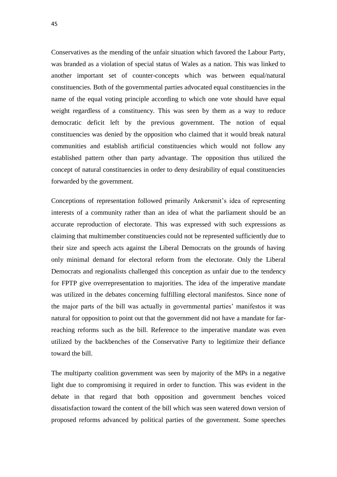Conservatives as the mending of the unfair situation which favored the Labour Party, was branded as a violation of special status of Wales as a nation. This was linked to another important set of counter-concepts which was between equal/natural constituencies. Both of the governmental parties advocated equal constituencies in the name of the equal voting principle according to which one vote should have equal weight regardless of a constituency. This was seen by them as a way to reduce democratic deficit left by the previous government. The notion of equal constituencies was denied by the opposition who claimed that it would break natural communities and establish artificial constituencies which would not follow any established pattern other than party advantage. The opposition thus utilized the concept of natural constituencies in order to deny desirability of equal constituencies forwarded by the government.

Conceptions of representation followed primarily Ankersmit's idea of representing interests of a community rather than an idea of what the parliament should be an accurate reproduction of electorate. This was expressed with such expressions as claiming that multimember constituencies could not be represented sufficiently due to their size and speech acts against the Liberal Democrats on the grounds of having only minimal demand for electoral reform from the electorate. Only the Liberal Democrats and regionalists challenged this conception as unfair due to the tendency for FPTP give overrepresentation to majorities. The idea of the imperative mandate was utilized in the debates concerning fulfilling electoral manifestos. Since none of the major parts of the bill was actually in governmental parties' manifestos it was natural for opposition to point out that the government did not have a mandate for farreaching reforms such as the bill. Reference to the imperative mandate was even utilized by the backbenches of the Conservative Party to legitimize their defiance toward the bill.

The multiparty coalition government was seen by majority of the MPs in a negative light due to compromising it required in order to function. This was evident in the debate in that regard that both opposition and government benches voiced dissatisfaction toward the content of the bill which was seen watered down version of proposed reforms advanced by political parties of the government. Some speeches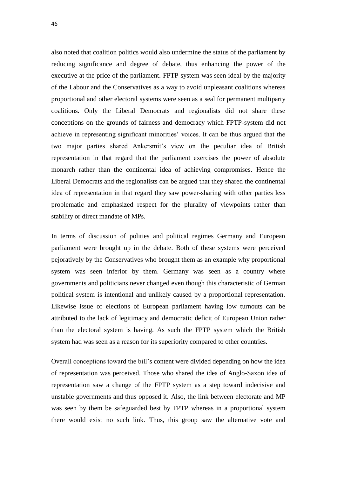also noted that coalition politics would also undermine the status of the parliament by reducing significance and degree of debate, thus enhancing the power of the executive at the price of the parliament. FPTP-system was seen ideal by the majority of the Labour and the Conservatives as a way to avoid unpleasant coalitions whereas proportional and other electoral systems were seen as a seal for permanent multiparty coalitions. Only the Liberal Democrats and regionalists did not share these conceptions on the grounds of fairness and democracy which FPTP-system did not achieve in representing significant minorities' voices. It can be thus argued that the two major parties shared Ankersmit's view on the peculiar idea of British representation in that regard that the parliament exercises the power of absolute monarch rather than the continental idea of achieving compromises. Hence the Liberal Democrats and the regionalists can be argued that they shared the continental idea of representation in that regard they saw power-sharing with other parties less problematic and emphasized respect for the plurality of viewpoints rather than stability or direct mandate of MPs.

In terms of discussion of polities and political regimes Germany and European parliament were brought up in the debate. Both of these systems were perceived pejoratively by the Conservatives who brought them as an example why proportional system was seen inferior by them. Germany was seen as a country where governments and politicians never changed even though this characteristic of German political system is intentional and unlikely caused by a proportional representation. Likewise issue of elections of European parliament having low turnouts can be attributed to the lack of legitimacy and democratic deficit of European Union rather than the electoral system is having. As such the FPTP system which the British system had was seen as a reason for its superiority compared to other countries.

Overall conceptions toward the bill's content were divided depending on how the idea of representation was perceived. Those who shared the idea of Anglo-Saxon idea of representation saw a change of the FPTP system as a step toward indecisive and unstable governments and thus opposed it. Also, the link between electorate and MP was seen by them be safeguarded best by FPTP whereas in a proportional system there would exist no such link. Thus, this group saw the alternative vote and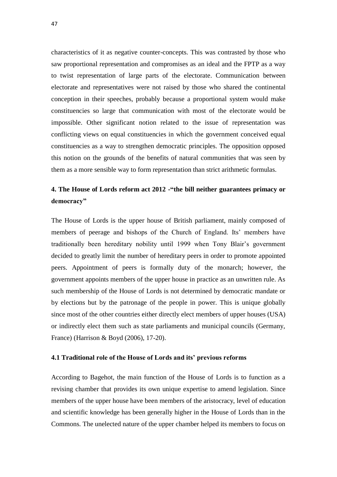characteristics of it as negative counter-concepts. This was contrasted by those who saw proportional representation and compromises as an ideal and the FPTP as a way to twist representation of large parts of the electorate. Communication between electorate and representatives were not raised by those who shared the continental conception in their speeches, probably because a proportional system would make constituencies so large that communication with most of the electorate would be impossible. Other significant notion related to the issue of representation was conflicting views on equal constituencies in which the government conceived equal constituencies as a way to strengthen democratic principles. The opposition opposed this notion on the grounds of the benefits of natural communities that was seen by them as a more sensible way to form representation than strict arithmetic formulas.

# **4. The House of Lords reform act 2012 -"the bill neither guarantees primacy or democracy"**

The House of Lords is the upper house of British parliament, mainly composed of members of peerage and bishops of the Church of England. Its' members have traditionally been hereditary nobility until 1999 when Tony Blair's government decided to greatly limit the number of hereditary peers in order to promote appointed peers. Appointment of peers is formally duty of the monarch; however, the government appoints members of the upper house in practice as an unwritten rule. As such membership of the House of Lords is not determined by democratic mandate or by elections but by the patronage of the people in power. This is unique globally since most of the other countries either directly elect members of upper houses (USA) or indirectly elect them such as state parliaments and municipal councils (Germany, France) (Harrison & Boyd (2006), 17-20).

#### **4.1 Traditional role of the House of Lords and its' previous reforms**

According to Bagehot, the main function of the House of Lords is to function as a revising chamber that provides its own unique expertise to amend legislation. Since members of the upper house have been members of the aristocracy, level of education and scientific knowledge has been generally higher in the House of Lords than in the Commons. The unelected nature of the upper chamber helped its members to focus on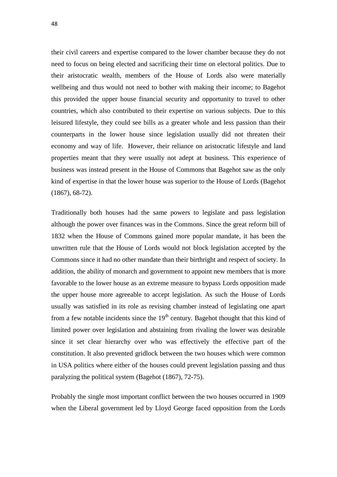their civil careers and expertise compared to the lower chamber because they do not need to focus on being elected and sacrificing their time on electoral politics. Due to their aristocratic wealth, members of the House of Lords also were materially wellbeing and thus would not need to bother with making their income; to Bagehot this provided the upper house financial security and opportunity to travel to other countries, which also contributed to their expertise on various subjects. Due to this leisured lifestyle, they could see bills as a greater whole and less passion than their counterparts in the lower house since legislation usually did not threaten their economy and way of life. However, their reliance on aristocratic lifestyle and land properties meant that they were usually not adept at business. This experience of business was instead present in the House of Commons that Bagehot saw as the only kind of expertise in that the lower house was superior to the House of Lords (Bagehot (1867), 68-72).

Traditionally both houses had the same powers to legislate and pass legislation although the power over finances was in the Commons. Since the great reform bill of 1832 when the House of Commons gained more popular mandate, it has been the unwritten rule that the House of Lords would not block legislation accepted by the Commons since it had no other mandate than their birthright and respect of society. In addition, the ability of monarch and government to appoint new members that is more favorable to the lower house as an extreme measure to bypass Lords opposition made the upper house more agreeable to accept legislation. As such the House of Lords usually was satisfied in its role as revising chamber instead of legislating one apart from a few notable incidents since the  $19<sup>th</sup>$  century. Bagehot thought that this kind of limited power over legislation and abstaining from rivaling the lower was desirable since it set clear hierarchy over who was effectively the effective part of the constitution. It also prevented gridlock between the two houses which were common in USA politics where either of the houses could prevent legislation passing and thus paralyzing the political system (Bagehot (1867), 72-75).

Probably the single most important conflict between the two houses occurred in 1909 when the Liberal government led by Lloyd George faced opposition from the Lords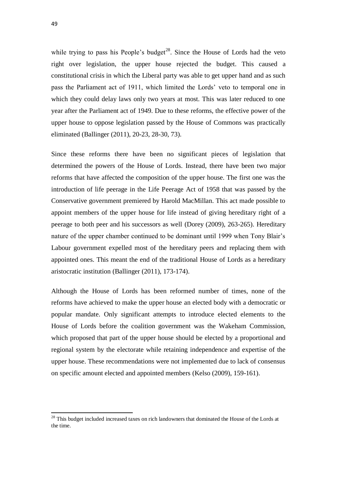while trying to pass his People's budget<sup>28</sup>. Since the House of Lords had the veto right over legislation, the upper house rejected the budget. This caused a constitutional crisis in which the Liberal party was able to get upper hand and as such pass the Parliament act of 1911, which limited the Lords' veto to temporal one in which they could delay laws only two years at most. This was later reduced to one year after the Parliament act of 1949. Due to these reforms, the effective power of the upper house to oppose legislation passed by the House of Commons was practically eliminated (Ballinger (2011), 20-23, 28-30, 73).

Since these reforms there have been no significant pieces of legislation that determined the powers of the House of Lords. Instead, there have been two major reforms that have affected the composition of the upper house. The first one was the introduction of life peerage in the Life Peerage Act of 1958 that was passed by the Conservative government premiered by Harold MacMillan. This act made possible to appoint members of the upper house for life instead of giving hereditary right of a peerage to both peer and his successors as well (Dorey (2009), 263-265). Hereditary nature of the upper chamber continued to be dominant until 1999 when Tony Blair's Labour government expelled most of the hereditary peers and replacing them with appointed ones. This meant the end of the traditional House of Lords as a hereditary aristocratic institution (Ballinger (2011), 173-174).

Although the House of Lords has been reformed number of times, none of the reforms have achieved to make the upper house an elected body with a democratic or popular mandate. Only significant attempts to introduce elected elements to the House of Lords before the coalition government was the Wakeham Commission, which proposed that part of the upper house should be elected by a proportional and regional system by the electorate while retaining independence and expertise of the upper house. These recommendations were not implemented due to lack of consensus on specific amount elected and appointed members (Kelso (2009), 159-161).

 $28$  This budget included increased taxes on rich landowners that dominated the House of the Lords at the time.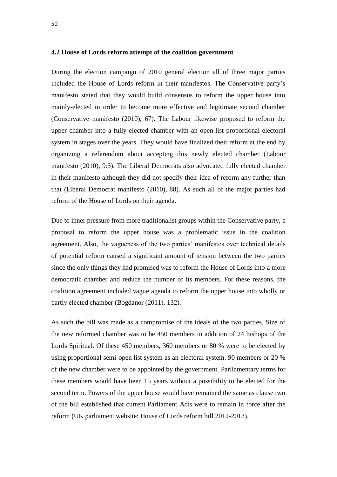#### **4.2 House of Lords reform attempt of the coalition government**

During the election campaign of 2010 general election all of three major parties included the House of Lords reform in their manifestos. The Conservative party's manifesto stated that they would build consensus to reform the upper house into mainly-elected in order to become more effective and legitimate second chamber (Conservative manifesto (2010), 67). The Labour likewise proposed to reform the upper chamber into a fully elected chamber with an open-list proportional electoral system in stages over the years. They would have finalized their reform at the end by organizing a referendum about accepting this newly elected chamber (Labour manifesto (2010), 9:3). The Liberal Democrats also advocated fully elected chamber in their manifesto although they did not specify their idea of reform any further than that (Liberal Democrat manifesto (2010), 88). As such all of the major parties had reform of the House of Lords on their agenda.

Due to inner pressure from more traditionalist groups within the Conservative party, a proposal to reform the upper house was a problematic issue in the coalition agreement. Also, the vagueness of the two parties' manifestos over technical details of potential reform caused a significant amount of tension between the two parties since the only things they had promised was to reform the House of Lords into a more democratic chamber and reduce the number of its members. For these reasons, the coalition agreement included vague agenda to reform the upper house into wholly or partly elected chamber (Bogdanor (2011), 132).

As such the bill was made as a compromise of the ideals of the two parties. Size of the new reformed chamber was to be 450 members in addition of 24 bishops of the Lords Spiritual. Of these 450 members, 360 members or 80 % were to be elected by using proportional semi-open list system as an electoral system. 90 members or 20 % of the new chamber were to be appointed by the government. Parliamentary terms for these members would have been 15 years without a possibility to be elected for the second term. Powers of the upper house would have remained the same as clause two of the bill established that current Parliament Acts were to remain in force after the reform (UK parliament website: House of Lords reform bill 2012-2013).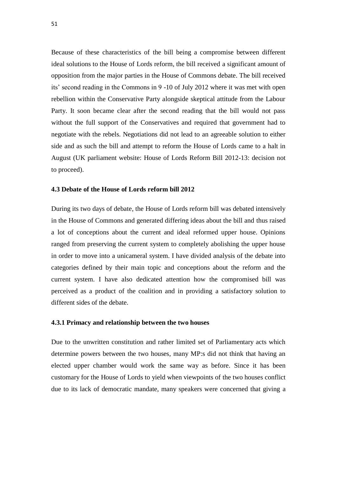Because of these characteristics of the bill being a compromise between different ideal solutions to the House of Lords reform, the bill received a significant amount of opposition from the major parties in the House of Commons debate. The bill received its' second reading in the Commons in 9 -10 of July 2012 where it was met with open rebellion within the Conservative Party alongside skeptical attitude from the Labour Party. It soon became clear after the second reading that the bill would not pass without the full support of the Conservatives and required that government had to negotiate with the rebels. Negotiations did not lead to an agreeable solution to either side and as such the bill and attempt to reform the House of Lords came to a halt in August (UK parliament website: House of Lords Reform Bill 2012-13: decision not to proceed).

#### **4.3 Debate of the House of Lords reform bill 2012**

During its two days of debate, the House of Lords reform bill was debated intensively in the House of Commons and generated differing ideas about the bill and thus raised a lot of conceptions about the current and ideal reformed upper house. Opinions ranged from preserving the current system to completely abolishing the upper house in order to move into a unicameral system. I have divided analysis of the debate into categories defined by their main topic and conceptions about the reform and the current system. I have also dedicated attention how the compromised bill was perceived as a product of the coalition and in providing a satisfactory solution to different sides of the debate.

### **4.3.1 Primacy and relationship between the two houses**

Due to the unwritten constitution and rather limited set of Parliamentary acts which determine powers between the two houses, many MP:s did not think that having an elected upper chamber would work the same way as before. Since it has been customary for the House of Lords to yield when viewpoints of the two houses conflict due to its lack of democratic mandate, many speakers were concerned that giving a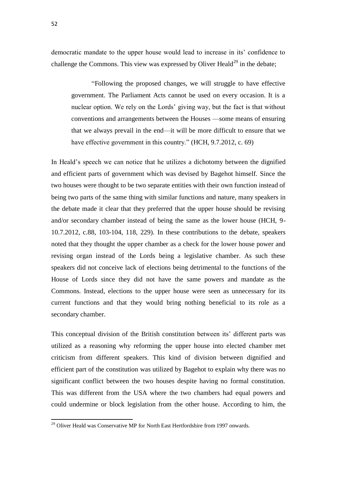democratic mandate to the upper house would lead to increase in its' confidence to challenge the Commons. This view was expressed by Oliver Heald<sup>29</sup> in the debate:

"Following the proposed changes, we will struggle to have effective government. The Parliament Acts cannot be used on every occasion. It is a nuclear option. We rely on the Lords' giving way, but the fact is that without conventions and arrangements between the Houses —some means of ensuring that we always prevail in the end—it will be more difficult to ensure that we have effective government in this country." (HCH, 9.7.2012, c. 69)

In Heald's speech we can notice that he utilizes a dichotomy between the dignified and efficient parts of government which was devised by Bagehot himself. Since the two houses were thought to be two separate entities with their own function instead of being two parts of the same thing with similar functions and nature, many speakers in the debate made it clear that they preferred that the upper house should be revising and/or secondary chamber instead of being the same as the lower house (HCH, 9- 10.7.2012, c.88, 103-104, 118, 229). In these contributions to the debate, speakers noted that they thought the upper chamber as a check for the lower house power and revising organ instead of the Lords being a legislative chamber. As such these speakers did not conceive lack of elections being detrimental to the functions of the House of Lords since they did not have the same powers and mandate as the Commons. Instead, elections to the upper house were seen as unnecessary for its current functions and that they would bring nothing beneficial to its role as a secondary chamber.

This conceptual division of the British constitution between its' different parts was utilized as a reasoning why reforming the upper house into elected chamber met criticism from different speakers. This kind of division between dignified and efficient part of the constitution was utilized by Bagehot to explain why there was no significant conflict between the two houses despite having no formal constitution. This was different from the USA where the two chambers had equal powers and could undermine or block legislation from the other house. According to him, the

<sup>&</sup>lt;sup>29</sup> Oliver Heald was Conservative MP for North East Hertfordshire from 1997 onwards.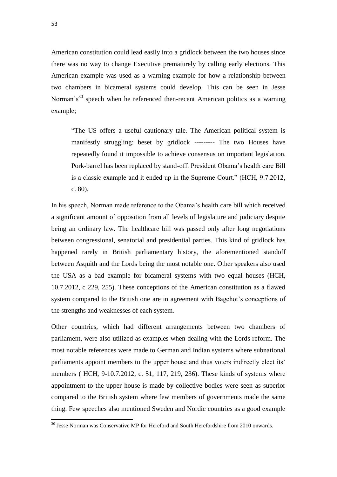American constitution could lead easily into a gridlock between the two houses since there was no way to change Executive prematurely by calling early elections. This American example was used as a warning example for how a relationship between two chambers in bicameral systems could develop. This can be seen in Jesse Norman's $30$  speech when he referenced then-recent American politics as a warning example;

"The US offers a useful cautionary tale. The American political system is manifestly struggling: beset by gridlock --------- The two Houses have repeatedly found it impossible to achieve consensus on important legislation. Pork-barrel has been replaced by stand-off. President Obama's health care Bill is a classic example and it ended up in the Supreme Court." (HCH, 9.7.2012, c. 80).

In his speech, Norman made reference to the Obama's health care bill which received a significant amount of opposition from all levels of legislature and judiciary despite being an ordinary law. The healthcare bill was passed only after long negotiations between congressional, senatorial and presidential parties. This kind of gridlock has happened rarely in British parliamentary history, the aforementioned standoff between Asquith and the Lords being the most notable one. Other speakers also used the USA as a bad example for bicameral systems with two equal houses (HCH, 10.7.2012, c 229, 255). These conceptions of the American constitution as a flawed system compared to the British one are in agreement with Bagehot's conceptions of the strengths and weaknesses of each system.

Other countries, which had different arrangements between two chambers of parliament, were also utilized as examples when dealing with the Lords reform. The most notable references were made to German and Indian systems where subnational parliaments appoint members to the upper house and thus voters indirectly elect its' members ( HCH, 9-10.7.2012, c. 51, 117, 219, 236). These kinds of systems where appointment to the upper house is made by collective bodies were seen as superior compared to the British system where few members of governments made the same thing. Few speeches also mentioned Sweden and Nordic countries as a good example

<sup>&</sup>lt;sup>30</sup> Jesse Norman was Conservative MP for Hereford and South Herefordshire from 2010 onwards.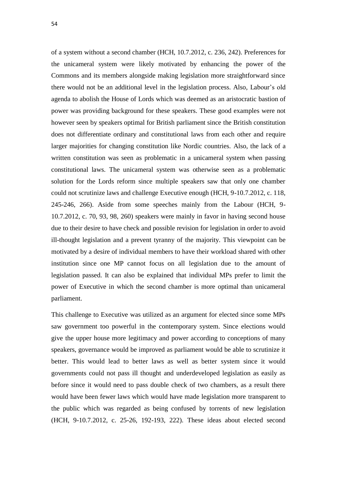of a system without a second chamber (HCH, 10.7.2012, c. 236, 242). Preferences for the unicameral system were likely motivated by enhancing the power of the Commons and its members alongside making legislation more straightforward since there would not be an additional level in the legislation process. Also, Labour's old agenda to abolish the House of Lords which was deemed as an aristocratic bastion of power was providing background for these speakers. These good examples were not however seen by speakers optimal for British parliament since the British constitution does not differentiate ordinary and constitutional laws from each other and require larger majorities for changing constitution like Nordic countries. Also, the lack of a written constitution was seen as problematic in a unicameral system when passing constitutional laws. The unicameral system was otherwise seen as a problematic solution for the Lords reform since multiple speakers saw that only one chamber could not scrutinize laws and challenge Executive enough (HCH, 9-10.7.2012, c. 118, 245-246, 266). Aside from some speeches mainly from the Labour (HCH, 9- 10.7.2012, c. 70, 93, 98, 260) speakers were mainly in favor in having second house due to their desire to have check and possible revision for legislation in order to avoid ill-thought legislation and a prevent tyranny of the majority. This viewpoint can be motivated by a desire of individual members to have their workload shared with other institution since one MP cannot focus on all legislation due to the amount of legislation passed. It can also be explained that individual MPs prefer to limit the power of Executive in which the second chamber is more optimal than unicameral parliament.

This challenge to Executive was utilized as an argument for elected since some MPs saw government too powerful in the contemporary system. Since elections would give the upper house more legitimacy and power according to conceptions of many speakers, governance would be improved as parliament would be able to scrutinize it better. This would lead to better laws as well as better system since it would governments could not pass ill thought and underdeveloped legislation as easily as before since it would need to pass double check of two chambers, as a result there would have been fewer laws which would have made legislation more transparent to the public which was regarded as being confused by torrents of new legislation (HCH, 9-10.7.2012, c. 25-26, 192-193, 222). These ideas about elected second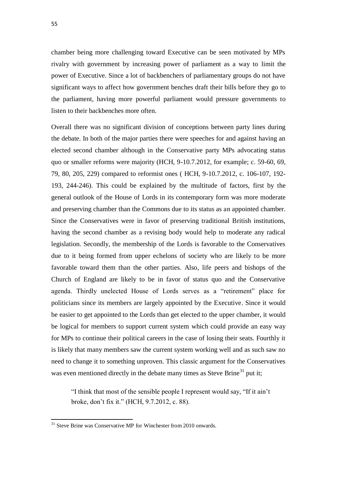chamber being more challenging toward Executive can be seen motivated by MPs rivalry with government by increasing power of parliament as a way to limit the power of Executive. Since a lot of backbenchers of parliamentary groups do not have significant ways to affect how government benches draft their bills before they go to the parliament, having more powerful parliament would pressure governments to listen to their backbenches more often.

Overall there was no significant division of conceptions between party lines during the debate. In both of the major parties there were speeches for and against having an elected second chamber although in the Conservative party MPs advocating status quo or smaller reforms were majority (HCH, 9-10.7.2012, for example; c. 59-60, 69, 79, 80, 205, 229) compared to reformist ones ( HCH, 9-10.7.2012, c. 106-107, 192- 193, 244-246). This could be explained by the multitude of factors, first by the general outlook of the House of Lords in its contemporary form was more moderate and preserving chamber than the Commons due to its status as an appointed chamber. Since the Conservatives were in favor of preserving traditional British institutions, having the second chamber as a revising body would help to moderate any radical legislation. Secondly, the membership of the Lords is favorable to the Conservatives due to it being formed from upper echelons of society who are likely to be more favorable toward them than the other parties. Also, life peers and bishops of the Church of England are likely to be in favor of status quo and the Conservative agenda. Thirdly unelected House of Lords serves as a "retirement" place for politicians since its members are largely appointed by the Executive. Since it would be easier to get appointed to the Lords than get elected to the upper chamber, it would be logical for members to support current system which could provide an easy way for MPs to continue their political careers in the case of losing their seats. Fourthly it is likely that many members saw the current system working well and as such saw no need to change it to something unproven. This classic argument for the Conservatives was even mentioned directly in the debate many times as Steve Brine<sup>31</sup> put it;

"I think that most of the sensible people I represent would say, "If it ain't broke, don't fix it." (HCH, 9.7.2012, c. 88).

 $31$  Steve Brine was Conservative MP for Winchester from 2010 onwards.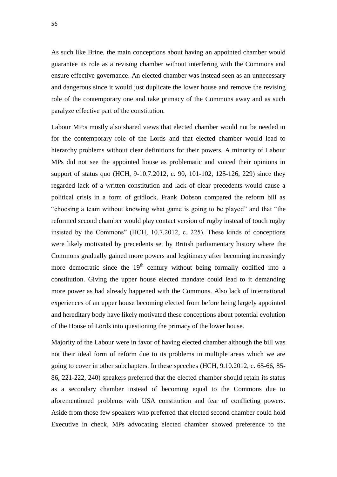As such like Brine, the main conceptions about having an appointed chamber would guarantee its role as a revising chamber without interfering with the Commons and ensure effective governance. An elected chamber was instead seen as an unnecessary and dangerous since it would just duplicate the lower house and remove the revising role of the contemporary one and take primacy of the Commons away and as such paralyze effective part of the constitution.

Labour MP:s mostly also shared views that elected chamber would not be needed in for the contemporary role of the Lords and that elected chamber would lead to hierarchy problems without clear definitions for their powers. A minority of Labour MPs did not see the appointed house as problematic and voiced their opinions in support of status quo (HCH, 9-10.7.2012, c. 90, 101-102, 125-126, 229) since they regarded lack of a written constitution and lack of clear precedents would cause a political crisis in a form of gridlock. Frank Dobson compared the reform bill as "choosing a team without knowing what game is going to be played" and that "the reformed second chamber would play contact version of rugby instead of touch rugby insisted by the Commons" (HCH, 10.7.2012, c. 225). These kinds of conceptions were likely motivated by precedents set by British parliamentary history where the Commons gradually gained more powers and legitimacy after becoming increasingly more democratic since the  $19<sup>th</sup>$  century without being formally codified into a constitution. Giving the upper house elected mandate could lead to it demanding more power as had already happened with the Commons. Also lack of international experiences of an upper house becoming elected from before being largely appointed and hereditary body have likely motivated these conceptions about potential evolution of the House of Lords into questioning the primacy of the lower house.

Majority of the Labour were in favor of having elected chamber although the bill was not their ideal form of reform due to its problems in multiple areas which we are going to cover in other subchapters. In these speeches (HCH, 9.10.2012, c. 65-66, 85- 86, 221-222, 240) speakers preferred that the elected chamber should retain its status as a secondary chamber instead of becoming equal to the Commons due to aforementioned problems with USA constitution and fear of conflicting powers. Aside from those few speakers who preferred that elected second chamber could hold Executive in check, MPs advocating elected chamber showed preference to the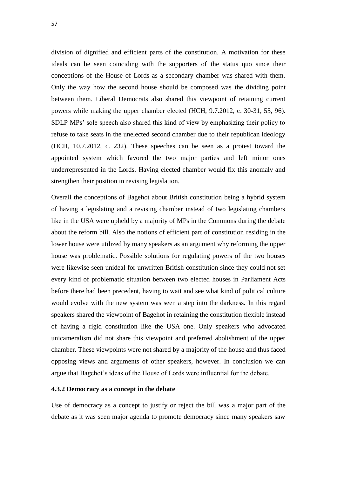division of dignified and efficient parts of the constitution. A motivation for these ideals can be seen coinciding with the supporters of the status quo since their conceptions of the House of Lords as a secondary chamber was shared with them. Only the way how the second house should be composed was the dividing point between them. Liberal Democrats also shared this viewpoint of retaining current powers while making the upper chamber elected (HCH, 9.7.2012, c. 30-31, 55, 96). SDLP MPs' sole speech also shared this kind of view by emphasizing their policy to refuse to take seats in the unelected second chamber due to their republican ideology (HCH, 10.7.2012, c. 232). These speeches can be seen as a protest toward the appointed system which favored the two major parties and left minor ones underrepresented in the Lords. Having elected chamber would fix this anomaly and strengthen their position in revising legislation.

Overall the conceptions of Bagehot about British constitution being a hybrid system of having a legislating and a revising chamber instead of two legislating chambers like in the USA were upheld by a majority of MPs in the Commons during the debate about the reform bill. Also the notions of efficient part of constitution residing in the lower house were utilized by many speakers as an argument why reforming the upper house was problematic. Possible solutions for regulating powers of the two houses were likewise seen unideal for unwritten British constitution since they could not set every kind of problematic situation between two elected houses in Parliament Acts before there had been precedent, having to wait and see what kind of political culture would evolve with the new system was seen a step into the darkness. In this regard speakers shared the viewpoint of Bagehot in retaining the constitution flexible instead of having a rigid constitution like the USA one. Only speakers who advocated unicameralism did not share this viewpoint and preferred abolishment of the upper chamber. These viewpoints were not shared by a majority of the house and thus faced opposing views and arguments of other speakers, however. In conclusion we can argue that Bagehot's ideas of the House of Lords were influential for the debate.

## **4.3.2 Democracy as a concept in the debate**

Use of democracy as a concept to justify or reject the bill was a major part of the debate as it was seen major agenda to promote democracy since many speakers saw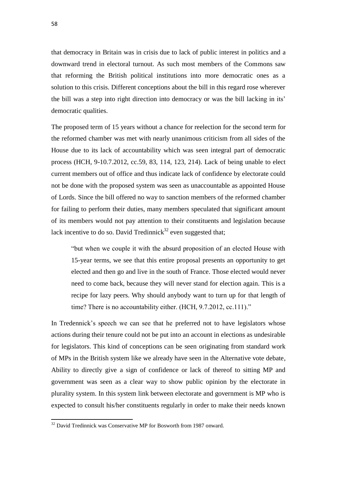that democracy in Britain was in crisis due to lack of public interest in politics and a downward trend in electoral turnout. As such most members of the Commons saw that reforming the British political institutions into more democratic ones as a solution to this crisis. Different conceptions about the bill in this regard rose wherever the bill was a step into right direction into democracy or was the bill lacking in its' democratic qualities.

The proposed term of 15 years without a chance for reelection for the second term for the reformed chamber was met with nearly unanimous criticism from all sides of the House due to its lack of accountability which was seen integral part of democratic process (HCH, 9-10.7.2012, cc.59, 83, 114, 123, 214). Lack of being unable to elect current members out of office and thus indicate lack of confidence by electorate could not be done with the proposed system was seen as unaccountable as appointed House of Lords. Since the bill offered no way to sanction members of the reformed chamber for failing to perform their duties, many members speculated that significant amount of its members would not pay attention to their constituents and legislation because lack incentive to do so. David Tredinnick<sup>32</sup> even suggested that;

"but when we couple it with the absurd proposition of an elected House with 15-year terms, we see that this entire proposal presents an opportunity to get elected and then go and live in the south of France. Those elected would never need to come back, because they will never stand for election again. This is a recipe for lazy peers. Why should anybody want to turn up for that length of time? There is no accountability either. (HCH, 9.7.2012, cc.111)."

In Tredennick's speech we can see that he preferred not to have legislators whose actions during their tenure could not be put into an account in elections as undesirable for legislators. This kind of conceptions can be seen originating from standard work of MPs in the British system like we already have seen in the Alternative vote debate, Ability to directly give a sign of confidence or lack of thereof to sitting MP and government was seen as a clear way to show public opinion by the electorate in plurality system. In this system link between electorate and government is MP who is expected to consult his/her constituents regularly in order to make their needs known

 $32$  David Tredinnick was Conservative MP for Bosworth from 1987 onward.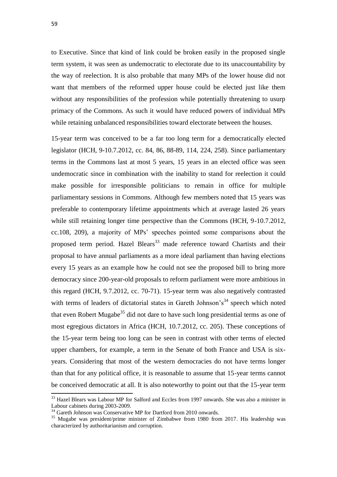to Executive. Since that kind of link could be broken easily in the proposed single term system, it was seen as undemocratic to electorate due to its unaccountability by the way of reelection. It is also probable that many MPs of the lower house did not want that members of the reformed upper house could be elected just like them without any responsibilities of the profession while potentially threatening to usurp primacy of the Commons. As such it would have reduced powers of individual MPs while retaining unbalanced responsibilities toward electorate between the houses.

15-year term was conceived to be a far too long term for a democratically elected legislator (HCH, 9-10.7.2012, cc. 84, 86, 88-89, 114, 224, 258). Since parliamentary terms in the Commons last at most 5 years, 15 years in an elected office was seen undemocratic since in combination with the inability to stand for reelection it could make possible for irresponsible politicians to remain in office for multiple parliamentary sessions in Commons. Although few members noted that 15 years was preferable to contemporary lifetime appointments which at average lasted 26 years while still retaining longer time perspective than the Commons (HCH, 9-10.7.2012, cc.108, 209), a majority of MPs' speeches pointed some comparisons about the proposed term period. Hazel Blears<sup>33</sup> made reference toward Chartists and their proposal to have annual parliaments as a more ideal parliament than having elections every 15 years as an example how he could not see the proposed bill to bring more democracy since 200-year-old proposals to reform parliament were more ambitious in this regard (HCH, 9.7.2012, cc. 70-71). 15-year term was also negatively contrasted with terms of leaders of dictatorial states in Gareth Johnson's<sup>34</sup> speech which noted that even Robert Mugabe<sup>35</sup> did not dare to have such long presidential terms as one of most egregious dictators in Africa (HCH, 10.7.2012, cc. 205). These conceptions of the 15-year term being too long can be seen in contrast with other terms of elected upper chambers, for example, a term in the Senate of both France and USA is sixyears. Considering that most of the western democracies do not have terms longer than that for any political office, it is reasonable to assume that 15-year terms cannot be conceived democratic at all. It is also noteworthy to point out that the 15-year term

 $\overline{a}$ 

<sup>&</sup>lt;sup>33</sup> Hazel Blears was Labour MP for Salford and Eccles from 1997 onwards. She was also a minister in Labour cabinets during 2003-2009.

<sup>&</sup>lt;sup>34</sup> Gareth Johnson was Conservative MP for Dartford from 2010 onwards.

<sup>&</sup>lt;sup>35</sup> Mugabe was president/prime minister of Zimbabwe from 1980 from 2017. His leadership was characterized by authoritarianism and corruption.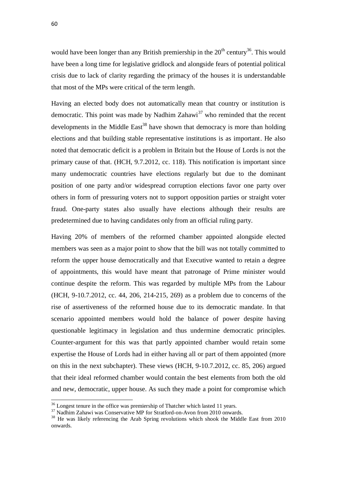would have been longer than any British premiership in the  $20<sup>th</sup>$  century<sup>36</sup>. This would have been a long time for legislative gridlock and alongside fears of potential political crisis due to lack of clarity regarding the primacy of the houses it is understandable that most of the MPs were critical of the term length.

Having an elected body does not automatically mean that country or institution is democratic. This point was made by Nadhim Zahawi<sup>37</sup> who reminded that the recent developments in the Middle East<sup>38</sup> have shown that democracy is more than holding elections and that building stable representative institutions is as important. He also noted that democratic deficit is a problem in Britain but the House of Lords is not the primary cause of that. (HCH, 9.7.2012, cc. 118). This notification is important since many undemocratic countries have elections regularly but due to the dominant position of one party and/or widespread corruption elections favor one party over others in form of pressuring voters not to support opposition parties or straight voter fraud. One-party states also usually have elections although their results are predetermined due to having candidates only from an official ruling party.

Having 20% of members of the reformed chamber appointed alongside elected members was seen as a major point to show that the bill was not totally committed to reform the upper house democratically and that Executive wanted to retain a degree of appointments, this would have meant that patronage of Prime minister would continue despite the reform. This was regarded by multiple MPs from the Labour (HCH, 9-10.7.2012, cc. 44, 206, 214-215, 269) as a problem due to concerns of the rise of assertiveness of the reformed house due to its democratic mandate. In that scenario appointed members would hold the balance of power despite having questionable legitimacy in legislation and thus undermine democratic principles. Counter-argument for this was that partly appointed chamber would retain some expertise the House of Lords had in either having all or part of them appointed (more on this in the next subchapter). These views (HCH, 9-10.7.2012, cc. 85, 206) argued that their ideal reformed chamber would contain the best elements from both the old and new, democratic, upper house. As such they made a point for compromise which

<sup>&</sup>lt;sup>36</sup> Longest tenure in the office was premiership of Thatcher which lasted 11 years.

<sup>&</sup>lt;sup>37</sup> Nadhim Zahawi was Conservative MP for Stratford-on-Avon from 2010 onwards.

<sup>&</sup>lt;sup>38</sup> He was likely referencing the Arab Spring revolutions which shook the Middle East from 2010 onwards.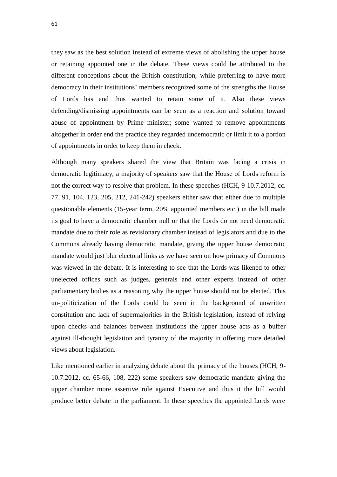they saw as the best solution instead of extreme views of abolishing the upper house or retaining appointed one in the debate. These views could be attributed to the different conceptions about the British constitution; while preferring to have more democracy in their institutions' members recognized some of the strengths the House of Lords has and thus wanted to retain some of it. Also these views defending/dismissing appointments can be seen as a reaction and solution toward abuse of appointment by Prime minister; some wanted to remove appointments altogether in order end the practice they regarded undemocratic or limit it to a portion of appointments in order to keep them in check.

Although many speakers shared the view that Britain was facing a crisis in democratic legitimacy, a majority of speakers saw that the House of Lords reform is not the correct way to resolve that problem. In these speeches (HCH, 9-10.7.2012, cc. 77, 91, 104, 123, 205, 212, 241-242) speakers either saw that either due to multiple questionable elements (15-year term, 20% appointed members etc.) in the bill made its goal to have a democratic chamber null or that the Lords do not need democratic mandate due to their role as revisionary chamber instead of legislators and due to the Commons already having democratic mandate, giving the upper house democratic mandate would just blur electoral links as we have seen on how primacy of Commons was viewed in the debate. It is interesting to see that the Lords was likened to other unelected offices such as judges, generals and other experts instead of other parliamentary bodies as a reasoning why the upper house should not be elected. This un-politicization of the Lords could be seen in the background of unwritten constitution and lack of supermajorities in the British legislation, instead of relying upon checks and balances between institutions the upper house acts as a buffer against ill-thought legislation and tyranny of the majority in offering more detailed views about legislation.

Like mentioned earlier in analyzing debate about the primacy of the houses (HCH, 9- 10.7.2012, cc. 65-66, 108, 222) some speakers saw democratic mandate giving the upper chamber more assertive role against Executive and thus it the bill would produce better debate in the parliament. In these speeches the appointed Lords were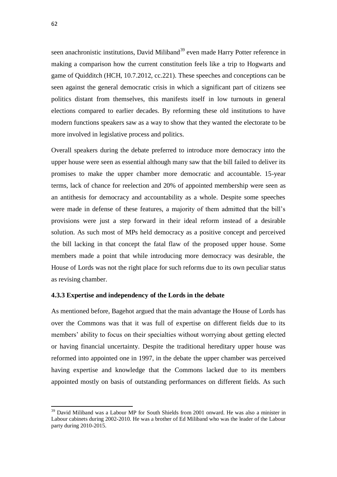seen anachronistic institutions, David Miliband<sup>39</sup> even made Harry Potter reference in making a comparison how the current constitution feels like a trip to Hogwarts and game of Quidditch (HCH, 10.7.2012, cc.221). These speeches and conceptions can be seen against the general democratic crisis in which a significant part of citizens see politics distant from themselves, this manifests itself in low turnouts in general elections compared to earlier decades. By reforming these old institutions to have modern functions speakers saw as a way to show that they wanted the electorate to be more involved in legislative process and politics.

Overall speakers during the debate preferred to introduce more democracy into the upper house were seen as essential although many saw that the bill failed to deliver its promises to make the upper chamber more democratic and accountable. 15-year terms, lack of chance for reelection and 20% of appointed membership were seen as an antithesis for democracy and accountability as a whole. Despite some speeches were made in defense of these features, a majority of them admitted that the bill's provisions were just a step forward in their ideal reform instead of a desirable solution. As such most of MPs held democracy as a positive concept and perceived the bill lacking in that concept the fatal flaw of the proposed upper house. Some members made a point that while introducing more democracy was desirable, the House of Lords was not the right place for such reforms due to its own peculiar status as revising chamber.

## **4.3.3 Expertise and independency of the Lords in the debate**

As mentioned before, Bagehot argued that the main advantage the House of Lords has over the Commons was that it was full of expertise on different fields due to its members' ability to focus on their specialties without worrying about getting elected or having financial uncertainty. Despite the traditional hereditary upper house was reformed into appointed one in 1997, in the debate the upper chamber was perceived having expertise and knowledge that the Commons lacked due to its members appointed mostly on basis of outstanding performances on different fields. As such

<sup>&</sup>lt;sup>39</sup> David Miliband was a Labour MP for South Shields from 2001 onward. He was also a minister in Labour cabinets during 2002-2010. He was a brother of Ed Miliband who was the leader of the Labour party during 2010-2015.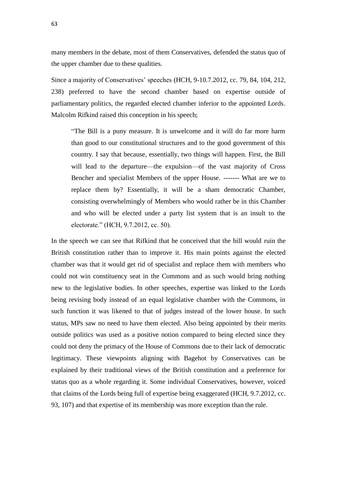many members in the debate, most of them Conservatives, defended the status quo of the upper chamber due to these qualities.

Since a majority of Conservatives' speeches (HCH, 9-10.7.2012, cc. 79, 84, 104, 212, 238) preferred to have the second chamber based on expertise outside of parliamentary politics, the regarded elected chamber inferior to the appointed Lords. Malcolm Rifkind raised this conception in his speech;

"The Bill is a puny measure. It is unwelcome and it will do far more harm than good to our constitutional structures and to the good government of this country. I say that because, essentially, two things will happen. First, the Bill will lead to the departure—the expulsion—of the vast majority of Cross Bencher and specialist Members of the upper House. ------- What are we to replace them by? Essentially, it will be a sham democratic Chamber, consisting overwhelmingly of Members who would rather be in this Chamber and who will be elected under a party list system that is an insult to the electorate." (HCH, 9.7.2012, cc. 50).

In the speech we can see that Rifkind that he conceived that the bill would ruin the British constitution rather than to improve it. His main points against the elected chamber was that it would get rid of specialist and replace them with members who could not win constituency seat in the Commons and as such would bring nothing new to the legislative bodies. In other speeches, expertise was linked to the Lords being revising body instead of an equal legislative chamber with the Commons, in such function it was likened to that of judges instead of the lower house. In such status, MPs saw no need to have them elected. Also being appointed by their merits outside politics was used as a positive notion compared to being elected since they could not deny the primacy of the House of Commons due to their lack of democratic legitimacy. These viewpoints aligning with Bagehot by Conservatives can be explained by their traditional views of the British constitution and a preference for status quo as a whole regarding it. Some individual Conservatives, however, voiced that claims of the Lords being full of expertise being exaggerated (HCH, 9.7.2012, cc. 93, 107) and that expertise of its membership was more exception than the rule.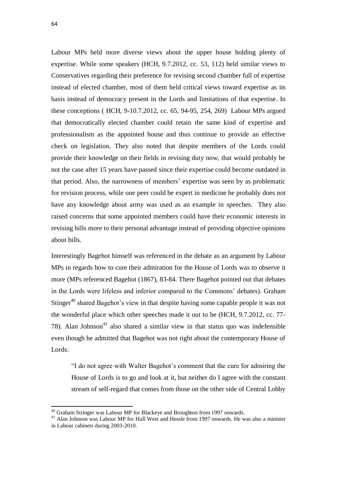1

Labour MPs held more diverse views about the upper house holding plenty of expertise. While some speakers (HCH, 9.7.2012, cc. 53, 112) held similar views to Conservatives regarding their preference for revising second chamber full of expertise instead of elected chamber, most of them held critical views toward expertise as its basis instead of democracy present in the Lords and limitations of that expertise. In these conceptions ( HCH, 9-10.7.2012, cc. 65, 94-95, 254, 269) Labour MPs argued that democratically elected chamber could retain the same kind of expertise and professionalism as the appointed house and thus continue to provide an effective check on legislation. They also noted that despite members of the Lords could provide their knowledge on their fields in revising duty now, that would probably be not the case after 15 years have passed since their expertise could become outdated in that period. Also, the narrowness of members' expertise was seen by as problematic for revision process, while one peer could be expert in medicine he probably does not have any knowledge about army was used as an example in speeches. They also raised concerns that some appointed members could have their economic interests in revising bills more to their personal advantage instead of providing objective opinions about bills.

Interestingly Bagehot himself was referenced in the debate as an argument by Labour MPs in regards how to cure their admiration for the House of Lords was to observe it more (MPs referenced Bagehot (1867), 83-84. There Bagehot pointed out that debates in the Lords were lifeless and inferior compared to the Commons' debates). Graham Stinger<sup>40</sup> shared Bagehot's view in that despite having some capable people it was not the wonderful place which other speeches made it out to be (HCH, 9.7.2012, cc. 77- 78). Alan Johnson<sup>41</sup> also shared a similar view in that status quo was indefensible even though he admitted that Bagehot was not right about the contemporary House of Lords:

"I do not agree with Walter Bagehot's comment that the cure for admiring the House of Lords is to go and look at it, but neither do I agree with the constant stream of self-regard that comes from those on the other side of Central Lobby

<sup>&</sup>lt;sup>40</sup> Graham Stringer was Labour MP for Blackeye and Broughton from 1997 onwards.

<sup>&</sup>lt;sup>41</sup> Alan Johnson was Labour MP for Hull West and Hessle from 1997 onwards. He was also a minister in Labour cabinets during 2003-2010.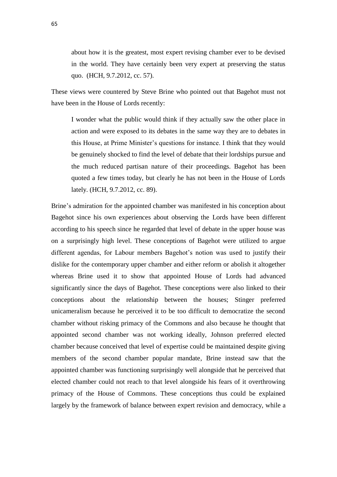about how it is the greatest, most expert revising chamber ever to be devised in the world. They have certainly been very expert at preserving the status quo. (HCH, 9.7.2012, cc. 57).

These views were countered by Steve Brine who pointed out that Bagehot must not have been in the House of Lords recently:

I wonder what the public would think if they actually saw the other place in action and were exposed to its debates in the same way they are to debates in this House, at Prime Minister's questions for instance. I think that they would be genuinely shocked to find the level of debate that their lordships pursue and the much reduced partisan nature of their proceedings. Bagehot has been quoted a few times today, but clearly he has not been in the House of Lords lately. (HCH, 9.7.2012, cc. 89).

Brine's admiration for the appointed chamber was manifested in his conception about Bagehot since his own experiences about observing the Lords have been different according to his speech since he regarded that level of debate in the upper house was on a surprisingly high level. These conceptions of Bagehot were utilized to argue different agendas, for Labour members Bagehot's notion was used to justify their dislike for the contemporary upper chamber and either reform or abolish it altogether whereas Brine used it to show that appointed House of Lords had advanced significantly since the days of Bagehot. These conceptions were also linked to their conceptions about the relationship between the houses; Stinger preferred unicameralism because he perceived it to be too difficult to democratize the second chamber without risking primacy of the Commons and also because he thought that appointed second chamber was not working ideally, Johnson preferred elected chamber because conceived that level of expertise could be maintained despite giving members of the second chamber popular mandate, Brine instead saw that the appointed chamber was functioning surprisingly well alongside that he perceived that elected chamber could not reach to that level alongside his fears of it overthrowing primacy of the House of Commons. These conceptions thus could be explained largely by the framework of balance between expert revision and democracy, while a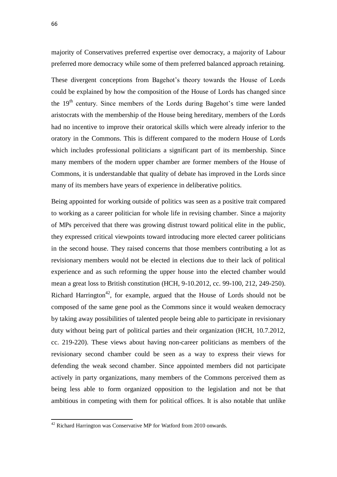majority of Conservatives preferred expertise over democracy, a majority of Labour preferred more democracy while some of them preferred balanced approach retaining.

These divergent conceptions from Bagehot's theory towards the House of Lords could be explained by how the composition of the House of Lords has changed since the  $19<sup>th</sup>$  century. Since members of the Lords during Bagehot's time were landed aristocrats with the membership of the House being hereditary, members of the Lords had no incentive to improve their oratorical skills which were already inferior to the oratory in the Commons. This is different compared to the modern House of Lords which includes professional politicians a significant part of its membership. Since many members of the modern upper chamber are former members of the House of Commons, it is understandable that quality of debate has improved in the Lords since many of its members have years of experience in deliberative politics.

Being appointed for working outside of politics was seen as a positive trait compared to working as a career politician for whole life in revising chamber. Since a majority of MPs perceived that there was growing distrust toward political elite in the public, they expressed critical viewpoints toward introducing more elected career politicians in the second house. They raised concerns that those members contributing a lot as revisionary members would not be elected in elections due to their lack of political experience and as such reforming the upper house into the elected chamber would mean a great loss to British constitution (HCH, 9-10.2012, cc. 99-100, 212, 249-250). Richard Harrington<sup>42</sup>, for example, argued that the House of Lords should not be composed of the same gene pool as the Commons since it would weaken democracy by taking away possibilities of talented people being able to participate in revisionary duty without being part of political parties and their organization (HCH, 10.7.2012, cc. 219-220). These views about having non-career politicians as members of the revisionary second chamber could be seen as a way to express their views for defending the weak second chamber. Since appointed members did not participate actively in party organizations, many members of the Commons perceived them as being less able to form organized opposition to the legislation and not be that ambitious in competing with them for political offices. It is also notable that unlike

 $42$  Richard Harrington was Conservative MP for Watford from 2010 onwards.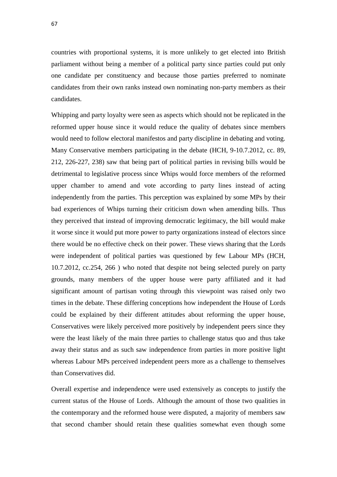countries with proportional systems, it is more unlikely to get elected into British parliament without being a member of a political party since parties could put only one candidate per constituency and because those parties preferred to nominate candidates from their own ranks instead own nominating non-party members as their candidates.

Whipping and party loyalty were seen as aspects which should not be replicated in the reformed upper house since it would reduce the quality of debates since members would need to follow electoral manifestos and party discipline in debating and voting. Many Conservative members participating in the debate (HCH, 9-10.7.2012, cc. 89, 212, 226-227, 238) saw that being part of political parties in revising bills would be detrimental to legislative process since Whips would force members of the reformed upper chamber to amend and vote according to party lines instead of acting independently from the parties. This perception was explained by some MPs by their bad experiences of Whips turning their criticism down when amending bills. Thus they perceived that instead of improving democratic legitimacy, the bill would make it worse since it would put more power to party organizations instead of electors since there would be no effective check on their power. These views sharing that the Lords were independent of political parties was questioned by few Labour MPs (HCH, 10.7.2012, cc.254, 266 ) who noted that despite not being selected purely on party grounds, many members of the upper house were party affiliated and it had significant amount of partisan voting through this viewpoint was raised only two times in the debate. These differing conceptions how independent the House of Lords could be explained by their different attitudes about reforming the upper house, Conservatives were likely perceived more positively by independent peers since they were the least likely of the main three parties to challenge status quo and thus take away their status and as such saw independence from parties in more positive light whereas Labour MPs perceived independent peers more as a challenge to themselves than Conservatives did.

Overall expertise and independence were used extensively as concepts to justify the current status of the House of Lords. Although the amount of those two qualities in the contemporary and the reformed house were disputed, a majority of members saw that second chamber should retain these qualities somewhat even though some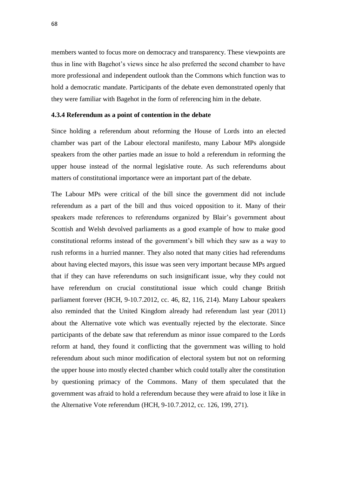members wanted to focus more on democracy and transparency. These viewpoints are thus in line with Bagehot's views since he also preferred the second chamber to have more professional and independent outlook than the Commons which function was to hold a democratic mandate. Participants of the debate even demonstrated openly that they were familiar with Bagehot in the form of referencing him in the debate.

### **4.3.4 Referendum as a point of contention in the debate**

Since holding a referendum about reforming the House of Lords into an elected chamber was part of the Labour electoral manifesto, many Labour MPs alongside speakers from the other parties made an issue to hold a referendum in reforming the upper house instead of the normal legislative route. As such referendums about matters of constitutional importance were an important part of the debate.

The Labour MPs were critical of the bill since the government did not include referendum as a part of the bill and thus voiced opposition to it. Many of their speakers made references to referendums organized by Blair's government about Scottish and Welsh devolved parliaments as a good example of how to make good constitutional reforms instead of the government's bill which they saw as a way to rush reforms in a hurried manner. They also noted that many cities had referendums about having elected mayors, this issue was seen very important because MPs argued that if they can have referendums on such insignificant issue, why they could not have referendum on crucial constitutional issue which could change British parliament forever (HCH, 9-10.7.2012, cc. 46, 82, 116, 214). Many Labour speakers also reminded that the United Kingdom already had referendum last year (2011) about the Alternative vote which was eventually rejected by the electorate. Since participants of the debate saw that referendum as minor issue compared to the Lords reform at hand, they found it conflicting that the government was willing to hold referendum about such minor modification of electoral system but not on reforming the upper house into mostly elected chamber which could totally alter the constitution by questioning primacy of the Commons. Many of them speculated that the government was afraid to hold a referendum because they were afraid to lose it like in the Alternative Vote referendum (HCH, 9-10.7.2012, cc. 126, 199, 271).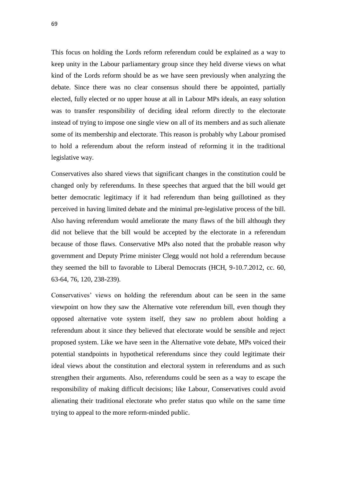This focus on holding the Lords reform referendum could be explained as a way to keep unity in the Labour parliamentary group since they held diverse views on what kind of the Lords reform should be as we have seen previously when analyzing the debate. Since there was no clear consensus should there be appointed, partially elected, fully elected or no upper house at all in Labour MPs ideals, an easy solution was to transfer responsibility of deciding ideal reform directly to the electorate instead of trying to impose one single view on all of its members and as such alienate some of its membership and electorate. This reason is probably why Labour promised to hold a referendum about the reform instead of reforming it in the traditional legislative way.

Conservatives also shared views that significant changes in the constitution could be changed only by referendums. In these speeches that argued that the bill would get better democratic legitimacy if it had referendum than being guillotined as they perceived in having limited debate and the minimal pre-legislative process of the bill. Also having referendum would ameliorate the many flaws of the bill although they did not believe that the bill would be accepted by the electorate in a referendum because of those flaws. Conservative MPs also noted that the probable reason why government and Deputy Prime minister Clegg would not hold a referendum because they seemed the bill to favorable to Liberal Democrats (HCH, 9-10.7.2012, cc. 60, 63-64, 76, 120, 238-239).

Conservatives' views on holding the referendum about can be seen in the same viewpoint on how they saw the Alternative vote referendum bill, even though they opposed alternative vote system itself, they saw no problem about holding a referendum about it since they believed that electorate would be sensible and reject proposed system. Like we have seen in the Alternative vote debate, MPs voiced their potential standpoints in hypothetical referendums since they could legitimate their ideal views about the constitution and electoral system in referendums and as such strengthen their arguments. Also, referendums could be seen as a way to escape the responsibility of making difficult decisions; like Labour, Conservatives could avoid alienating their traditional electorate who prefer status quo while on the same time trying to appeal to the more reform-minded public.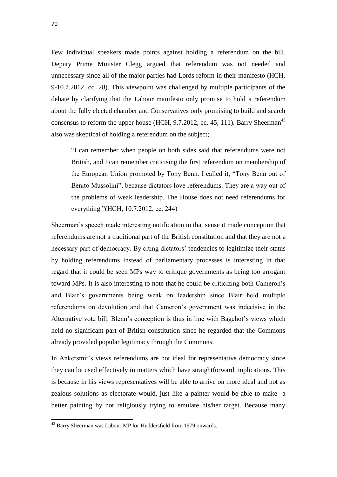Few individual speakers made points against holding a referendum on the bill. Deputy Prime Minister Clegg argued that referendum was not needed and unnecessary since all of the major parties had Lords reform in their manifesto (HCH, 9-10.7.2012, cc. 28). This viewpoint was challenged by multiple participants of the debate by clarifying that the Labour manifesto only promise to hold a referendum about the fully elected chamber and Conservatives only promising to build and search consensus to reform the upper house (HCH,  $9.7.2012$ , cc. 45, 111). Barry Sheerman<sup>43</sup> also was skeptical of holding a referendum on the subject;

"I can remember when people on both sides said that referendums were not British, and I can remember criticising the first referendum on membership of the European Union promoted by Tony Benn. I called it, "Tony Benn out of Benito Mussolini", because dictators love referendums. They are a way out of the problems of weak leadership. The House does not need referendums for everything."(HCH, 10.7.2012, cc. 244)

Sheerman's speech made interesting notification in that sense it made conception that referendums are not a traditional part of the British constitution and that they are not a necessary part of democracy. By citing dictators' tendencies to legitimize their status by holding referendums instead of parliamentary processes is interesting in that regard that it could be seen MPs way to critique governments as being too arrogant toward MPs. It is also interesting to note that he could be criticizing both Cameron's and Blair's governments being weak on leadership since Blair held multiple referendums on devolution and that Cameron's government was indecisive in the Alternative vote bill. Blenn's conception is thus in line with Bagehot's views which held no significant part of British constitution since he regarded that the Commons already provided popular legitimacy through the Commons.

In Ankersmit's views referendums are not ideal for representative democracy since they can be used effectively in matters which have straightforward implications. This is because in his views representatives will be able to arrive on more ideal and not as zealous solutions as electorate would, just like a painter would be able to make a better painting by not religiously trying to emulate his/her target. Because many

<sup>&</sup>lt;sup>43</sup> Barry Sheerman was Labour MP for Huddersfield from 1979 onwards.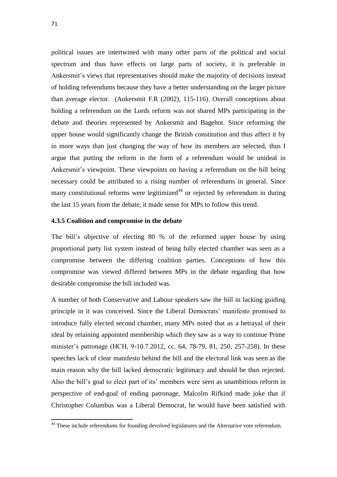political issues are intertwined with many other parts of the political and social spectrum and thus have effects on large parts of society, it is preferable in Ankersmit's views that representatives should make the majority of decisions instead of holding referendums because they have a better understanding on the larger picture than average elector. (Ankersmit F.R (2002), 115-116). Overall conceptions about holding a referendum on the Lords reform was not shared MPs participating in the debate and theories represented by Ankersmit and Bagehot. Since reforming the upper house would significantly change the British constitution and thus affect it by in more ways than just changing the way of how its members are selected, thus I argue that putting the reform in the form of a referendum would be unideal in Ankersmit's viewpoint. These viewpoints on having a referendum on the bill being necessary could be attributed to a rising number of referendums in general. Since many constitutional reforms were legitimized<sup> $44$ </sup> or rejected by referendum in during the last 15 years from the debate, it made sense for MPs to follow this trend.

### **4.3.5 Coalition and compromise in the debate**

The bill's objective of electing 80 % of the reformed upper house by using proportional party list system instead of being fully elected chamber was seen as a compromise between the differing coalition parties. Conceptions of how this compromise was viewed differed between MPs in the debate regarding that how desirable compromise the bill included was.

A number of both Conservative and Labour speakers saw the bill in lacking guiding principle in it was conceived. Since the Liberal Democrats' manifesto promised to introduce fully elected second chamber, many MPs noted that as a betrayal of their ideal by retaining appointed membership which they saw as a way to continue Prime minister's patronage (HCH, 9-10.7.2012, cc. 64, 78-79, 81, 250, 257-258). In these speeches lack of clear manifesto behind the bill and the electoral link was seen as the main reason why the bill lacked democratic legitimacy and should be thus rejected. Also the bill's goal to elect part of its' members were seen as unambitious reform in perspective of end-goal of ending patronage, Malcolm Rifkind made joke that if Christopher Columbus was a Liberal Democrat, he would have been satisfied with

<sup>&</sup>lt;sup>44</sup> These include referendums for founding devolved legislatures and the Alternative vote referendum.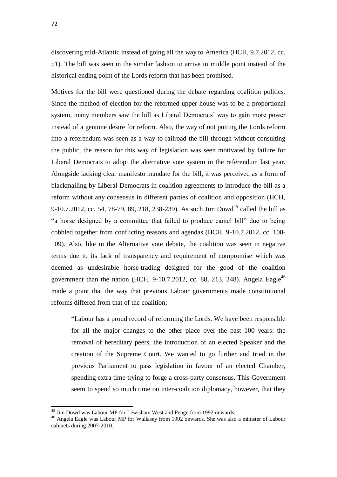discovering mid-Atlantic instead of going all the way to America (HCH, 9.7.2012, cc. 51). The bill was seen in the similar fashion to arrive in middle point instead of the historical ending point of the Lords reform that has been promised.

Motives for the bill were questioned during the debate regarding coalition politics. Since the method of election for the reformed upper house was to be a proportional system, many members saw the bill as Liberal Democrats' way to gain more power instead of a genuine desire for reform. Also, the way of not putting the Lords reform into a referendum was seen as a way to railroad the bill through without consulting the public, the reason for this way of legislation was seen motivated by failure for Liberal Democrats to adopt the alternative vote system in the referendum last year. Alongside lacking clear manifesto mandate for the bill, it was perceived as a form of blackmailing by Liberal Democrats in coalition agreements to introduce the bill as a reform without any consensus in different parties of coalition and opposition (HCH, 9-10.7.2012, cc. 54, 78-79, 89, 218, 238-239). As such Jim Dowd<sup>45</sup> called the bill as "a horse designed by a committee that failed to produce camel bill" due to being cobbled together from conflicting reasons and agendas (HCH, 9-10.7.2012, cc. 108- 109). Also, like in the Alternative vote debate, the coalition was seen in negative terms due to its lack of transparency and requirement of compromise which was deemed as undesirable horse-trading designed for the good of the coalition government than the nation (HCH, 9-10.7.2012, cc. 88, 213, 248). Angela Eagle<sup>46</sup> made a point that the way that previous Labour governments made constitutional reforms differed from that of the coalition;

"Labour has a proud record of reforming the Lords. We have been responsible for all the major changes to the other place over the past 100 years: the removal of hereditary peers, the introduction of an elected Speaker and the creation of the Supreme Court. We wanted to go further and tried in the previous Parliament to pass legislation in favour of an elected Chamber, spending extra time trying to forge a cross-party consensus. This Government seem to spend so much time on inter-coalition diplomacy, however, that they

<sup>&</sup>lt;sup>45</sup> Jim Dowd was Labour MP for Lewisham West and Penge from 1992 onwards.

<sup>46</sup> Angela Eagle was Labour MP for Wallasey from 1992 onwards. She was also a minister of Labour cabinets during 2007-2010.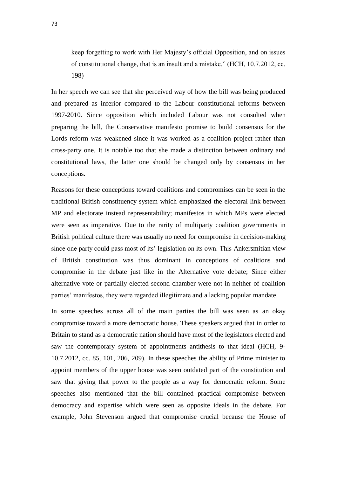keep forgetting to work with Her Majesty's official Opposition, and on issues of constitutional change, that is an insult and a mistake." (HCH, 10.7.2012, cc. 198)

In her speech we can see that she perceived way of how the bill was being produced and prepared as inferior compared to the Labour constitutional reforms between 1997-2010. Since opposition which included Labour was not consulted when preparing the bill, the Conservative manifesto promise to build consensus for the Lords reform was weakened since it was worked as a coalition project rather than cross-party one. It is notable too that she made a distinction between ordinary and constitutional laws, the latter one should be changed only by consensus in her conceptions.

Reasons for these conceptions toward coalitions and compromises can be seen in the traditional British constituency system which emphasized the electoral link between MP and electorate instead representability; manifestos in which MPs were elected were seen as imperative. Due to the rarity of multiparty coalition governments in British political culture there was usually no need for compromise in decision-making since one party could pass most of its' legislation on its own. This Ankersmitian view of British constitution was thus dominant in conceptions of coalitions and compromise in the debate just like in the Alternative vote debate; Since either alternative vote or partially elected second chamber were not in neither of coalition parties' manifestos, they were regarded illegitimate and a lacking popular mandate.

In some speeches across all of the main parties the bill was seen as an okay compromise toward a more democratic house. These speakers argued that in order to Britain to stand as a democratic nation should have most of the legislators elected and saw the contemporary system of appointments antithesis to that ideal (HCH, 9- 10.7.2012, cc. 85, 101, 206, 209). In these speeches the ability of Prime minister to appoint members of the upper house was seen outdated part of the constitution and saw that giving that power to the people as a way for democratic reform. Some speeches also mentioned that the bill contained practical compromise between democracy and expertise which were seen as opposite ideals in the debate. For example, John Stevenson argued that compromise crucial because the House of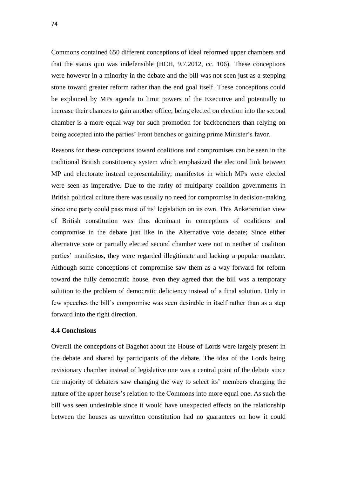Commons contained 650 different conceptions of ideal reformed upper chambers and that the status quo was indefensible (HCH, 9.7.2012, cc. 106). These conceptions were however in a minority in the debate and the bill was not seen just as a stepping stone toward greater reform rather than the end goal itself. These conceptions could be explained by MPs agenda to limit powers of the Executive and potentially to increase their chances to gain another office; being elected on election into the second chamber is a more equal way for such promotion for backbenchers than relying on being accepted into the parties' Front benches or gaining prime Minister's favor.

Reasons for these conceptions toward coalitions and compromises can be seen in the traditional British constituency system which emphasized the electoral link between MP and electorate instead representability; manifestos in which MPs were elected were seen as imperative. Due to the rarity of multiparty coalition governments in British political culture there was usually no need for compromise in decision-making since one party could pass most of its' legislation on its own. This Ankersmitian view of British constitution was thus dominant in conceptions of coalitions and compromise in the debate just like in the Alternative vote debate; Since either alternative vote or partially elected second chamber were not in neither of coalition parties' manifestos, they were regarded illegitimate and lacking a popular mandate. Although some conceptions of compromise saw them as a way forward for reform toward the fully democratic house, even they agreed that the bill was a temporary solution to the problem of democratic deficiency instead of a final solution. Only in few speeches the bill's compromise was seen desirable in itself rather than as a step forward into the right direction.

#### **4.4 Conclusions**

Overall the conceptions of Bagehot about the House of Lords were largely present in the debate and shared by participants of the debate. The idea of the Lords being revisionary chamber instead of legislative one was a central point of the debate since the majority of debaters saw changing the way to select its' members changing the nature of the upper house's relation to the Commons into more equal one. As such the bill was seen undesirable since it would have unexpected effects on the relationship between the houses as unwritten constitution had no guarantees on how it could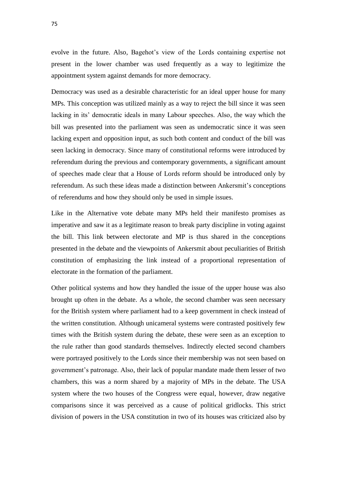evolve in the future. Also, Bagehot's view of the Lords containing expertise not present in the lower chamber was used frequently as a way to legitimize the appointment system against demands for more democracy.

Democracy was used as a desirable characteristic for an ideal upper house for many MPs. This conception was utilized mainly as a way to reject the bill since it was seen lacking in its' democratic ideals in many Labour speeches. Also, the way which the bill was presented into the parliament was seen as undemocratic since it was seen lacking expert and opposition input, as such both content and conduct of the bill was seen lacking in democracy. Since many of constitutional reforms were introduced by referendum during the previous and contemporary governments, a significant amount of speeches made clear that a House of Lords reform should be introduced only by referendum. As such these ideas made a distinction between Ankersmit's conceptions of referendums and how they should only be used in simple issues.

Like in the Alternative vote debate many MPs held their manifesto promises as imperative and saw it as a legitimate reason to break party discipline in voting against the bill. This link between electorate and MP is thus shared in the conceptions presented in the debate and the viewpoints of Ankersmit about peculiarities of British constitution of emphasizing the link instead of a proportional representation of electorate in the formation of the parliament.

Other political systems and how they handled the issue of the upper house was also brought up often in the debate. As a whole, the second chamber was seen necessary for the British system where parliament had to a keep government in check instead of the written constitution. Although unicameral systems were contrasted positively few times with the British system during the debate, these were seen as an exception to the rule rather than good standards themselves. Indirectly elected second chambers were portrayed positively to the Lords since their membership was not seen based on government's patronage. Also, their lack of popular mandate made them lesser of two chambers, this was a norm shared by a majority of MPs in the debate. The USA system where the two houses of the Congress were equal, however, draw negative comparisons since it was perceived as a cause of political gridlocks. This strict division of powers in the USA constitution in two of its houses was criticized also by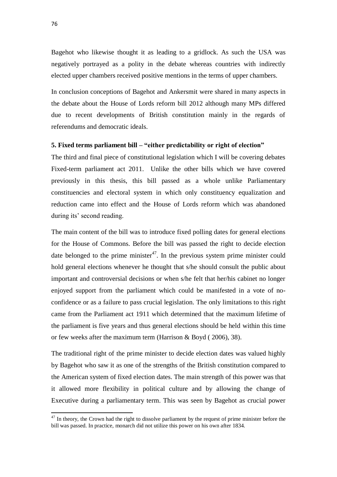Bagehot who likewise thought it as leading to a gridlock. As such the USA was negatively portrayed as a polity in the debate whereas countries with indirectly elected upper chambers received positive mentions in the terms of upper chambers.

In conclusion conceptions of Bagehot and Ankersmit were shared in many aspects in the debate about the House of Lords reform bill 2012 although many MPs differed due to recent developments of British constitution mainly in the regards of referendums and democratic ideals.

### **5. Fixed terms parliament bill – "either predictability or right of election"**

The third and final piece of constitutional legislation which I will be covering debates Fixed-term parliament act 2011. Unlike the other bills which we have covered previously in this thesis, this bill passed as a whole unlike Parliamentary constituencies and electoral system in which only constituency equalization and reduction came into effect and the House of Lords reform which was abandoned during its' second reading.

The main content of the bill was to introduce fixed polling dates for general elections for the House of Commons. Before the bill was passed the right to decide election date belonged to the prime minister<sup>47</sup>. In the previous system prime minister could hold general elections whenever he thought that s/he should consult the public about important and controversial decisions or when s/he felt that her/his cabinet no longer enjoyed support from the parliament which could be manifested in a vote of noconfidence or as a failure to pass crucial legislation. The only limitations to this right came from the Parliament act 1911 which determined that the maximum lifetime of the parliament is five years and thus general elections should be held within this time or few weeks after the maximum term (Harrison & Boyd ( 2006), 38).

The traditional right of the prime minister to decide election dates was valued highly by Bagehot who saw it as one of the strengths of the British constitution compared to the American system of fixed election dates. The main strength of this power was that it allowed more flexibility in political culture and by allowing the change of Executive during a parliamentary term. This was seen by Bagehot as crucial power

<sup>&</sup>lt;sup>47</sup> In theory, the Crown had the right to dissolve parliament by the request of prime minister before the bill was passed. In practice, monarch did not utilize this power on his own after 1834.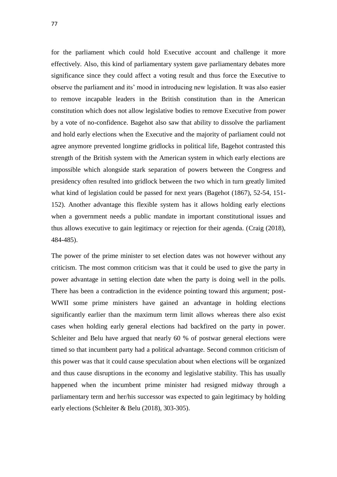for the parliament which could hold Executive account and challenge it more effectively. Also, this kind of parliamentary system gave parliamentary debates more significance since they could affect a voting result and thus force the Executive to observe the parliament and its' mood in introducing new legislation. It was also easier to remove incapable leaders in the British constitution than in the American constitution which does not allow legislative bodies to remove Executive from power by a vote of no-confidence. Bagehot also saw that ability to dissolve the parliament and hold early elections when the Executive and the majority of parliament could not agree anymore prevented longtime gridlocks in political life, Bagehot contrasted this strength of the British system with the American system in which early elections are impossible which alongside stark separation of powers between the Congress and presidency often resulted into gridlock between the two which in turn greatly limited what kind of legislation could be passed for next years (Bagehot (1867), 52-54, 151- 152). Another advantage this flexible system has it allows holding early elections when a government needs a public mandate in important constitutional issues and thus allows executive to gain legitimacy or rejection for their agenda. (Craig (2018), 484-485).

The power of the prime minister to set election dates was not however without any criticism. The most common criticism was that it could be used to give the party in power advantage in setting election date when the party is doing well in the polls. There has been a contradiction in the evidence pointing toward this argument; post-WWII some prime ministers have gained an advantage in holding elections significantly earlier than the maximum term limit allows whereas there also exist cases when holding early general elections had backfired on the party in power. Schleiter and Belu have argued that nearly 60 % of postwar general elections were timed so that incumbent party had a political advantage. Second common criticism of this power was that it could cause speculation about when elections will be organized and thus cause disruptions in the economy and legislative stability. This has usually happened when the incumbent prime minister had resigned midway through a parliamentary term and her/his successor was expected to gain legitimacy by holding early elections (Schleiter & Belu (2018), 303-305).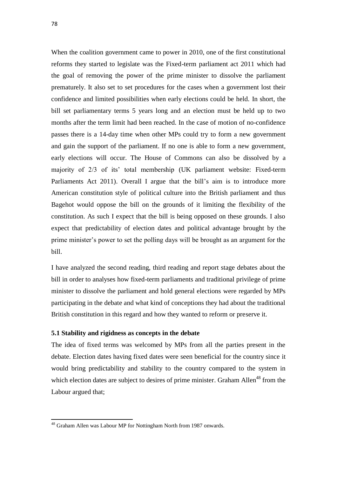When the coalition government came to power in 2010, one of the first constitutional reforms they started to legislate was the Fixed-term parliament act 2011 which had the goal of removing the power of the prime minister to dissolve the parliament prematurely. It also set to set procedures for the cases when a government lost their confidence and limited possibilities when early elections could be held. In short, the bill set parliamentary terms 5 years long and an election must be held up to two months after the term limit had been reached. In the case of motion of no-confidence passes there is a 14-day time when other MPs could try to form a new government and gain the support of the parliament. If no one is able to form a new government, early elections will occur. The House of Commons can also be dissolved by a majority of 2/3 of its' total membership (UK parliament website: Fixed-term Parliaments Act 2011). Overall I argue that the bill's aim is to introduce more American constitution style of political culture into the British parliament and thus Bagehot would oppose the bill on the grounds of it limiting the flexibility of the constitution. As such I expect that the bill is being opposed on these grounds. I also expect that predictability of election dates and political advantage brought by the prime minister's power to set the polling days will be brought as an argument for the bill.

I have analyzed the second reading, third reading and report stage debates about the bill in order to analyses how fixed-term parliaments and traditional privilege of prime minister to dissolve the parliament and hold general elections were regarded by MPs participating in the debate and what kind of conceptions they had about the traditional British constitution in this regard and how they wanted to reform or preserve it.

#### **5.1 Stability and rigidness as concepts in the debate**

The idea of fixed terms was welcomed by MPs from all the parties present in the debate. Election dates having fixed dates were seen beneficial for the country since it would bring predictability and stability to the country compared to the system in which election dates are subject to desires of prime minister. Graham Allen<sup>48</sup> from the Labour argued that;

<sup>&</sup>lt;sup>48</sup> Graham Allen was Labour MP for Nottingham North from 1987 onwards.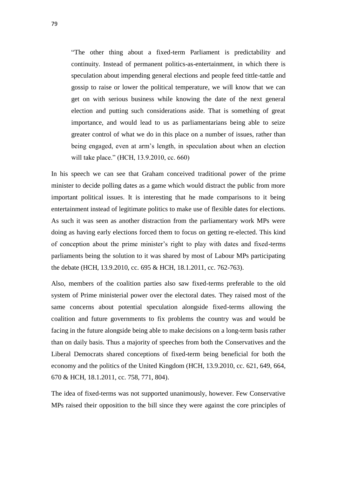"The other thing about a fixed-term Parliament is predictability and continuity. Instead of permanent politics-as-entertainment, in which there is speculation about impending general elections and people feed tittle-tattle and gossip to raise or lower the political temperature, we will know that we can get on with serious business while knowing the date of the next general election and putting such considerations aside. That is something of great importance, and would lead to us as parliamentarians being able to seize greater control of what we do in this place on a number of issues, rather than being engaged, even at arm's length, in speculation about when an election will take place." (HCH, 13.9.2010, cc. 660)

In his speech we can see that Graham conceived traditional power of the prime minister to decide polling dates as a game which would distract the public from more important political issues. It is interesting that he made comparisons to it being entertainment instead of legitimate politics to make use of flexible dates for elections. As such it was seen as another distraction from the parliamentary work MPs were doing as having early elections forced them to focus on getting re-elected. This kind of conception about the prime minister's right to play with dates and fixed-terms parliaments being the solution to it was shared by most of Labour MPs participating the debate (HCH, 13.9.2010, cc. 695 & HCH, 18.1.2011, cc. 762-763).

Also, members of the coalition parties also saw fixed-terms preferable to the old system of Prime ministerial power over the electoral dates. They raised most of the same concerns about potential speculation alongside fixed-terms allowing the coalition and future governments to fix problems the country was and would be facing in the future alongside being able to make decisions on a long-term basis rather than on daily basis. Thus a majority of speeches from both the Conservatives and the Liberal Democrats shared conceptions of fixed-term being beneficial for both the economy and the politics of the United Kingdom (HCH, 13.9.2010, cc. 621, 649, 664, 670 & HCH, 18.1.2011, cc. 758, 771, 804).

The idea of fixed-terms was not supported unanimously, however. Few Conservative MPs raised their opposition to the bill since they were against the core principles of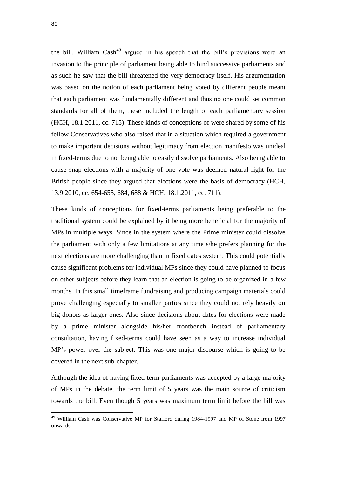1

the bill. William  $Cash<sup>49</sup>$  argued in his speech that the bill's provisions were an invasion to the principle of parliament being able to bind successive parliaments and as such he saw that the bill threatened the very democracy itself. His argumentation was based on the notion of each parliament being voted by different people meant that each parliament was fundamentally different and thus no one could set common standards for all of them, these included the length of each parliamentary session (HCH, 18.1.2011, cc. 715). These kinds of conceptions of were shared by some of his fellow Conservatives who also raised that in a situation which required a government to make important decisions without legitimacy from election manifesto was unideal in fixed-terms due to not being able to easily dissolve parliaments. Also being able to cause snap elections with a majority of one vote was deemed natural right for the British people since they argued that elections were the basis of democracy (HCH, 13.9.2010, cc. 654-655, 684, 688 & HCH, 18.1.2011, cc. 711).

These kinds of conceptions for fixed-terms parliaments being preferable to the traditional system could be explained by it being more beneficial for the majority of MPs in multiple ways. Since in the system where the Prime minister could dissolve the parliament with only a few limitations at any time s/he prefers planning for the next elections are more challenging than in fixed dates system. This could potentially cause significant problems for individual MPs since they could have planned to focus on other subjects before they learn that an election is going to be organized in a few months. In this small timeframe fundraising and producing campaign materials could prove challenging especially to smaller parties since they could not rely heavily on big donors as larger ones. Also since decisions about dates for elections were made by a prime minister alongside his/her frontbench instead of parliamentary consultation, having fixed-terms could have seen as a way to increase individual MP's power over the subject. This was one major discourse which is going to be covered in the next sub-chapter.

Although the idea of having fixed-term parliaments was accepted by a large majority of MPs in the debate, the term limit of 5 years was the main source of criticism towards the bill. Even though 5 years was maximum term limit before the bill was

<sup>&</sup>lt;sup>49</sup> William Cash was Conservative MP for Stafford during 1984-1997 and MP of Stone from 1997 onwards.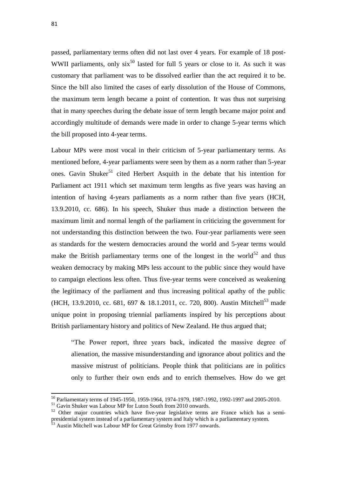passed, parliamentary terms often did not last over 4 years. For example of 18 post-WWII parliaments, only  $six^{50}$  lasted for full 5 years or close to it. As such it was customary that parliament was to be dissolved earlier than the act required it to be. Since the bill also limited the cases of early dissolution of the House of Commons, the maximum term length became a point of contention. It was thus not surprising that in many speeches during the debate issue of term length became major point and accordingly multitude of demands were made in order to change 5-year terms which the bill proposed into 4-year terms.

Labour MPs were most vocal in their criticism of 5-year parliamentary terms. As mentioned before, 4-year parliaments were seen by them as a norm rather than 5-year ones. Gavin Shuker<sup>51</sup> cited Herbert Asquith in the debate that his intention for Parliament act 1911 which set maximum term lengths as five years was having an intention of having 4-years parliaments as a norm rather than five years (HCH, 13.9.2010, cc. 686). In his speech, Shuker thus made a distinction between the maximum limit and normal length of the parliament in criticizing the government for not understanding this distinction between the two. Four-year parliaments were seen as standards for the western democracies around the world and 5-year terms would make the British parliamentary terms one of the longest in the world $52$  and thus weaken democracy by making MPs less account to the public since they would have to campaign elections less often. Thus five-year terms were conceived as weakening the legitimacy of the parliament and thus increasing political apathy of the public (HCH, 13.9.2010, cc. 681, 697 & 18.1.2011, cc. 720, 800). Austin Mitchell<sup>53</sup> made unique point in proposing triennial parliaments inspired by his perceptions about British parliamentary history and politics of New Zealand. He thus argued that;

"The Power report, three years back, indicated the massive degree of alienation, the massive misunderstanding and ignorance about politics and the massive mistrust of politicians. People think that politicians are in politics only to further their own ends and to enrich themselves. How do we get

 $\overline{a}$ 

<sup>&</sup>lt;sup>50</sup> Parliamentary terms of 1945-1950, 1959-1964, 1974-1979, 1987-1992, 1992-1997 and 2005-2010.

<sup>&</sup>lt;sup>51</sup> Gavin Shuker was Labour MP for Luton South from 2010 onwards.

 $52$  Other major countries which have five-year legislative terms are France which has a semipresidential system instead of a parliamentary system and Italy which is a parliamentary system.

<sup>&</sup>lt;sup>53</sup> Austin Mitchell was Labour MP for Great Grimsby from 1977 onwards.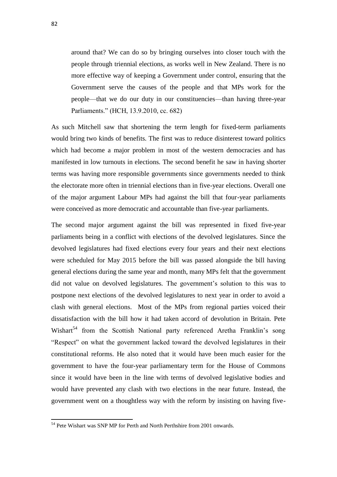around that? We can do so by bringing ourselves into closer touch with the people through triennial elections, as works well in New Zealand. There is no more effective way of keeping a Government under control, ensuring that the Government serve the causes of the people and that MPs work for the people—that we do our duty in our constituencies—than having three-year Parliaments." (HCH, 13.9.2010, cc. 682)

As such Mitchell saw that shortening the term length for fixed-term parliaments would bring two kinds of benefits. The first was to reduce disinterest toward politics which had become a major problem in most of the western democracies and has manifested in low turnouts in elections. The second benefit he saw in having shorter terms was having more responsible governments since governments needed to think the electorate more often in triennial elections than in five-year elections. Overall one of the major argument Labour MPs had against the bill that four-year parliaments were conceived as more democratic and accountable than five-year parliaments.

The second major argument against the bill was represented in fixed five-year parliaments being in a conflict with elections of the devolved legislatures. Since the devolved legislatures had fixed elections every four years and their next elections were scheduled for May 2015 before the bill was passed alongside the bill having general elections during the same year and month, many MPs felt that the government did not value on devolved legislatures. The government's solution to this was to postpone next elections of the devolved legislatures to next year in order to avoid a clash with general elections. Most of the MPs from regional parties voiced their dissatisfaction with the bill how it had taken accord of devolution in Britain. Pete Wishart<sup>54</sup> from the Scottish National party referenced Aretha Franklin's song "Respect" on what the government lacked toward the devolved legislatures in their constitutional reforms. He also noted that it would have been much easier for the government to have the four-year parliamentary term for the House of Commons since it would have been in the line with terms of devolved legislative bodies and would have prevented any clash with two elections in the near future. Instead, the government went on a thoughtless way with the reform by insisting on having five-

<sup>&</sup>lt;sup>54</sup> Pete Wishart was SNP MP for Perth and North Perthshire from 2001 onwards.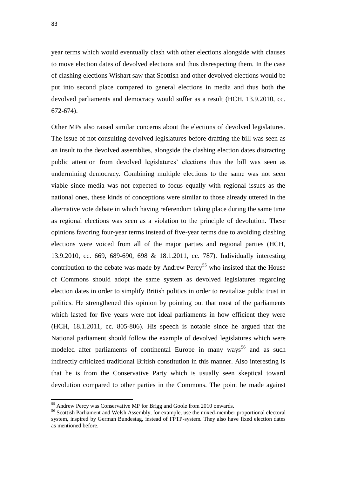year terms which would eventually clash with other elections alongside with clauses to move election dates of devolved elections and thus disrespecting them. In the case of clashing elections Wishart saw that Scottish and other devolved elections would be put into second place compared to general elections in media and thus both the devolved parliaments and democracy would suffer as a result (HCH, 13.9.2010, cc. 672-674).

Other MPs also raised similar concerns about the elections of devolved legislatures. The issue of not consulting devolved legislatures before drafting the bill was seen as an insult to the devolved assemblies, alongside the clashing election dates distracting public attention from devolved legislatures' elections thus the bill was seen as undermining democracy. Combining multiple elections to the same was not seen viable since media was not expected to focus equally with regional issues as the national ones, these kinds of conceptions were similar to those already uttered in the alternative vote debate in which having referendum taking place during the same time as regional elections was seen as a violation to the principle of devolution. These opinions favoring four-year terms instead of five-year terms due to avoiding clashing elections were voiced from all of the major parties and regional parties (HCH, 13.9.2010, cc. 669, 689-690, 698 & 18.1.2011, cc. 787). Individually interesting contribution to the debate was made by Andrew Percy<sup>55</sup> who insisted that the House of Commons should adopt the same system as devolved legislatures regarding election dates in order to simplify British politics in order to revitalize public trust in politics. He strengthened this opinion by pointing out that most of the parliaments which lasted for five years were not ideal parliaments in how efficient they were (HCH, 18.1.2011, cc. 805-806). His speech is notable since he argued that the National parliament should follow the example of devolved legislatures which were modeled after parliaments of continental Europe in many ways<sup>56</sup> and as such indirectly criticized traditional British constitution in this manner. Also interesting is that he is from the Conservative Party which is usually seen skeptical toward devolution compared to other parties in the Commons. The point he made against

 $\overline{a}$ 

<sup>&</sup>lt;sup>55</sup> Andrew Percy was Conservative MP for Brigg and Goole from 2010 onwards.

<sup>&</sup>lt;sup>56</sup> Scottish Parliament and Welsh Assembly, for example, use the mixed-member proportional electoral system, inspired by German Bundestag, instead of FPTP-system. They also have fixed election dates as mentioned before.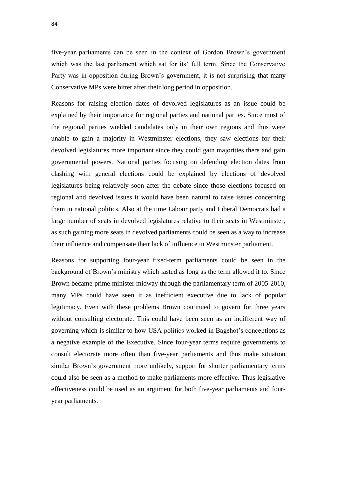five-year parliaments can be seen in the context of Gordon Brown's government which was the last parliament which sat for its' full term. Since the Conservative Party was in opposition during Brown's government, it is not surprising that many Conservative MPs were bitter after their long period in opposition.

Reasons for raising election dates of devolved legislatures as an issue could be explained by their importance for regional parties and national parties. Since most of the regional parties wielded candidates only in their own regions and thus were unable to gain a majority in Westminster elections, they saw elections for their devolved legislatures more important since they could gain majorities there and gain governmental powers. National parties focusing on defending election dates from clashing with general elections could be explained by elections of devolved legislatures being relatively soon after the debate since those elections focused on regional and devolved issues it would have been natural to raise issues concerning them in national politics. Also at the time Labour party and Liberal Democrats had a large number of seats in devolved legislatures relative to their seats in Westminster, as such gaining more seats in devolved parliaments could be seen as a way to increase their influence and compensate their lack of influence in Westminster parliament.

Reasons for supporting four-year fixed-term parliaments could be seen in the background of Brown's ministry which lasted as long as the term allowed it to. Since Brown became prime minister midway through the parliamentary term of 2005-2010, many MPs could have seen it as inefficient executive due to lack of popular legitimacy. Even with these problems Brown continued to govern for three years without consulting electorate. This could have been seen as an indifferent way of governing which is similar to how USA politics worked in Bagehot's conceptions as a negative example of the Executive. Since four-year terms require governments to consult electorate more often than five-year parliaments and thus make situation similar Brown's government more unlikely, support for shorter parliamentary terms could also be seen as a method to make parliaments more effective. Thus legislative effectiveness could be used as an argument for both five-year parliaments and fouryear parliaments.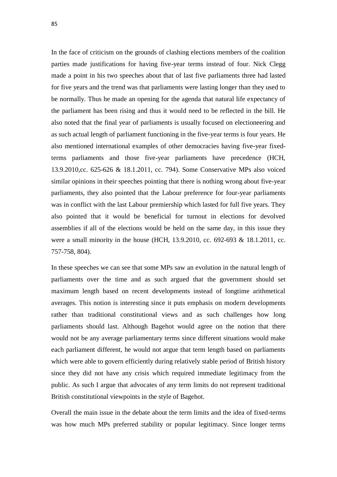In the face of criticism on the grounds of clashing elections members of the coalition parties made justifications for having five-year terms instead of four. Nick Clegg made a point in his two speeches about that of last five parliaments three had lasted for five years and the trend was that parliaments were lasting longer than they used to be normally. Thus he made an opening for the agenda that natural life expectancy of the parliament has been rising and thus it would need to be reflected in the bill. He also noted that the final year of parliaments is usually focused on electioneering and as such actual length of parliament functioning in the five-year terms is four years. He also mentioned international examples of other democracies having five-year fixedterms parliaments and those five-year parliaments have precedence (HCH, 13.9.2010,cc. 625-626 & 18.1.2011, cc. 794). Some Conservative MPs also voiced similar opinions in their speeches pointing that there is nothing wrong about five-year parliaments, they also pointed that the Labour preference for four-year parliaments was in conflict with the last Labour premiership which lasted for full five years. They also pointed that it would be beneficial for turnout in elections for devolved assemblies if all of the elections would be held on the same day, in this issue they were a small minority in the house (HCH, 13.9.2010, cc. 692-693 & 18.1.2011, cc. 757-758, 804).

In these speeches we can see that some MPs saw an evolution in the natural length of parliaments over the time and as such argued that the government should set maximum length based on recent developments instead of longtime arithmetical averages. This notion is interesting since it puts emphasis on modern developments rather than traditional constitutional views and as such challenges how long parliaments should last. Although Bagehot would agree on the notion that there would not be any average parliamentary terms since different situations would make each parliament different, he would not argue that term length based on parliaments which were able to govern efficiently during relatively stable period of British history since they did not have any crisis which required immediate legitimacy from the public. As such I argue that advocates of any term limits do not represent traditional British constitutional viewpoints in the style of Bagehot.

Overall the main issue in the debate about the term limits and the idea of fixed-terms was how much MPs preferred stability or popular legitimacy. Since longer terms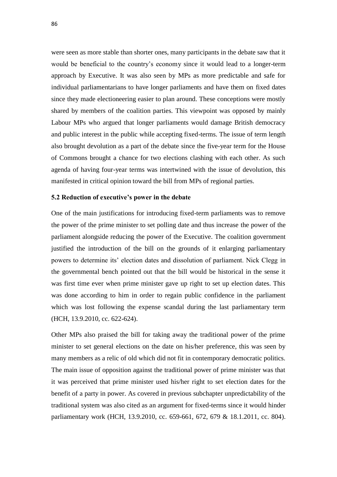were seen as more stable than shorter ones, many participants in the debate saw that it would be beneficial to the country's economy since it would lead to a longer-term approach by Executive. It was also seen by MPs as more predictable and safe for individual parliamentarians to have longer parliaments and have them on fixed dates since they made electioneering easier to plan around. These conceptions were mostly shared by members of the coalition parties. This viewpoint was opposed by mainly Labour MPs who argued that longer parliaments would damage British democracy and public interest in the public while accepting fixed-terms. The issue of term length also brought devolution as a part of the debate since the five-year term for the House of Commons brought a chance for two elections clashing with each other. As such agenda of having four-year terms was intertwined with the issue of devolution, this manifested in critical opinion toward the bill from MPs of regional parties.

#### **5.2 Reduction of executive's power in the debate**

One of the main justifications for introducing fixed-term parliaments was to remove the power of the prime minister to set polling date and thus increase the power of the parliament alongside reducing the power of the Executive. The coalition government justified the introduction of the bill on the grounds of it enlarging parliamentary powers to determine its' election dates and dissolution of parliament. Nick Clegg in the governmental bench pointed out that the bill would be historical in the sense it was first time ever when prime minister gave up right to set up election dates. This was done according to him in order to regain public confidence in the parliament which was lost following the expense scandal during the last parliamentary term (HCH, 13.9.2010, cc. 622-624).

Other MPs also praised the bill for taking away the traditional power of the prime minister to set general elections on the date on his/her preference, this was seen by many members as a relic of old which did not fit in contemporary democratic politics. The main issue of opposition against the traditional power of prime minister was that it was perceived that prime minister used his/her right to set election dates for the benefit of a party in power. As covered in previous subchapter unpredictability of the traditional system was also cited as an argument for fixed-terms since it would hinder parliamentary work (HCH, 13.9.2010, cc. 659-661, 672, 679 & 18.1.2011, cc. 804).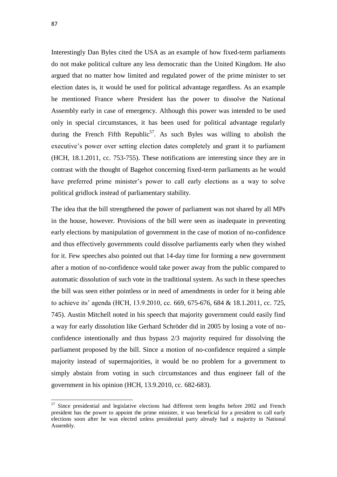Interestingly Dan Byles cited the USA as an example of how fixed-term parliaments do not make political culture any less democratic than the United Kingdom. He also argued that no matter how limited and regulated power of the prime minister to set election dates is, it would be used for political advantage regardless. As an example he mentioned France where President has the power to dissolve the National Assembly early in case of emergency. Although this power was intended to be used only in special circumstances, it has been used for political advantage regularly during the French Fifth Republic<sup>57</sup>. As such Byles was willing to abolish the executive's power over setting election dates completely and grant it to parliament (HCH, 18.1.2011, cc. 753-755). These notifications are interesting since they are in contrast with the thought of Bagehot concerning fixed-term parliaments as he would have preferred prime minister's power to call early elections as a way to solve political gridlock instead of parliamentary stability.

The idea that the bill strengthened the power of parliament was not shared by all MPs in the house, however. Provisions of the bill were seen as inadequate in preventing early elections by manipulation of government in the case of motion of no-confidence and thus effectively governments could dissolve parliaments early when they wished for it. Few speeches also pointed out that 14-day time for forming a new government after a motion of no-confidence would take power away from the public compared to automatic dissolution of such vote in the traditional system. As such in these speeches the bill was seen either pointless or in need of amendments in order for it being able to achieve its' agenda (HCH, 13.9.2010, cc. 669, 675-676, 684 & 18.1.2011, cc. 725, 745). Austin Mitchell noted in his speech that majority government could easily find a way for early dissolution like Gerhard Schröder did in 2005 by losing a vote of noconfidence intentionally and thus bypass 2/3 majority required for dissolving the parliament proposed by the bill. Since a motion of no-confidence required a simple majority instead of supermajorities, it would be no problem for a government to simply abstain from voting in such circumstances and thus engineer fall of the government in his opinion (HCH, 13.9.2010, cc. 682-683).

<sup>&</sup>lt;sup>57</sup> Since presidential and legislative elections had different term lengths before 2002 and French president has the power to appoint the prime minister, it was beneficial for a president to call early elections soon after he was elected unless presidential party already had a majority in National Assembly.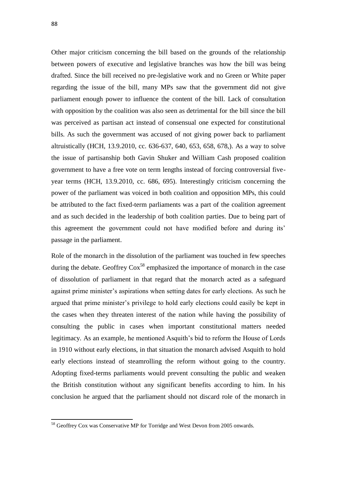1

Other major criticism concerning the bill based on the grounds of the relationship between powers of executive and legislative branches was how the bill was being drafted. Since the bill received no pre-legislative work and no Green or White paper regarding the issue of the bill, many MPs saw that the government did not give parliament enough power to influence the content of the bill. Lack of consultation with opposition by the coalition was also seen as detrimental for the bill since the bill was perceived as partisan act instead of consensual one expected for constitutional bills. As such the government was accused of not giving power back to parliament altruistically (HCH, 13.9.2010, cc. 636-637, 640, 653, 658, 678,). As a way to solve the issue of partisanship both Gavin Shuker and William Cash proposed coalition government to have a free vote on term lengths instead of forcing controversial fiveyear terms (HCH, 13.9.2010, cc. 686, 695). Interestingly criticism concerning the power of the parliament was voiced in both coalition and opposition MPs, this could be attributed to the fact fixed-term parliaments was a part of the coalition agreement and as such decided in the leadership of both coalition parties. Due to being part of this agreement the government could not have modified before and during its' passage in the parliament.

Role of the monarch in the dissolution of the parliament was touched in few speeches during the debate. Geoffrey  $\text{Cox}^{58}$  emphasized the importance of monarch in the case of dissolution of parliament in that regard that the monarch acted as a safeguard against prime minister's aspirations when setting dates for early elections. As such he argued that prime minister's privilege to hold early elections could easily be kept in the cases when they threaten interest of the nation while having the possibility of consulting the public in cases when important constitutional matters needed legitimacy. As an example, he mentioned Asquith's bid to reform the House of Lords in 1910 without early elections, in that situation the monarch advised Asquith to hold early elections instead of steamrolling the reform without going to the country. Adopting fixed-terms parliaments would prevent consulting the public and weaken the British constitution without any significant benefits according to him. In his conclusion he argued that the parliament should not discard role of the monarch in

<sup>58</sup> Geoffrey Cox was Conservative MP for Torridge and West Devon from 2005 onwards.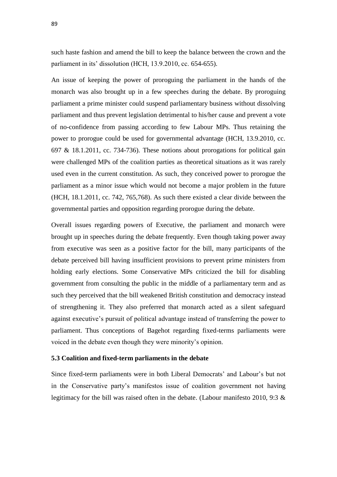such haste fashion and amend the bill to keep the balance between the crown and the parliament in its' dissolution (HCH, 13.9.2010, cc. 654-655).

An issue of keeping the power of proroguing the parliament in the hands of the monarch was also brought up in a few speeches during the debate. By proroguing parliament a prime minister could suspend parliamentary business without dissolving parliament and thus prevent legislation detrimental to his/her cause and prevent a vote of no-confidence from passing according to few Labour MPs. Thus retaining the power to prorogue could be used for governmental advantage (HCH, 13.9.2010, cc. 697 & 18.1.2011, cc. 734-736). These notions about prorogations for political gain were challenged MPs of the coalition parties as theoretical situations as it was rarely used even in the current constitution. As such, they conceived power to prorogue the parliament as a minor issue which would not become a major problem in the future (HCH, 18.1.2011, cc. 742, 765,768). As such there existed a clear divide between the governmental parties and opposition regarding prorogue during the debate.

Overall issues regarding powers of Executive, the parliament and monarch were brought up in speeches during the debate frequently. Even though taking power away from executive was seen as a positive factor for the bill, many participants of the debate perceived bill having insufficient provisions to prevent prime ministers from holding early elections. Some Conservative MPs criticized the bill for disabling government from consulting the public in the middle of a parliamentary term and as such they perceived that the bill weakened British constitution and democracy instead of strengthening it. They also preferred that monarch acted as a silent safeguard against executive's pursuit of political advantage instead of transferring the power to parliament. Thus conceptions of Bagehot regarding fixed-terms parliaments were voiced in the debate even though they were minority's opinion.

### **5.3 Coalition and fixed-term parliaments in the debate**

Since fixed-term parliaments were in both Liberal Democrats' and Labour's but not in the Conservative party's manifestos issue of coalition government not having legitimacy for the bill was raised often in the debate. (Labour manifesto 2010, 9:3 &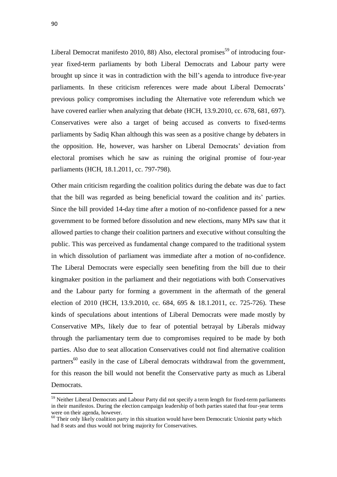Liberal Democrat manifesto 2010, 88) Also, electoral promises<sup>59</sup> of introducing fouryear fixed-term parliaments by both Liberal Democrats and Labour party were brought up since it was in contradiction with the bill's agenda to introduce five-year parliaments. In these criticism references were made about Liberal Democrats' previous policy compromises including the Alternative vote referendum which we have covered earlier when analyzing that debate (HCH, 13.9.2010, cc. 678, 681, 697). Conservatives were also a target of being accused as converts to fixed-terms parliaments by Sadiq Khan although this was seen as a positive change by debaters in the opposition. He, however, was harsher on Liberal Democrats' deviation from electoral promises which he saw as ruining the original promise of four-year parliaments (HCH, 18.1.2011, cc. 797-798).

Other main criticism regarding the coalition politics during the debate was due to fact that the bill was regarded as being beneficial toward the coalition and its' parties. Since the bill provided 14-day time after a motion of no-confidence passed for a new government to be formed before dissolution and new elections, many MPs saw that it allowed parties to change their coalition partners and executive without consulting the public. This was perceived as fundamental change compared to the traditional system in which dissolution of parliament was immediate after a motion of no-confidence. The Liberal Democrats were especially seen benefiting from the bill due to their kingmaker position in the parliament and their negotiations with both Conservatives and the Labour party for forming a government in the aftermath of the general election of 2010 (HCH, 13.9.2010, cc. 684, 695 & 18.1.2011, cc. 725-726). These kinds of speculations about intentions of Liberal Democrats were made mostly by Conservative MPs, likely due to fear of potential betrayal by Liberals midway through the parliamentary term due to compromises required to be made by both parties. Also due to seat allocation Conservatives could not find alternative coalition partners<sup>60</sup> easily in the case of Liberal democrats withdrawal from the government, for this reason the bill would not benefit the Conservative party as much as Liberal Democrats.

 $\overline{a}$ 

<sup>&</sup>lt;sup>59</sup> Neither Liberal Democrats and Labour Party did not specify a term length for fixed-term parliaments in their manifestos. During the election campaign leadership of both parties stated that four-year terms were on their agenda, however.

 $60$  Their only likely coalition party in this situation would have been Democratic Unionist party which had 8 seats and thus would not bring majority for Conservatives.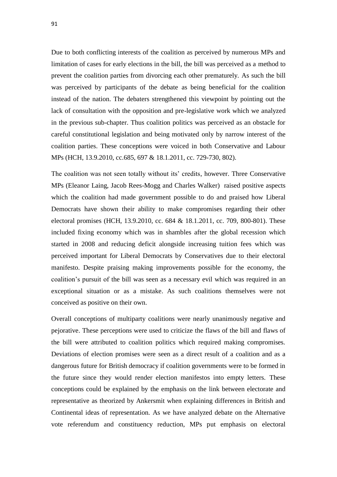Due to both conflicting interests of the coalition as perceived by numerous MPs and limitation of cases for early elections in the bill, the bill was perceived as a method to prevent the coalition parties from divorcing each other prematurely. As such the bill was perceived by participants of the debate as being beneficial for the coalition instead of the nation. The debaters strengthened this viewpoint by pointing out the lack of consultation with the opposition and pre-legislative work which we analyzed in the previous sub-chapter. Thus coalition politics was perceived as an obstacle for careful constitutional legislation and being motivated only by narrow interest of the coalition parties. These conceptions were voiced in both Conservative and Labour MPs (HCH, 13.9.2010, cc.685, 697 & 18.1.2011, cc. 729-730, 802).

The coalition was not seen totally without its' credits, however. Three Conservative MPs (Eleanor Laing, Jacob Rees-Mogg and Charles Walker) raised positive aspects which the coalition had made government possible to do and praised how Liberal Democrats have shown their ability to make compromises regarding their other electoral promises (HCH, 13.9.2010, cc. 684 & 18.1.2011, cc. 709, 800-801). These included fixing economy which was in shambles after the global recession which started in 2008 and reducing deficit alongside increasing tuition fees which was perceived important for Liberal Democrats by Conservatives due to their electoral manifesto. Despite praising making improvements possible for the economy, the coalition's pursuit of the bill was seen as a necessary evil which was required in an exceptional situation or as a mistake. As such coalitions themselves were not conceived as positive on their own.

Overall conceptions of multiparty coalitions were nearly unanimously negative and pejorative. These perceptions were used to criticize the flaws of the bill and flaws of the bill were attributed to coalition politics which required making compromises. Deviations of election promises were seen as a direct result of a coalition and as a dangerous future for British democracy if coalition governments were to be formed in the future since they would render election manifestos into empty letters. These conceptions could be explained by the emphasis on the link between electorate and representative as theorized by Ankersmit when explaining differences in British and Continental ideas of representation. As we have analyzed debate on the Alternative vote referendum and constituency reduction, MPs put emphasis on electoral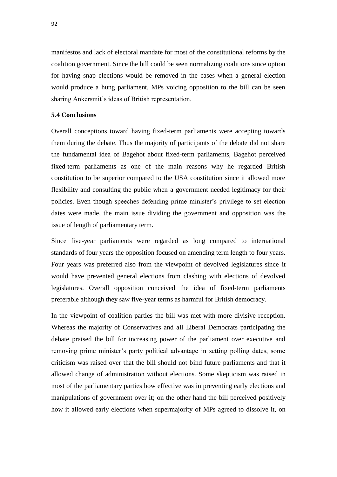manifestos and lack of electoral mandate for most of the constitutional reforms by the coalition government. Since the bill could be seen normalizing coalitions since option for having snap elections would be removed in the cases when a general election would produce a hung parliament, MPs voicing opposition to the bill can be seen sharing Ankersmit's ideas of British representation.

## **5.4 Conclusions**

Overall conceptions toward having fixed-term parliaments were accepting towards them during the debate. Thus the majority of participants of the debate did not share the fundamental idea of Bagehot about fixed-term parliaments, Bagehot perceived fixed-term parliaments as one of the main reasons why he regarded British constitution to be superior compared to the USA constitution since it allowed more flexibility and consulting the public when a government needed legitimacy for their policies. Even though speeches defending prime minister's privilege to set election dates were made, the main issue dividing the government and opposition was the issue of length of parliamentary term.

Since five-year parliaments were regarded as long compared to international standards of four years the opposition focused on amending term length to four years. Four years was preferred also from the viewpoint of devolved legislatures since it would have prevented general elections from clashing with elections of devolved legislatures. Overall opposition conceived the idea of fixed-term parliaments preferable although they saw five-year terms as harmful for British democracy.

In the viewpoint of coalition parties the bill was met with more divisive reception. Whereas the majority of Conservatives and all Liberal Democrats participating the debate praised the bill for increasing power of the parliament over executive and removing prime minister's party political advantage in setting polling dates, some criticism was raised over that the bill should not bind future parliaments and that it allowed change of administration without elections. Some skepticism was raised in most of the parliamentary parties how effective was in preventing early elections and manipulations of government over it; on the other hand the bill perceived positively how it allowed early elections when supermajority of MPs agreed to dissolve it, on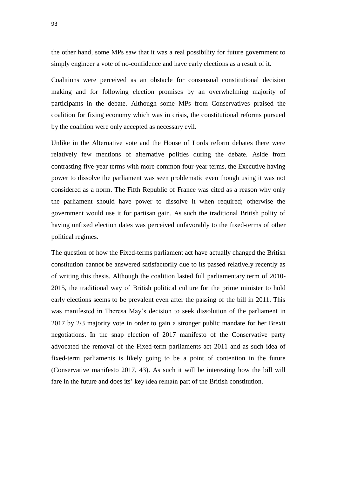the other hand, some MPs saw that it was a real possibility for future government to simply engineer a vote of no-confidence and have early elections as a result of it.

Coalitions were perceived as an obstacle for consensual constitutional decision making and for following election promises by an overwhelming majority of participants in the debate. Although some MPs from Conservatives praised the coalition for fixing economy which was in crisis, the constitutional reforms pursued by the coalition were only accepted as necessary evil.

Unlike in the Alternative vote and the House of Lords reform debates there were relatively few mentions of alternative polities during the debate. Aside from contrasting five-year terms with more common four-year terms, the Executive having power to dissolve the parliament was seen problematic even though using it was not considered as a norm. The Fifth Republic of France was cited as a reason why only the parliament should have power to dissolve it when required; otherwise the government would use it for partisan gain. As such the traditional British polity of having unfixed election dates was perceived unfavorably to the fixed-terms of other political regimes.

The question of how the Fixed-terms parliament act have actually changed the British constitution cannot be answered satisfactorily due to its passed relatively recently as of writing this thesis. Although the coalition lasted full parliamentary term of 2010- 2015, the traditional way of British political culture for the prime minister to hold early elections seems to be prevalent even after the passing of the bill in 2011. This was manifested in Theresa May's decision to seek dissolution of the parliament in 2017 by 2/3 majority vote in order to gain a stronger public mandate for her Brexit negotiations. In the snap election of 2017 manifesto of the Conservative party advocated the removal of the Fixed-term parliaments act 2011 and as such idea of fixed-term parliaments is likely going to be a point of contention in the future (Conservative manifesto 2017, 43). As such it will be interesting how the bill will fare in the future and does its' key idea remain part of the British constitution.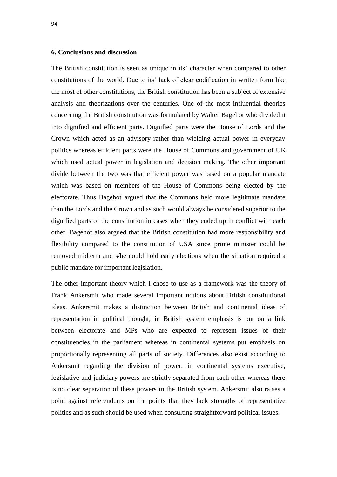### **6. Conclusions and discussion**

The British constitution is seen as unique in its' character when compared to other constitutions of the world. Due to its' lack of clear codification in written form like the most of other constitutions, the British constitution has been a subject of extensive analysis and theorizations over the centuries. One of the most influential theories concerning the British constitution was formulated by Walter Bagehot who divided it into dignified and efficient parts. Dignified parts were the House of Lords and the Crown which acted as an advisory rather than wielding actual power in everyday politics whereas efficient parts were the House of Commons and government of UK which used actual power in legislation and decision making. The other important divide between the two was that efficient power was based on a popular mandate which was based on members of the House of Commons being elected by the electorate. Thus Bagehot argued that the Commons held more legitimate mandate than the Lords and the Crown and as such would always be considered superior to the dignified parts of the constitution in cases when they ended up in conflict with each other. Bagehot also argued that the British constitution had more responsibility and flexibility compared to the constitution of USA since prime minister could be removed midterm and s/he could hold early elections when the situation required a public mandate for important legislation.

The other important theory which I chose to use as a framework was the theory of Frank Ankersmit who made several important notions about British constitutional ideas. Ankersmit makes a distinction between British and continental ideas of representation in political thought; in British system emphasis is put on a link between electorate and MPs who are expected to represent issues of their constituencies in the parliament whereas in continental systems put emphasis on proportionally representing all parts of society. Differences also exist according to Ankersmit regarding the division of power; in continental systems executive, legislative and judiciary powers are strictly separated from each other whereas there is no clear separation of these powers in the British system. Ankersmit also raises a point against referendums on the points that they lack strengths of representative politics and as such should be used when consulting straightforward political issues.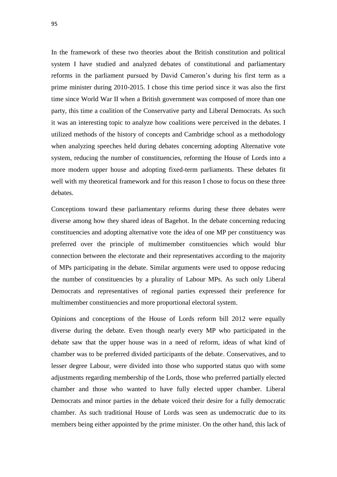In the framework of these two theories about the British constitution and political system I have studied and analyzed debates of constitutional and parliamentary reforms in the parliament pursued by David Cameron's during his first term as a prime minister during 2010-2015. I chose this time period since it was also the first time since World War II when a British government was composed of more than one party, this time a coalition of the Conservative party and Liberal Democrats. As such it was an interesting topic to analyze how coalitions were perceived in the debates. I utilized methods of the history of concepts and Cambridge school as a methodology when analyzing speeches held during debates concerning adopting Alternative vote system, reducing the number of constituencies, reforming the House of Lords into a more modern upper house and adopting fixed-term parliaments. These debates fit well with my theoretical framework and for this reason I chose to focus on these three debates.

Conceptions toward these parliamentary reforms during these three debates were diverse among how they shared ideas of Bagehot. In the debate concerning reducing constituencies and adopting alternative vote the idea of one MP per constituency was preferred over the principle of multimember constituencies which would blur connection between the electorate and their representatives according to the majority of MPs participating in the debate. Similar arguments were used to oppose reducing the number of constituencies by a plurality of Labour MPs. As such only Liberal Democrats and representatives of regional parties expressed their preference for multimember constituencies and more proportional electoral system.

Opinions and conceptions of the House of Lords reform bill 2012 were equally diverse during the debate. Even though nearly every MP who participated in the debate saw that the upper house was in a need of reform, ideas of what kind of chamber was to be preferred divided participants of the debate. Conservatives, and to lesser degree Labour, were divided into those who supported status quo with some adjustments regarding membership of the Lords, those who preferred partially elected chamber and those who wanted to have fully elected upper chamber. Liberal Democrats and minor parties in the debate voiced their desire for a fully democratic chamber. As such traditional House of Lords was seen as undemocratic due to its members being either appointed by the prime minister. On the other hand, this lack of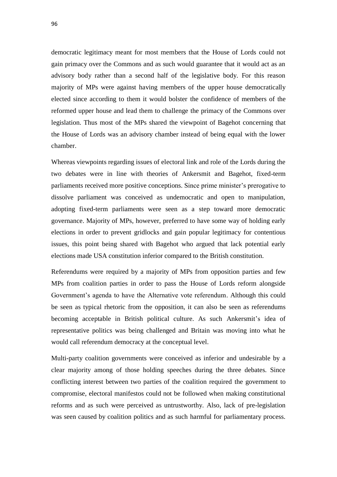democratic legitimacy meant for most members that the House of Lords could not gain primacy over the Commons and as such would guarantee that it would act as an advisory body rather than a second half of the legislative body. For this reason majority of MPs were against having members of the upper house democratically elected since according to them it would bolster the confidence of members of the reformed upper house and lead them to challenge the primacy of the Commons over legislation. Thus most of the MPs shared the viewpoint of Bagehot concerning that the House of Lords was an advisory chamber instead of being equal with the lower chamber.

Whereas viewpoints regarding issues of electoral link and role of the Lords during the two debates were in line with theories of Ankersmit and Bagehot, fixed-term parliaments received more positive conceptions. Since prime minister's prerogative to dissolve parliament was conceived as undemocratic and open to manipulation, adopting fixed-term parliaments were seen as a step toward more democratic governance. Majority of MPs, however, preferred to have some way of holding early elections in order to prevent gridlocks and gain popular legitimacy for contentious issues, this point being shared with Bagehot who argued that lack potential early elections made USA constitution inferior compared to the British constitution.

Referendums were required by a majority of MPs from opposition parties and few MPs from coalition parties in order to pass the House of Lords reform alongside Government's agenda to have the Alternative vote referendum. Although this could be seen as typical rhetoric from the opposition, it can also be seen as referendums becoming acceptable in British political culture. As such Ankersmit's idea of representative politics was being challenged and Britain was moving into what he would call referendum democracy at the conceptual level.

Multi-party coalition governments were conceived as inferior and undesirable by a clear majority among of those holding speeches during the three debates. Since conflicting interest between two parties of the coalition required the government to compromise, electoral manifestos could not be followed when making constitutional reforms and as such were perceived as untrustworthy. Also, lack of pre-legislation was seen caused by coalition politics and as such harmful for parliamentary process.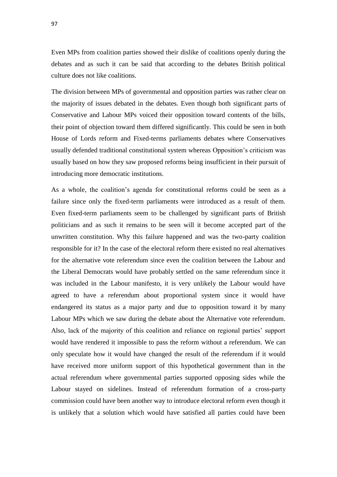Even MPs from coalition parties showed their dislike of coalitions openly during the debates and as such it can be said that according to the debates British political culture does not like coalitions.

The division between MPs of governmental and opposition parties was rather clear on the majority of issues debated in the debates. Even though both significant parts of Conservative and Labour MPs voiced their opposition toward contents of the bills, their point of objection toward them differed significantly. This could be seen in both House of Lords reform and Fixed-terms parliaments debates where Conservatives usually defended traditional constitutional system whereas Opposition's criticism was usually based on how they saw proposed reforms being insufficient in their pursuit of introducing more democratic institutions.

As a whole, the coalition's agenda for constitutional reforms could be seen as a failure since only the fixed-term parliaments were introduced as a result of them. Even fixed-term parliaments seem to be challenged by significant parts of British politicians and as such it remains to be seen will it become accepted part of the unwritten constitution. Why this failure happened and was the two-party coalition responsible for it? In the case of the electoral reform there existed no real alternatives for the alternative vote referendum since even the coalition between the Labour and the Liberal Democrats would have probably settled on the same referendum since it was included in the Labour manifesto, it is very unlikely the Labour would have agreed to have a referendum about proportional system since it would have endangered its status as a major party and due to opposition toward it by many Labour MPs which we saw during the debate about the Alternative vote referendum. Also, lack of the majority of this coalition and reliance on regional parties' support would have rendered it impossible to pass the reform without a referendum. We can only speculate how it would have changed the result of the referendum if it would have received more uniform support of this hypothetical government than in the actual referendum where governmental parties supported opposing sides while the Labour stayed on sidelines. Instead of referendum formation of a cross-party commission could have been another way to introduce electoral reform even though it is unlikely that a solution which would have satisfied all parties could have been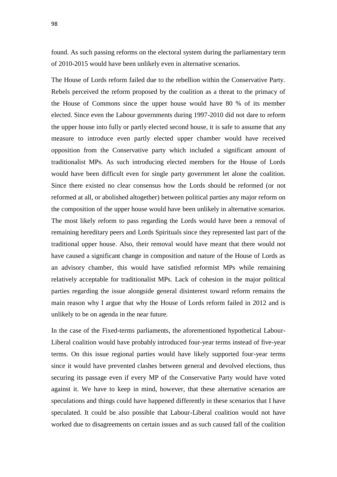found. As such passing reforms on the electoral system during the parliamentary term of 2010-2015 would have been unlikely even in alternative scenarios.

The House of Lords reform failed due to the rebellion within the Conservative Party. Rebels perceived the reform proposed by the coalition as a threat to the primacy of the House of Commons since the upper house would have 80 % of its member elected. Since even the Labour governments during 1997-2010 did not dare to reform the upper house into fully or partly elected second house, it is safe to assume that any measure to introduce even partly elected upper chamber would have received opposition from the Conservative party which included a significant amount of traditionalist MPs. As such introducing elected members for the House of Lords would have been difficult even for single party government let alone the coalition. Since there existed no clear consensus how the Lords should be reformed (or not reformed at all, or abolished altogether) between political parties any major reform on the composition of the upper house would have been unlikely in alternative scenarios. The most likely reform to pass regarding the Lords would have been a removal of remaining hereditary peers and Lords Spirituals since they represented last part of the traditional upper house. Also, their removal would have meant that there would not have caused a significant change in composition and nature of the House of Lords as an advisory chamber, this would have satisfied reformist MPs while remaining relatively acceptable for traditionalist MPs. Lack of cohesion in the major political parties regarding the issue alongside general disinterest toward reform remains the main reason why I argue that why the House of Lords reform failed in 2012 and is unlikely to be on agenda in the near future.

In the case of the Fixed-terms parliaments, the aforementioned hypothetical Labour-Liberal coalition would have probably introduced four-year terms instead of five-year terms. On this issue regional parties would have likely supported four-year terms since it would have prevented clashes between general and devolved elections, thus securing its passage even if every MP of the Conservative Party would have voted against it. We have to keep in mind, however, that these alternative scenarios are speculations and things could have happened differently in these scenarios that I have speculated. It could be also possible that Labour-Liberal coalition would not have worked due to disagreements on certain issues and as such caused fall of the coalition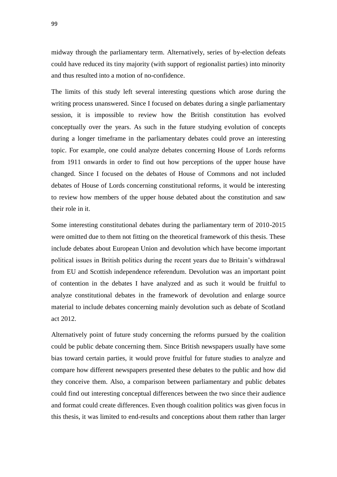midway through the parliamentary term. Alternatively, series of by-election defeats could have reduced its tiny majority (with support of regionalist parties) into minority and thus resulted into a motion of no-confidence.

The limits of this study left several interesting questions which arose during the writing process unanswered. Since I focused on debates during a single parliamentary session, it is impossible to review how the British constitution has evolved conceptually over the years. As such in the future studying evolution of concepts during a longer timeframe in the parliamentary debates could prove an interesting topic. For example, one could analyze debates concerning House of Lords reforms from 1911 onwards in order to find out how perceptions of the upper house have changed. Since I focused on the debates of House of Commons and not included debates of House of Lords concerning constitutional reforms, it would be interesting to review how members of the upper house debated about the constitution and saw their role in it.

Some interesting constitutional debates during the parliamentary term of 2010-2015 were omitted due to them not fitting on the theoretical framework of this thesis. These include debates about European Union and devolution which have become important political issues in British politics during the recent years due to Britain's withdrawal from EU and Scottish independence referendum. Devolution was an important point of contention in the debates I have analyzed and as such it would be fruitful to analyze constitutional debates in the framework of devolution and enlarge source material to include debates concerning mainly devolution such as debate of Scotland act 2012.

Alternatively point of future study concerning the reforms pursued by the coalition could be public debate concerning them. Since British newspapers usually have some bias toward certain parties, it would prove fruitful for future studies to analyze and compare how different newspapers presented these debates to the public and how did they conceive them. Also, a comparison between parliamentary and public debates could find out interesting conceptual differences between the two since their audience and format could create differences. Even though coalition politics was given focus in this thesis, it was limited to end-results and conceptions about them rather than larger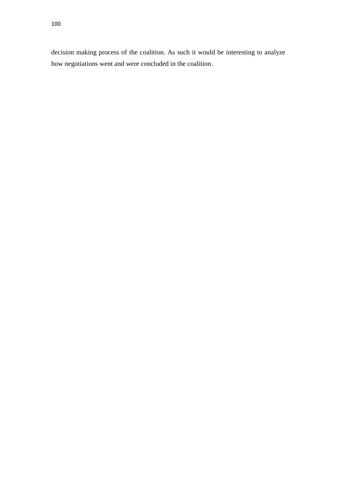decision making process of the coalition. As such it would be interesting to analyze how negotiations went and were concluded in the coalition.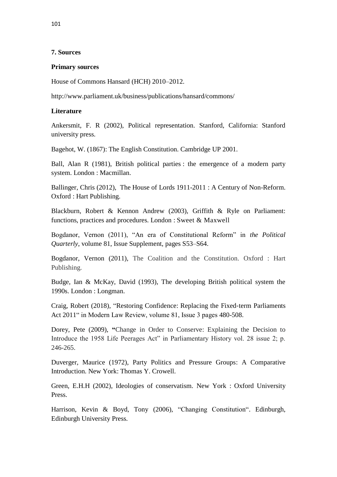## **7. Sources**

## **Primary sources**

House of Commons Hansard (HCH) 2010–2012.

http://www.parliament.uk/business/publications/hansard/commons/

# **Literature**

Ankersmit, F. R (2002), Political representation. Stanford, California: Stanford university press.

Bagehot, W. (1867): The English Constitution. Cambridge UP 2001.

Ball, Alan R (1981), British political parties : the emergence of a modern party system. London : Macmillan.

Ballinger, Chris (2012), The House of Lords 1911-2011 : A Century of Non-Reform. Oxford : Hart Publishing.

Blackburn, Robert & Kennon Andrew (2003), Griffith & Ryle on Parliament: functions, practices and procedures. London : Sweet & Maxwell

Bogdanor, Vernon (2011), "An era of Constitutional Reform" in *the Political Quarterly*, volume 81, Issue Supplement, pages S53–S64.

Bogdanor, Vernon (2011), The Coalition and the Constitution. Oxford : Hart Publishing.

Budge, Ian & McKay, David (1993), The developing British political system the 1990s. London : Longman.

Craig, Robert (2018), "Restoring Confidence: Replacing the Fixed‐term Parliaments Act 2011" in Modern Law Review, volume 81, Issue 3 pages 480-508.

Dorey, Pete (2009), **"**Change in Order to Conserve: Explaining the Decision to Introduce the 1958 Life Peerages Act" in Parliamentary History vol. 28 issue 2; p. 246-265.

Duverger, Maurice (1972), Party Politics and Pressure Groups: A Comparative Introduction. New York: Thomas Y. Crowell.

Green, E.H.H (2002), Ideologies of conservatism. New York : Oxford University Press.

Harrison, Kevin & Boyd, Tony (2006), "Changing Constitution". Edinburgh, Edinburgh University Press.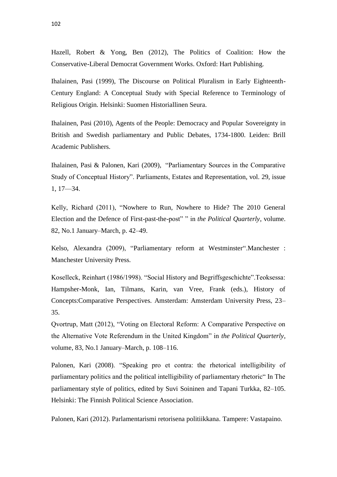Hazell, Robert & Yong, Ben (2012), The Politics of Coalition: How the Conservative-Liberal Democrat Government Works. Oxford: Hart Publishing.

Ihalainen, Pasi (1999), The Discourse on Political Pluralism in Early Eighteenth-Century England: A Conceptual Study with Special Reference to Terminology of Religious Origin. Helsinki: Suomen Historiallinen Seura.

Ihalainen, Pasi (2010), Agents of the People: Democracy and Popular Sovereignty in British and Swedish parliamentary and Public Debates, 1734-1800. Leiden: Brill Academic Publishers.

Ihalainen, Pasi & Palonen, Kari (2009), "Parliamentary Sources in the Comparative Study of Conceptual History". Parliaments, Estates and Representation, vol. 29, issue 1, 17—34.

Kelly, Richard (2011), "Nowhere to Run, Nowhere to Hide? The 2010 General Election and the Defence of First-past-the-post" " in *the Political Quarterly*, volume. 82, No.1 January–March, p. 42–49.

Kelso, Alexandra (2009), "Parliamentary reform at Westminster". Manchester : Manchester University Press.

Koselleck, Reinhart (1986/1998). "Social History and Begriffsgeschichte".Teoksessa: Hampsher-Monk, Ian, Tilmans, Karin, van Vree, Frank (eds.), History of Concepts:Comparative Perspectives. Amsterdam: Amsterdam University Press, 23– 35.

Qvortrup, Matt (2012), "Voting on Electoral Reform: A Comparative Perspective on the Alternative Vote Referendum in the United Kingdom" in *the Political Quarterly*, volume, 83, No.1 January–March, p. 108–116.

Palonen, Kari (2008). "Speaking pro et contra: the rhetorical intelligibility of parliamentary politics and the political intelligibility of parliamentary rhetoric" In The parliamentary style of politics, edited by Suvi Soininen and Tapani Turkka, 82–105. Helsinki: The Finnish Political Science Association.

Palonen, Kari (2012). Parlamentarismi retorisena politiikkana. Tampere: Vastapaino.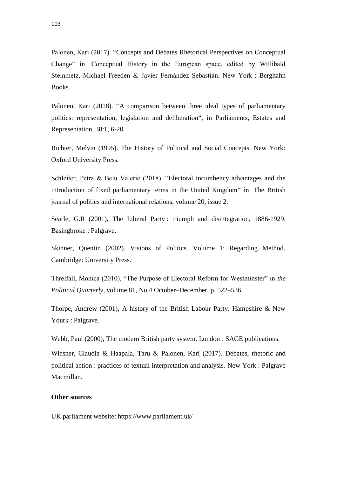Palonen, Kari (2017). "Concepts and Debates Rhetorical Perspectives on Conceptual Change" in Conceptual History in the European space, edited by Willibald Steinmetz, Michael Freeden & Javier Fernández Sebastián. New York : Berghahn Books.

Palonen, Kari (2018). "A comparison between three ideal types of parliamentary politics: representation, legislation and deliberation", in Parliaments, Estates and Representation, 38:1, 6-20.

Richter, Melvin (1995). The History of Political and Social Concepts. New York: Oxford University Press.

Schleiter, Petra & Belu Valerie (2018). "Electoral incumbency advantages and the introduction of fixed parliamentary terms in the United Kingdom" in The British journal of politics and international relations, volume 20, issue 2.

Searle, G.R (2001), The Liberal Party : triumph and disintegration, 1886-1929. Basingbroke : Palgrave.

Skinner, Quentin (2002). Visions of Politics. Volume 1: Regarding Method. Cambridge: University Press.

Threlfall, Monica (2010), "The Purpose of Electoral Reform for Westminster" in *the Political Quarterly*, volume 81, No.4 October–December, p. 522–536.

Thorpe, Andrew (2001), A history of the British Labour Party. Hampshire & New Yourk : Palgrave.

Webb, Paul (2000), The modern British party system. London : SAGE publications.

Wiesner, Claudia & Haapala, Taru & Palonen, Kari (2017). Debates, rhetoric and political action : practices of textual interpretation and analysis. New York : Palgrave Macmillan.

### **Other sources**

UK parliament website: https://www.parliament.uk/